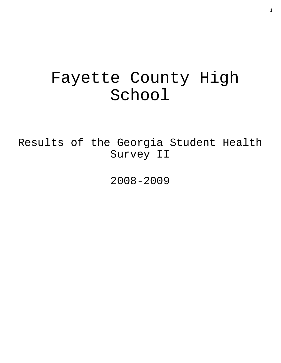# Fayette County High School

Results of the Georgia Student Health Survey II

2008-2009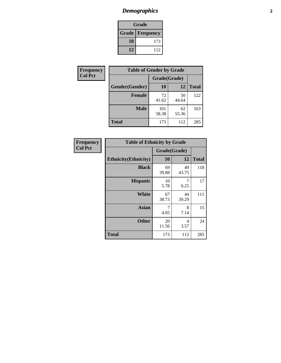# *Demographics* **2**

| Grade                    |     |  |  |  |
|--------------------------|-----|--|--|--|
| <b>Grade   Frequency</b> |     |  |  |  |
| 10                       | 173 |  |  |  |
| 12                       | 112 |  |  |  |

| <b>Frequency</b> | <b>Table of Gender by Grade</b> |              |             |              |  |  |
|------------------|---------------------------------|--------------|-------------|--------------|--|--|
| <b>Col Pct</b>   |                                 | Grade(Grade) |             |              |  |  |
|                  | Gender(Gender)                  | 10           | 12          | <b>Total</b> |  |  |
|                  | <b>Female</b>                   | 72<br>41.62  | 50<br>44.64 | 122          |  |  |
|                  | <b>Male</b>                     | 101<br>58.38 | 62<br>55.36 | 163          |  |  |
|                  | <b>Total</b>                    | 173          | 112         | 285          |  |  |

| Frequency<br>Col Pct |
|----------------------|
|                      |

| <b>Table of Ethnicity by Grade</b> |              |             |              |  |  |  |  |
|------------------------------------|--------------|-------------|--------------|--|--|--|--|
|                                    | Grade(Grade) |             |              |  |  |  |  |
| <b>Ethnicity</b> (Ethnicity)       | 10           | 12          | <b>Total</b> |  |  |  |  |
| <b>Black</b>                       | 69<br>39.88  | 49<br>43.75 | 118          |  |  |  |  |
| <b>Hispanic</b>                    | 10<br>5.78   | 7<br>6.25   | 17           |  |  |  |  |
| White                              | 67<br>38.73  | 44<br>39.29 | 111          |  |  |  |  |
| <b>Asian</b>                       | 7<br>4.05    | 8<br>7.14   | 15           |  |  |  |  |
| <b>Other</b>                       | 20<br>11.56  | 4<br>3.57   | 24           |  |  |  |  |
| <b>Total</b>                       | 173          | 112         | 285          |  |  |  |  |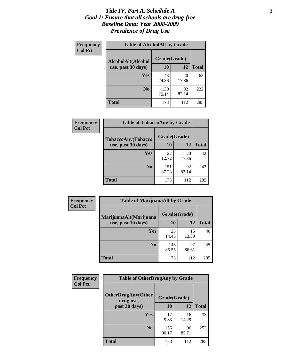### *Title IV, Part A, Schedule A* **3** *Goal 1: Ensure that all schools are drug-free Baseline Data: Year 2008-2009 Prevalence of Drug Use*

| Frequency<br><b>Col Pct</b> | <b>Table of AlcoholAlt by Grade</b> |              |             |              |  |  |
|-----------------------------|-------------------------------------|--------------|-------------|--------------|--|--|
|                             | AlcoholAlt(Alcohol                  | Grade(Grade) |             |              |  |  |
|                             | use, past 30 days)                  | <b>10</b>    | 12          | <b>Total</b> |  |  |
|                             | Yes                                 | 43<br>24.86  | 20<br>17.86 | 63           |  |  |
|                             | N <sub>0</sub>                      | 130<br>75.14 | 92<br>82.14 | 222          |  |  |
|                             | Total                               | 173          | 112         | 285          |  |  |

| <b>Frequency</b> | <b>Table of TobaccoAny by Grade</b> |              |             |              |  |
|------------------|-------------------------------------|--------------|-------------|--------------|--|
| <b>Col Pct</b>   | TobaccoAny(Tobacco                  | Grade(Grade) |             |              |  |
|                  | use, past 30 days)                  | 10           | 12          | <b>Total</b> |  |
|                  | Yes                                 | 22<br>12.72  | 20<br>17.86 | 42           |  |
|                  | N <sub>0</sub>                      | 151<br>87.28 | 92<br>82.14 | 243          |  |
|                  | Total                               | 173          | 112         | 285          |  |

| Frequency<br><b>Col Pct</b> | <b>Table of MarijuanaAlt by Grade</b> |              |             |              |  |
|-----------------------------|---------------------------------------|--------------|-------------|--------------|--|
|                             | MarijuanaAlt(Marijuana                | Grade(Grade) |             |              |  |
|                             | use, past 30 days)                    | 10           | 12          | <b>Total</b> |  |
|                             | Yes                                   | 25<br>14.45  | 15<br>13.39 | 40           |  |
|                             | N <sub>0</sub>                        | 148<br>85.55 | 97<br>86.61 | 245          |  |
|                             | <b>Total</b>                          | 173          | 112         | 285          |  |

| Frequency      | <b>Table of OtherDrugAny by Grade</b>  |              |             |              |  |
|----------------|----------------------------------------|--------------|-------------|--------------|--|
| <b>Col Pct</b> | <b>OtherDrugAny(Other</b><br>drug use, | Grade(Grade) |             |              |  |
|                | past 30 days)                          | 10           | 12          | <b>Total</b> |  |
|                | Yes                                    | 17<br>9.83   | 16<br>14.29 | 33           |  |
|                | N <sub>0</sub>                         | 156<br>90.17 | 96<br>85.71 | 252          |  |
|                | <b>Total</b>                           | 173          | 112         | 285          |  |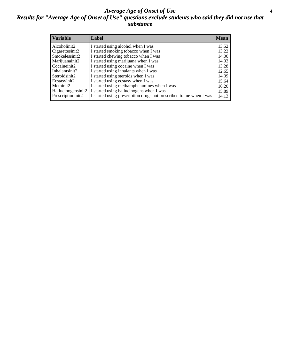### *Average Age of Onset of Use* **4** *Results for "Average Age of Onset of Use" questions exclude students who said they did not use that substance*

| <b>Variable</b>    | Label                                                              | <b>Mean</b> |
|--------------------|--------------------------------------------------------------------|-------------|
| Alcoholinit2       | I started using alcohol when I was                                 | 13.52       |
| Cigarettesinit2    | I started smoking tobacco when I was                               | 13.22       |
| Smokelessinit2     | I started chewing tobacco when I was                               | 14.00       |
| Marijuanainit2     | I started using marijuana when I was                               | 14.02       |
| Cocaineinit2       | I started using cocaine when I was                                 | 13.28       |
| Inhalantsinit2     | I started using inhalants when I was                               | 12.65       |
| Steroidsinit2      | I started using steroids when I was                                | 14.09       |
| Ecstasyinit2       | I started using ecstasy when I was                                 | 15.64       |
| Methinit2          | I started using methamphetamines when I was                        | 16.20       |
| Hallucinogensinit2 | I started using hallucinogens when I was                           | 15.89       |
| Prescriptioninit2  | I started using prescription drugs not prescribed to me when I was | 14.13       |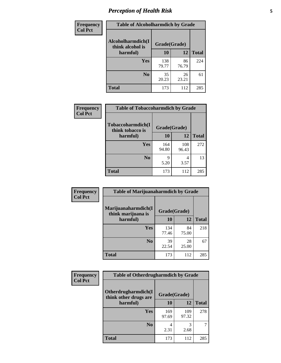# *Perception of Health Risk* **5**

| <b>Frequency</b> | <b>Table of Alcoholharmdich by Grade</b> |              |             |              |  |
|------------------|------------------------------------------|--------------|-------------|--------------|--|
| <b>Col Pct</b>   | Alcoholharmdich(I<br>think alcohol is    | Grade(Grade) |             |              |  |
|                  | harmful)                                 | 10           | 12          | <b>Total</b> |  |
|                  | Yes                                      | 138<br>79.77 | 86<br>76.79 | 224          |  |
|                  | N <sub>0</sub>                           | 35<br>20.23  | 26<br>23.21 | 61           |  |
|                  | <b>Total</b>                             | 173          | 112         | 285          |  |

| Frequency      | <b>Table of Tobaccoharmdich by Grade</b> |              |              |              |  |
|----------------|------------------------------------------|--------------|--------------|--------------|--|
| <b>Col Pct</b> | Tobaccoharmdich(I<br>think tobacco is    | Grade(Grade) |              |              |  |
|                | harmful)                                 | 10           | 12           | <b>Total</b> |  |
|                | <b>Yes</b>                               | 164<br>94.80 | 108<br>96.43 | 272          |  |
|                | N <sub>0</sub>                           | q<br>5.20    | 4<br>3.57    | 13           |  |
|                | <b>Total</b>                             | 173          | 112          | 285          |  |

| Frequency      | <b>Table of Marijuanaharmdich by Grade</b> |              |             |              |  |
|----------------|--------------------------------------------|--------------|-------------|--------------|--|
| <b>Col Pct</b> | Marijuanaharmdich(I<br>think marijuana is  | Grade(Grade) |             |              |  |
|                | harmful)                                   | 10           | 12          | <b>Total</b> |  |
|                | Yes                                        | 134<br>77.46 | 84<br>75.00 | 218          |  |
|                | N <sub>0</sub>                             | 39<br>22.54  | 28<br>25.00 | 67           |  |
|                | <b>Total</b>                               | 173          | 112         | 285          |  |

| <b>Frequency</b> | <b>Table of Otherdrugharmdich by Grade</b>   |              |              |              |  |
|------------------|----------------------------------------------|--------------|--------------|--------------|--|
| <b>Col Pct</b>   | Otherdrugharmdich(I<br>think other drugs are | Grade(Grade) |              |              |  |
|                  | harmful)                                     | 10           | 12           | <b>Total</b> |  |
|                  | Yes                                          | 169<br>97.69 | 109<br>97.32 | 278          |  |
|                  | N <sub>0</sub>                               | 4<br>2.31    | 3<br>2.68    |              |  |
|                  | <b>Total</b>                                 | 173          | 112          | 285          |  |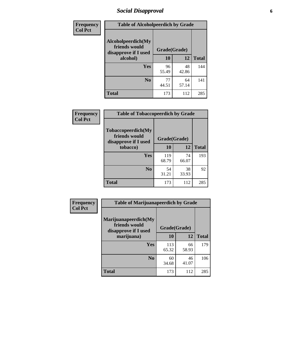# *Social Disapproval* **6**

| Frequency      | <b>Table of Alcoholpeerdich by Grade</b>                    |              |             |              |
|----------------|-------------------------------------------------------------|--------------|-------------|--------------|
| <b>Col Pct</b> | Alcoholpeerdich(My<br>friends would<br>disapprove if I used | Grade(Grade) |             |              |
|                | alcohol)                                                    | 10           | 12          | <b>Total</b> |
|                | <b>Yes</b>                                                  | 96<br>55.49  | 48<br>42.86 | 144          |
|                | N <sub>0</sub>                                              | 77<br>44.51  | 64<br>57.14 | 141          |
|                | <b>Total</b>                                                | 173          | 112         | 285          |

| <b>Frequency</b> |
|------------------|
| <b>Col Pct</b>   |

| <b>Table of Tobaccopeerdich by Grade</b>                            |              |             |              |  |  |
|---------------------------------------------------------------------|--------------|-------------|--------------|--|--|
| <b>Tobaccopeerdich</b> (My<br>friends would<br>disapprove if I used | Grade(Grade) |             |              |  |  |
| tobacco)                                                            | 10           | 12          | <b>Total</b> |  |  |
| Yes                                                                 | 119<br>68.79 | 74<br>66.07 | 193          |  |  |
| N <sub>0</sub>                                                      | 54<br>31.21  | 38<br>33.93 | 92           |  |  |
| <b>Total</b>                                                        | 173          | 112         | 285          |  |  |

| Frequency      | <b>Table of Marijuanapeerdich by Grade</b>                    |              |             |              |  |  |
|----------------|---------------------------------------------------------------|--------------|-------------|--------------|--|--|
| <b>Col Pct</b> | Marijuanapeerdich(My<br>friends would<br>disapprove if I used | Grade(Grade) |             |              |  |  |
|                | marijuana)                                                    | 10           | 12          | <b>Total</b> |  |  |
|                | <b>Yes</b>                                                    | 113<br>65.32 | 66<br>58.93 | 179          |  |  |
|                | N <sub>0</sub>                                                | 60<br>34.68  | 46<br>41.07 | 106          |  |  |
|                | <b>Total</b>                                                  | 173          | 112         | 285          |  |  |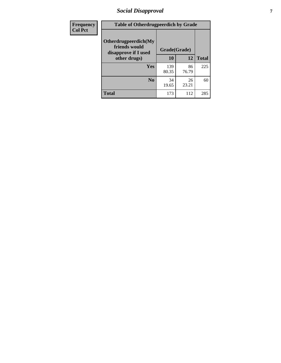# *Social Disapproval* **7**

| Frequency      | <b>Table of Otherdrugpeerdich by Grade</b>                    |              |             |              |  |  |
|----------------|---------------------------------------------------------------|--------------|-------------|--------------|--|--|
| <b>Col Pct</b> | Otherdrugpeerdich(My<br>friends would<br>disapprove if I used | Grade(Grade) |             |              |  |  |
|                | other drugs)                                                  | 10           | 12          | <b>Total</b> |  |  |
|                | Yes                                                           | 139<br>80.35 | 86<br>76.79 | 225          |  |  |
|                | N <sub>0</sub>                                                | 34<br>19.65  | 26<br>23.21 | 60           |  |  |
|                | <b>Total</b>                                                  | 173          | 112         | 285          |  |  |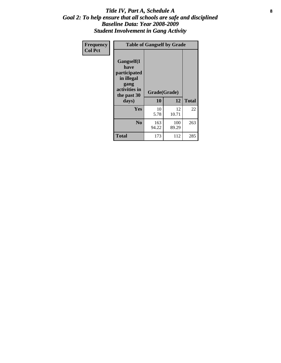### Title IV, Part A, Schedule A **8** *Goal 2: To help ensure that all schools are safe and disciplined Baseline Data: Year 2008-2009 Student Involvement in Gang Activity*

| Frequency      | <b>Table of Gangself by Grade</b>                                                                         |                    |              |              |
|----------------|-----------------------------------------------------------------------------------------------------------|--------------------|--------------|--------------|
| <b>Col Pct</b> | <b>Gangself</b> (I<br>have<br>participated<br>in illegal<br>gang<br>activities in<br>the past 30<br>days) | Grade(Grade)<br>10 | 12           | <b>Total</b> |
|                | Yes                                                                                                       | 10<br>5.78         | 12<br>10.71  | 22           |
|                | N <sub>0</sub>                                                                                            | 163<br>94.22       | 100<br>89.29 | 263          |
|                | <b>Total</b>                                                                                              | 173                | 112          | 285          |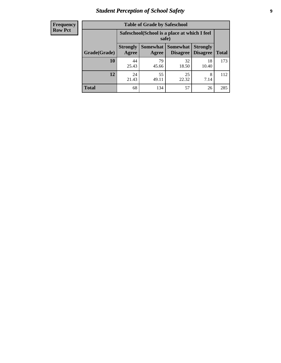# *Student Perception of School Safety* **9**

| <b>Frequency</b><br>Row Pct |
|-----------------------------|
|                             |

| <b>Table of Grade by Safeschool</b> |                                                                                                                                   |                                                        |             |             |     |  |  |
|-------------------------------------|-----------------------------------------------------------------------------------------------------------------------------------|--------------------------------------------------------|-------------|-------------|-----|--|--|
|                                     |                                                                                                                                   | Safeschool (School is a place at which I feel<br>safe) |             |             |     |  |  |
| Grade(Grade)                        | <b>Somewhat   Somewhat</b><br><b>Strongly</b><br><b>Strongly</b><br><b>Disagree</b><br>Agree<br>Disagree<br><b>Total</b><br>Agree |                                                        |             |             |     |  |  |
| 10                                  | 44<br>25.43                                                                                                                       | 79<br>45.66                                            | 32<br>18.50 | 18<br>10.40 | 173 |  |  |
| 12                                  | 24<br>21.43                                                                                                                       | 55<br>49.11                                            | 25<br>22.32 | 8<br>7.14   | 112 |  |  |
| <b>Total</b>                        | 68                                                                                                                                | 134                                                    | 57          | 26          | 285 |  |  |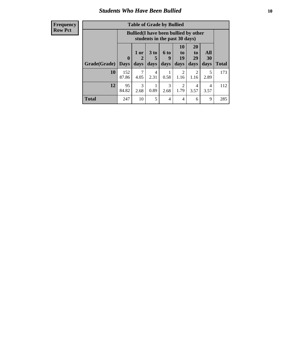### *Students Who Have Been Bullied* **10**

### **Frequency Row Pct**

| <b>Table of Grade by Bullied</b> |                  |                                                                               |                              |                   |                        |                        |                          |              |
|----------------------------------|------------------|-------------------------------------------------------------------------------|------------------------------|-------------------|------------------------|------------------------|--------------------------|--------------|
|                                  |                  | <b>Bullied</b> (I have been bullied by other<br>students in the past 30 days) |                              |                   |                        |                        |                          |              |
| Grade(Grade)                     | 0<br><b>Days</b> | 1 or<br>days                                                                  | 3 <sub>to</sub><br>5<br>days | 6 to<br>9<br>days | 10<br>to<br>19<br>days | 20<br>to<br>29<br>days | All<br><b>30</b><br>days | <b>Total</b> |
| 10                               | 152<br>87.86     | 4.05                                                                          | 4<br>2.31                    | 0.58              | 2<br>1.16              | 2<br>1.16              | 5<br>2.89                | 173          |
| 12                               | 95<br>84.82      | 3<br>2.68                                                                     | 0.89                         | 3<br>2.68         | 2<br>1.79              | 4<br>3.57              | 4<br>3.57                | 112          |
| <b>Total</b>                     | 247              | 10                                                                            | 5                            | 4                 | 4                      | 6                      | 9                        | 285          |

 $\blacksquare$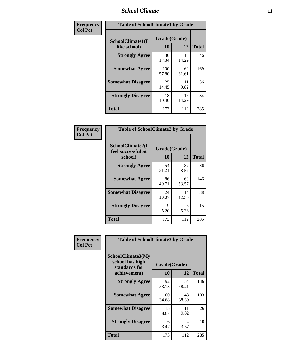### *School Climate* **11**

| <b>Frequency</b> | <b>Table of SchoolClimate1 by Grade</b> |                    |             |              |  |
|------------------|-----------------------------------------|--------------------|-------------|--------------|--|
| <b>Col Pct</b>   | SchoolClimate1(I<br>like school)        | Grade(Grade)<br>10 | 12          | <b>Total</b> |  |
|                  | <b>Strongly Agree</b>                   | 30<br>17.34        | 16<br>14.29 | 46           |  |
|                  | <b>Somewhat Agree</b>                   | 100<br>57.80       | 69<br>61.61 | 169          |  |
|                  | <b>Somewhat Disagree</b>                | 25<br>14.45        | 11<br>9.82  | 36           |  |
|                  | <b>Strongly Disagree</b>                | 18<br>10.40        | 16<br>14.29 | 34           |  |
|                  | <b>Total</b>                            | 173                | 112         | 285          |  |

| <b>Table of SchoolClimate2 by Grade</b>           |                    |             |              |  |  |
|---------------------------------------------------|--------------------|-------------|--------------|--|--|
| SchoolClimate2(I<br>feel successful at<br>school) | Grade(Grade)<br>10 | 12          | <b>Total</b> |  |  |
| <b>Strongly Agree</b>                             | 54<br>31.21        | 32<br>28.57 | 86           |  |  |
| <b>Somewhat Agree</b>                             | 86<br>49.71        | 60<br>53.57 | 146          |  |  |
| <b>Somewhat Disagree</b>                          | 24<br>13.87        | 14<br>12.50 | 38           |  |  |
| <b>Strongly Disagree</b>                          | 9<br>5.20          | 6<br>5.36   | 15           |  |  |
| <b>Total</b>                                      | 173                | 112         | 285          |  |  |

| Frequency      | <b>Table of SchoolClimate3 by Grade</b>                               |                    |             |              |  |
|----------------|-----------------------------------------------------------------------|--------------------|-------------|--------------|--|
| <b>Col Pct</b> | SchoolClimate3(My<br>school has high<br>standards for<br>achievement) | Grade(Grade)<br>10 | 12          | <b>Total</b> |  |
|                | <b>Strongly Agree</b>                                                 | 92<br>53.18        | 54<br>48.21 | 146          |  |
|                | <b>Somewhat Agree</b>                                                 | 60<br>34.68        | 43<br>38.39 | 103          |  |
|                | <b>Somewhat Disagree</b>                                              | 15<br>8.67         | 11<br>9.82  | 26           |  |
|                | <b>Strongly Disagree</b>                                              | 6<br>3.47          | 4<br>3.57   | 10           |  |
|                | Total                                                                 | 173                | 112         | 285          |  |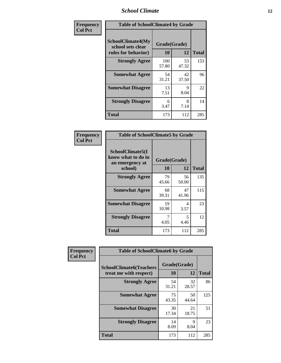### *School Climate* **12**

| Frequency      | <b>Table of SchoolClimate4 by Grade</b>                              |                    |             |              |
|----------------|----------------------------------------------------------------------|--------------------|-------------|--------------|
| <b>Col Pct</b> | <b>SchoolClimate4(My</b><br>school sets clear<br>rules for behavior) | Grade(Grade)<br>10 | 12          | <b>Total</b> |
|                | <b>Strongly Agree</b>                                                | 100<br>57.80       | 53<br>47.32 | 153          |
|                | <b>Somewhat Agree</b>                                                | 54<br>31.21        | 42<br>37.50 | 96           |
|                | <b>Somewhat Disagree</b>                                             | 13<br>7.51         | 9<br>8.04   | 22           |
|                | <b>Strongly Disagree</b>                                             | 6<br>3.47          | 8<br>7.14   | 14           |
|                | <b>Total</b>                                                         | 173                | 112         | 285          |

| <b>Table of SchoolClimate5 by Grade</b>                              |                    |             |              |  |
|----------------------------------------------------------------------|--------------------|-------------|--------------|--|
| SchoolClimate5(I<br>know what to do in<br>an emergency at<br>school) | Grade(Grade)<br>10 | 12          | <b>Total</b> |  |
| <b>Strongly Agree</b>                                                | 79<br>45.66        | 56<br>50.00 | 135          |  |
| <b>Somewhat Agree</b>                                                | 68<br>39.31        | 47<br>41.96 | 115          |  |
| <b>Somewhat Disagree</b>                                             | 19<br>10.98        | 4<br>3.57   | 23           |  |
| <b>Strongly Disagree</b>                                             | 4.05               | 5<br>4.46   | 12           |  |
| <b>Total</b>                                                         | 173                | 112         | 285          |  |

| Frequency      | <b>Table of SchoolClimate6 by Grade</b>                  |                           |             |              |
|----------------|----------------------------------------------------------|---------------------------|-------------|--------------|
| <b>Col Pct</b> | <b>SchoolClimate6(Teachers</b><br>treat me with respect) | Grade(Grade)<br><b>10</b> | 12          | <b>Total</b> |
|                | <b>Strongly Agree</b>                                    | 54<br>31.21               | 32<br>28.57 | 86           |
|                | <b>Somewhat Agree</b>                                    | 75<br>43.35               | 50<br>44.64 | 125          |
|                | <b>Somewhat Disagree</b>                                 | 30<br>17.34               | 21<br>18.75 | 51           |
|                | <b>Strongly Disagree</b>                                 | 14<br>8.09                | 9<br>8.04   | 23           |
|                | <b>Total</b>                                             | 173                       | 112         | 285          |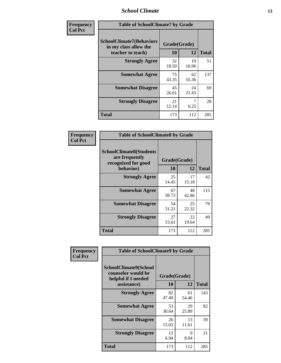### *School Climate* **13**

| Frequency      | <b>Table of SchoolClimate7 by Grade</b>                                       |                           |             |              |
|----------------|-------------------------------------------------------------------------------|---------------------------|-------------|--------------|
| <b>Col Pct</b> | <b>SchoolClimate7(Behaviors</b><br>in my class allow the<br>teacher to teach) | Grade(Grade)<br><b>10</b> | 12          | <b>Total</b> |
|                | <b>Strongly Agree</b>                                                         | 32<br>18.50               | 19<br>16.96 | 51           |
|                | <b>Somewhat Agree</b>                                                         | 75<br>43.35               | 62<br>55.36 | 137          |
|                | <b>Somewhat Disagree</b>                                                      | 45<br>26.01               | 24<br>21.43 | 69           |
|                | <b>Strongly Disagree</b>                                                      | 21<br>12.14               | 6.25        | 28           |
|                | <b>Total</b>                                                                  | 173                       | 112         | 285          |

| Frequency      | <b>Table of SchoolClimate8 by Grade</b>                                              |                    |             |              |
|----------------|--------------------------------------------------------------------------------------|--------------------|-------------|--------------|
| <b>Col Pct</b> | <b>SchoolClimate8(Students</b><br>are frequently<br>recognized for good<br>behavior) | Grade(Grade)<br>10 | 12          | <b>Total</b> |
|                | <b>Strongly Agree</b>                                                                | 25<br>14.45        | 17<br>15.18 | 42           |
|                | <b>Somewhat Agree</b>                                                                | 67<br>38.73        | 48<br>42.86 | 115          |
|                | <b>Somewhat Disagree</b>                                                             | 54<br>31.21        | 25<br>22.32 | 79           |
|                | <b>Strongly Disagree</b>                                                             | 27<br>15.61        | 22<br>19.64 | 49           |
|                | <b>Total</b>                                                                         | 173                | 112         | 285          |

| Frequency      | <b>Table of SchoolClimate9 by Grade</b>                                           |                    |             |              |
|----------------|-----------------------------------------------------------------------------------|--------------------|-------------|--------------|
| <b>Col Pct</b> | SchoolClimate9(School<br>counselor would be<br>helpful if I needed<br>assistance) | Grade(Grade)<br>10 | 12          | <b>Total</b> |
|                | <b>Strongly Agree</b>                                                             | 82<br>47.40        | 61<br>54.46 | 143          |
|                | <b>Somewhat Agree</b>                                                             | 53<br>30.64        | 29<br>25.89 | 82           |
|                | <b>Somewhat Disagree</b>                                                          | 26<br>15.03        | 13<br>11.61 | 39           |
|                | <b>Strongly Disagree</b>                                                          | 12<br>6.94         | 9<br>8.04   | 21           |
|                | <b>Total</b>                                                                      | 173                | 112         | 285          |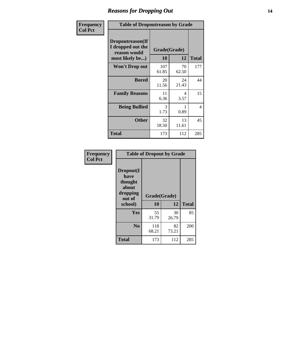### *Reasons for Dropping Out* **14**

| <b>Frequency</b> | <b>Table of Dropoutreason by Grade</b>                                   |                    |             |              |
|------------------|--------------------------------------------------------------------------|--------------------|-------------|--------------|
| <b>Col Pct</b>   | Dropoutreason(If<br>I dropped out the<br>reason would<br>most likely be) | Grade(Grade)<br>10 | 12          | <b>Total</b> |
|                  | Won't Drop out                                                           | 107<br>61.85       | 70<br>62.50 | 177          |
|                  | <b>Bored</b>                                                             | 20<br>11.56        | 24<br>21.43 | 44           |
|                  | <b>Family Reasons</b>                                                    | 11<br>6.36         | 4<br>3.57   | 15           |
|                  | <b>Being Bullied</b>                                                     | 3<br>1.73          | 0.89        | 4            |
|                  | <b>Other</b>                                                             | 32<br>18.50        | 13<br>11.61 | 45           |
|                  | <b>Total</b>                                                             | 173                | 112         | 285          |

| Frequency<br><b>Col Pct</b> |                                                                        | <b>Table of Dropout by Grade</b> |             |              |  |
|-----------------------------|------------------------------------------------------------------------|----------------------------------|-------------|--------------|--|
|                             | Dropout(I<br>have<br>thought<br>about<br>dropping<br>out of<br>school) | Grade(Grade)<br>10               | 12          | <b>Total</b> |  |
|                             | Yes                                                                    | 55<br>31.79                      | 30<br>26.79 | 85           |  |
|                             | N <sub>0</sub>                                                         | 118<br>68.21                     | 82<br>73.21 | 200          |  |
|                             | <b>Total</b>                                                           | 173                              | 112         | 285          |  |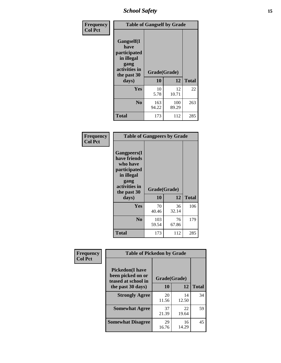*School Safety* **15**

| Frequency      |                                                                                                   | <b>Table of Gangself by Grade</b> |              |              |
|----------------|---------------------------------------------------------------------------------------------------|-----------------------------------|--------------|--------------|
| <b>Col Pct</b> | Gangself(I<br>have<br>participated<br>in illegal<br>gang<br>activities in<br>the past 30<br>days) | Grade(Grade)<br>10                | 12           | <b>Total</b> |
|                | Yes                                                                                               | 10<br>5.78                        | 12<br>10.71  | 22           |
|                | N <sub>0</sub>                                                                                    | 163<br>94.22                      | 100<br>89.29 | 263          |
|                | <b>Total</b>                                                                                      | 173                               | 112          | 285          |

| Frequency<br><b>Col Pct</b> | <b>Table of Gangpeers by Grade</b>                                                                                             |                    |             |              |
|-----------------------------|--------------------------------------------------------------------------------------------------------------------------------|--------------------|-------------|--------------|
|                             | <b>Gangpeers</b> (I<br>have friends<br>who have<br>participated<br>in illegal<br>gang<br>activities in<br>the past 30<br>days) | Grade(Grade)<br>10 | 12          | <b>Total</b> |
|                             | Yes                                                                                                                            | 70<br>40.46        | 36<br>32.14 | 106          |
|                             | N <sub>0</sub>                                                                                                                 | 103<br>59.54       | 76<br>67.86 | 179          |
|                             | <b>Total</b>                                                                                                                   | 173                | 112         | 285          |

| Frequency<br><b>Col Pct</b> | <b>Table of Pickedon by Grade</b>                                  |              |             |              |
|-----------------------------|--------------------------------------------------------------------|--------------|-------------|--------------|
|                             | <b>Pickedon(I have</b><br>been picked on or<br>teased at school in | Grade(Grade) |             |              |
|                             | the past 30 days)                                                  | 10           | 12          | <b>Total</b> |
|                             | <b>Strongly Agree</b>                                              | 20<br>11.56  | 14<br>12.50 | 34           |
|                             | <b>Somewhat Agree</b>                                              | 37<br>21.39  | 22<br>19.64 | 59           |
|                             | <b>Somewhat Disagree</b>                                           | 29<br>16.76  | 16<br>14.29 | 45           |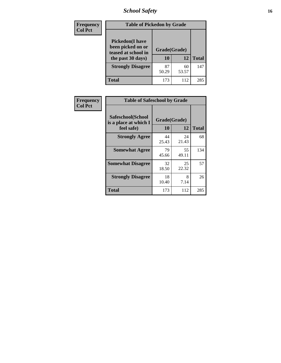# *School Safety* **16**

| Frequency      | <b>Table of Pickedon by Grade</b>                                                        |                    |              |     |
|----------------|------------------------------------------------------------------------------------------|--------------------|--------------|-----|
| <b>Col Pct</b> | <b>Pickedon</b> (I have<br>been picked on or<br>teased at school in<br>the past 30 days) | Grade(Grade)<br>10 | <b>Total</b> |     |
|                | <b>Strongly Disagree</b>                                                                 | 87<br>50.29        | 60<br>53.57  | 147 |
|                | Total                                                                                    | 173                | 112          | 285 |

| Frequency      | <b>Table of Safeschool by Grade</b>                      |                    |              |     |
|----------------|----------------------------------------------------------|--------------------|--------------|-----|
| <b>Col Pct</b> | Safeschool(School<br>is a place at which I<br>feel safe) | Grade(Grade)<br>10 | <b>Total</b> |     |
|                | <b>Strongly Agree</b>                                    | 44<br>25.43        | 24<br>21.43  | 68  |
|                | <b>Somewhat Agree</b>                                    | 79<br>45.66        | 55<br>49.11  | 134 |
|                | <b>Somewhat Disagree</b>                                 | 32<br>18.50        | 25<br>22.32  | 57  |
|                | <b>Strongly Disagree</b>                                 | 18<br>10.40        | 8<br>7.14    | 26  |
|                | Total                                                    | 173                | 112          | 285 |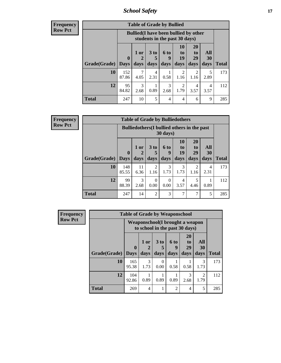*School Safety* **17**

| <b>Frequency</b> |  |
|------------------|--|
| Row Pct          |  |

| <b>Table of Grade by Bullied</b> |              |                                              |                      |                               |                |                        |           |              |  |  |  |
|----------------------------------|--------------|----------------------------------------------|----------------------|-------------------------------|----------------|------------------------|-----------|--------------|--|--|--|
|                                  |              | <b>Bullied</b> (I have been bullied by other |                      | students in the past 30 days) |                |                        |           |              |  |  |  |
|                                  | $\mathbf{0}$ | $1$ or                                       | 3 <sub>to</sub><br>5 | <b>6 to</b><br>9              | 10<br>to<br>19 | <b>20</b><br>to<br>29  | All<br>30 |              |  |  |  |
| Grade(Grade)   Days              |              | days                                         | days                 | days                          | days           | days                   | days      | <b>Total</b> |  |  |  |
| 10                               | 152<br>87.86 | 4.05                                         | 4<br>2.31            | 0.58                          | 1.16           | $\overline{2}$<br>1.16 | 5<br>2.89 | 173          |  |  |  |
| 12                               | 95<br>84.82  | 3<br>2.68                                    | 0.89                 | 3<br>2.68                     | 1.79           | 4<br>3.57              | 4<br>3.57 | 112          |  |  |  |
| <b>Total</b>                     | 247          | 10                                           | 5                    | $\overline{4}$                | $\overline{4}$ | 6                      | 9         | 285          |  |  |  |

| Frequency      |  |
|----------------|--|
| <b>Row Pct</b> |  |

| V | <b>Table of Grade by Bulliedothers</b> |                             |                                                                |                        |                          |                               |                               |                   |              |  |  |  |
|---|----------------------------------------|-----------------------------|----------------------------------------------------------------|------------------------|--------------------------|-------------------------------|-------------------------------|-------------------|--------------|--|--|--|
|   |                                        |                             | <b>Bulliedothers</b> (I bullied others in the past<br>30 days) |                        |                          |                               |                               |                   |              |  |  |  |
|   | Grade(Grade)                           | $\mathbf{0}$<br><b>Days</b> | 1 or<br>2<br>days                                              | 3 to<br>days           | <b>6 to</b><br>9<br>days | <b>10</b><br>to<br>19<br>days | <b>20</b><br>to<br>29<br>days | All<br>30<br>days | <b>Total</b> |  |  |  |
|   | 10                                     | 148<br>85.55                | 11<br>6.36                                                     | $\overline{c}$<br>1.16 | 3<br>1.73                | 3<br>1.73                     | $\overline{2}$<br>1.16        | 4<br>2.31         | 173          |  |  |  |
|   | 12                                     | 99<br>88.39                 | 3<br>2.68                                                      | 0<br>0.00              | 0<br>0.00                | 4<br>3.57                     | 5<br>4.46                     | 0.89              | 112          |  |  |  |
|   | <b>Total</b>                           | 247                         | 14                                                             | $\mathfrak{D}$         | 3                        | 7                             | 7                             | 5                 | 285          |  |  |  |

| <b>Frequency</b> |              | <b>Table of Grade by Weaponschool</b>                             |                       |                  |                   |                                           |                        |              |
|------------------|--------------|-------------------------------------------------------------------|-----------------------|------------------|-------------------|-------------------------------------------|------------------------|--------------|
| <b>Row Pct</b>   |              | Weaponschool(I brought a weapon<br>to school in the past 30 days) |                       |                  |                   |                                           |                        |              |
|                  | Grade(Grade) | $\bf{0}$<br><b>Days</b>                                           | 1 or<br>days          | 3 to<br>days     | 6 to<br>9<br>days | <b>20</b><br>t <sub>0</sub><br>29<br>days | All<br>30<br>days      | <b>Total</b> |
|                  | 10           | 165<br>95.38                                                      | $\mathcal{F}$<br>1.73 | $\Omega$<br>0.00 | 0.58              | 0.58                                      | 3<br>1.73              | 173          |
|                  | 12           | 104<br>92.86                                                      | 0.89                  | 0.89             | 0.89              | $\mathcal{R}$<br>2.68                     | $\mathfrak{D}$<br>1.79 | 112          |
|                  | <b>Total</b> | 269                                                               | $\overline{4}$        |                  | $\mathfrak{D}$    | 4                                         | 5                      | 285          |

h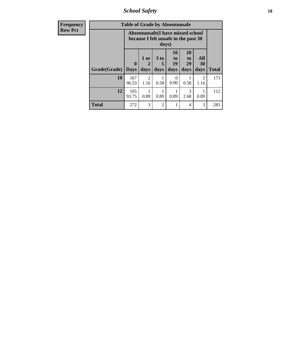*School Safety* **18**

| <b>Frequency</b> | <b>Table of Grade by Absentunsafe</b> |                                                                           |                             |                              |                               |                                           |                        |              |  |
|------------------|---------------------------------------|---------------------------------------------------------------------------|-----------------------------|------------------------------|-------------------------------|-------------------------------------------|------------------------|--------------|--|
| <b>Row Pct</b>   |                                       | Absentunsafe(I have missed school<br>because I felt unsafe in the past 30 |                             |                              |                               |                                           |                        |              |  |
|                  | Grade(Grade)                          | $\mathbf 0$<br><b>Days</b>                                                | 1 or<br>$\mathbf 2$<br>days | 3 <sub>to</sub><br>5<br>days | <b>10</b><br>to<br>19<br>days | <b>20</b><br>t <sub>0</sub><br>29<br>days | All<br>30<br>days      | <b>Total</b> |  |
|                  | 10                                    | 167<br>96.53                                                              | $\mathcal{D}$<br>1.16       | 0.58                         | $\Omega$<br>0.00              | 0.58                                      | $\mathfrak{D}$<br>1.16 | 173          |  |
|                  | 12                                    | 105<br>93.75                                                              | 0.89                        | 0.89                         | 0.89                          | 3<br>2.68                                 | 0.89                   | 112          |  |
|                  | <b>Total</b>                          | 272                                                                       | 3                           | $\overline{2}$               |                               | 4                                         | 3                      | 285          |  |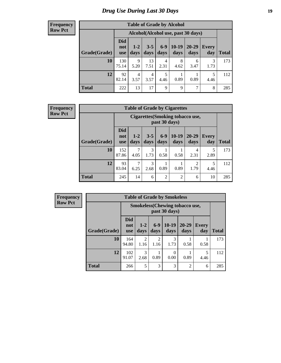# *Drug Use During Last 30 Days* **19**

#### **Frequency Row Pct**

| <b>Table of Grade by Alcohol</b> |                                 |                        |                 |               |                 |                                    |              |              |  |  |  |  |  |
|----------------------------------|---------------------------------|------------------------|-----------------|---------------|-----------------|------------------------------------|--------------|--------------|--|--|--|--|--|
|                                  |                                 |                        |                 |               |                 | Alcohol(Alcohol use, past 30 days) |              |              |  |  |  |  |  |
| Grade(Grade)                     | <b>Did</b><br>not<br><b>use</b> | $1-2$<br>days          | $3 - 5$<br>days | $6-9$<br>days | $10-19$<br>days | 20-29<br>days                      | Every<br>day | <b>Total</b> |  |  |  |  |  |
| 10                               | 130<br>75.14                    | 9<br>5.20              | 13<br>7.51      | 4<br>2.31     | 8<br>4.62       | 6<br>3.47                          | 3<br>1.73    | 173          |  |  |  |  |  |
| 12                               | 92<br>82.14                     | $\overline{4}$<br>3.57 | 4<br>3.57       | 5<br>4.46     | 0.89            | 0.89                               | 5<br>4.46    | 112          |  |  |  |  |  |
| <b>Total</b>                     | 222                             | 13                     | 17              | 9             | 9               | 7                                  | 8            | 285          |  |  |  |  |  |

#### **Frequency Row Pct**

| <b>Table of Grade by Cigarettes</b> |                                 |                                                   |                 |                 |                 |                        |                     |              |  |  |  |
|-------------------------------------|---------------------------------|---------------------------------------------------|-----------------|-----------------|-----------------|------------------------|---------------------|--------------|--|--|--|
|                                     |                                 | Cigarettes (Smoking tobacco use,<br>past 30 days) |                 |                 |                 |                        |                     |              |  |  |  |
| Grade(Grade)                        | <b>Did</b><br>not<br><b>use</b> | $1 - 2$<br>days                                   | $3 - 5$<br>days | $6 - 9$<br>days | $10-19$<br>days | 20-29<br>days          | <b>Every</b><br>day | <b>Total</b> |  |  |  |
| 10                                  | 152<br>87.86                    | 7<br>4.05                                         | 3<br>1.73       | 0.58            | 0.58            | 4<br>2.31              | 5<br>2.89           | 173          |  |  |  |
| 12                                  | 93<br>83.04                     | 7<br>6.25                                         | 3<br>2.68       | 0.89            | 0.89            | $\overline{2}$<br>1.79 | 5<br>4.46           | 112          |  |  |  |
| <b>Total</b>                        | 245                             | 14                                                | 6               | $\overline{2}$  | $\overline{2}$  | 6                      | 10                  | 285          |  |  |  |

| <b>Table of Grade by Smokeless</b> |                                 |                                                        |                        |                 |                   |                     |              |  |  |  |  |
|------------------------------------|---------------------------------|--------------------------------------------------------|------------------------|-----------------|-------------------|---------------------|--------------|--|--|--|--|
|                                    |                                 | <b>Smokeless</b> (Chewing tobaccouse,<br>past 30 days) |                        |                 |                   |                     |              |  |  |  |  |
| Grade(Grade)                       | <b>Did</b><br>not<br><b>use</b> | $1 - 2$<br>days                                        | $6-9$<br>days          | $10-19$<br>days | $20 - 29$<br>days | <b>Every</b><br>day | <b>Total</b> |  |  |  |  |
| 10                                 | 164<br>94.80                    | $\mathfrak{D}$<br>1.16                                 | $\mathfrak{D}$<br>1.16 | 3<br>1.73       | 0.58              | 0.58                | 173          |  |  |  |  |
| 12                                 | 102<br>91.07                    | 3<br>2.68                                              | 0.89                   | 0<br>0.00       | 0.89              | 5<br>4.46           | 112          |  |  |  |  |
| <b>Total</b>                       | 266                             | 5                                                      | 3                      | 3               | $\overline{2}$    | 6                   | 285          |  |  |  |  |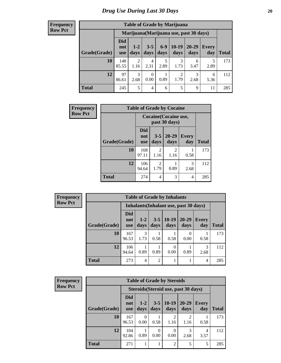| <b>Table of Grade by Marijuana</b> |                          |                 |                  |               |                        |                                         |              |       |  |  |  |  |
|------------------------------------|--------------------------|-----------------|------------------|---------------|------------------------|-----------------------------------------|--------------|-------|--|--|--|--|
|                                    |                          |                 |                  |               |                        | Marijuana (Marijuana use, past 30 days) |              |       |  |  |  |  |
| Grade(Grade)                       | Did<br>not<br><b>use</b> | $1 - 2$<br>days | $3 - 5$<br>days  | $6-9$<br>days | $10-19$<br>days        | 20-29<br>days                           | Every<br>day | Total |  |  |  |  |
| 10                                 | 148<br>85.55             | 2<br>1.16       | 4<br>2.31        | 5<br>2.89     | 3<br>1.73              | 6<br>3.47                               | 5<br>2.89    | 173   |  |  |  |  |
| 12                                 | 97<br>86.61              | 3<br>2.68       | $\theta$<br>0.00 | 0.89          | $\overline{2}$<br>1.79 | 3<br>2.68                               | 6<br>5.36    | 112   |  |  |  |  |
| <b>Total</b>                       | 245                      | 5               | 4                | 6             | 5                      | 9                                       | 11           | 285   |  |  |  |  |

| Frequency      | <b>Table of Grade by Cocaine</b> |                                 |                        |                   |                     |              |
|----------------|----------------------------------|---------------------------------|------------------------|-------------------|---------------------|--------------|
| <b>Row Pct</b> |                                  | Cocaine (Cocaine use,           |                        |                   |                     |              |
|                | Grade(Grade)                     | <b>Did</b><br>not<br><b>use</b> | $3 - 5$<br>days        | $20 - 29$<br>days | <b>Every</b><br>day | <b>Total</b> |
|                | 10                               | 168<br>97.11                    | $\mathcal{D}$<br>1.16  | 2<br>1.16         | 0.58                | 173          |
|                | 12                               | 106<br>94.64                    | $\mathfrak{D}$<br>1.79 | 0.89              | 3<br>2.68           | 112          |
|                | <b>Total</b>                     | 274                             | 4                      | 3                 | 4                   | 285          |

| Frequency      | <b>Table of Grade by Inhalants</b> |                                 |                 |                 |                                        |                   |                     |              |
|----------------|------------------------------------|---------------------------------|-----------------|-----------------|----------------------------------------|-------------------|---------------------|--------------|
| <b>Row Pct</b> |                                    |                                 |                 |                 | Inhalants (Inhalant use, past 30 days) |                   |                     |              |
|                | Grade(Grade)                       | <b>Did</b><br>not<br><b>use</b> | $1 - 2$<br>days | $3 - 5$<br>days | $10-19$<br>days                        | $20 - 29$<br>days | <b>Every</b><br>day | <b>Total</b> |
|                | 10                                 | 167<br>96.53                    | 3<br>1.73       | 0.58            | 0.58                                   | 0<br>0.00         | 0.58                | 173          |
|                | 12                                 | 106<br>94.64                    | 0.89            | 0.89            | 0.00                                   | 0.89              | 3<br>2.68           | 112          |
|                | <b>Total</b>                       | 273                             | $\overline{4}$  | 2               |                                        |                   | 4                   | 285          |

| <b>Frequency</b> |
|------------------|
| <b>Row Pct</b>   |

| <b>Table of Grade by Steroids</b> |                                 |                                      |                 |                        |                        |                     |       |  |  |  |
|-----------------------------------|---------------------------------|--------------------------------------|-----------------|------------------------|------------------------|---------------------|-------|--|--|--|
|                                   |                                 | Steroids (Steroid use, past 30 days) |                 |                        |                        |                     |       |  |  |  |
| Grade(Grade)                      | <b>Did</b><br>not<br><b>use</b> | $1 - 2$<br>days                      | $3 - 5$<br>days | $10-19$<br>days        | 20-29<br>days          | <b>Every</b><br>day | Total |  |  |  |
| 10                                | 167<br>96.53                    | 0<br>0.00                            | 0.58            | $\overline{2}$<br>1.16 | $\mathfrak{D}$<br>1.16 | 0.58                | 173   |  |  |  |
| 12                                | 104<br>92.86                    | 0.89                                 | 0<br>0.00       | 0.00                   | 3<br>2.68              | 4<br>3.57           | 112   |  |  |  |
| <b>Total</b>                      | 271                             |                                      | T               | $\overline{2}$         | 5                      | 5                   | 285   |  |  |  |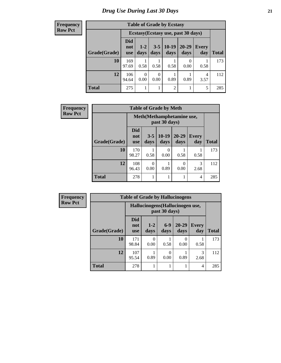| <b>Table of Grade by Ecstasy</b> |                          |                                     |                 |                 |                   |                     |              |  |  |  |
|----------------------------------|--------------------------|-------------------------------------|-----------------|-----------------|-------------------|---------------------|--------------|--|--|--|
|                                  |                          | Ecstasy (Ecstasy use, past 30 days) |                 |                 |                   |                     |              |  |  |  |
| Grade(Grade)                     | Did<br>not<br><b>use</b> | $1 - 2$<br>days                     | $3 - 5$<br>days | $10-19$<br>days | $20 - 29$<br>days | <b>Every</b><br>day | <b>Total</b> |  |  |  |
| 10                               | 169<br>97.69             | 0.58                                | 0.58            | 0.58            | 0.00              | 0.58                | 173          |  |  |  |
| 12                               | 106<br>94.64             | $\theta$<br>0.00                    | 0<br>0.00       | 0.89            | 0.89              | 4<br>3.57           | 112          |  |  |  |
| <b>Total</b>                     | 275                      |                                     |                 | $\overline{2}$  |                   | 5                   | 285          |  |  |  |

| <b>Frequency</b> | <b>Table of Grade by Meth</b> |                                 |                                             |                 |                   |                     |              |  |  |
|------------------|-------------------------------|---------------------------------|---------------------------------------------|-----------------|-------------------|---------------------|--------------|--|--|
| <b>Row Pct</b>   |                               |                                 | Meth (Methamphetamine use,<br>past 30 days) |                 |                   |                     |              |  |  |
|                  | Grade(Grade)                  | <b>Did</b><br>not<br><b>use</b> | $3 - 5$<br>days                             | $10-19$<br>days | $20 - 29$<br>days | <b>Every</b><br>day | <b>Total</b> |  |  |
|                  | 10                            | 170<br>98.27                    | 0.58                                        | 0<br>0.00       | 0.58              | 0.58                | 173          |  |  |
|                  | 12                            | 108<br>96.43                    | 0.00                                        | 0.89            | 0<br>0.00         | 3<br>2.68           | 112          |  |  |
|                  | <b>Total</b>                  | 278                             |                                             |                 | 1                 | 4                   | 285          |  |  |

| <b>Frequency</b> |              | <b>Table of Grade by Hallucinogens</b> |                                  |                  |                   |                     |              |
|------------------|--------------|----------------------------------------|----------------------------------|------------------|-------------------|---------------------|--------------|
| <b>Row Pct</b>   |              |                                        | Hallucinogens (Hallucinogen use, |                  |                   |                     |              |
|                  | Grade(Grade) | <b>Did</b><br>not<br><b>use</b>        | $1-2$<br>days                    | $6 - 9$<br>days  | $20 - 29$<br>days | <b>Every</b><br>day | <b>Total</b> |
|                  | 10           | 171<br>98.84                           | $\left( \right)$<br>0.00         | 0.58             | 0<br>0.00         | 0.58                | 173          |
|                  | 12           | 107<br>95.54                           | 0.89                             | $\Omega$<br>0.00 | 0.89              | 3<br>2.68           | 112          |
|                  | <b>Total</b> | 278                                    |                                  |                  | 1                 | $\overline{4}$      | 285          |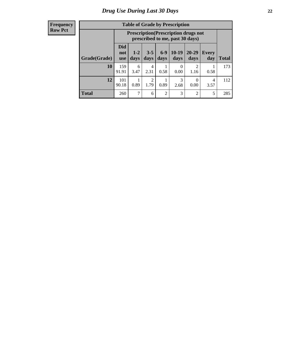| <b>Table of Grade by Prescription</b> |                                 |                                                                                                                      |           |                |           |                                     |      |     |  |
|---------------------------------------|---------------------------------|----------------------------------------------------------------------------------------------------------------------|-----------|----------------|-----------|-------------------------------------|------|-----|--|
|                                       |                                 | <b>Prescription</b> (Prescription drugs not<br>prescribed to me, past 30 days)                                       |           |                |           |                                     |      |     |  |
| Grade(Grade)                          | <b>Did</b><br>not<br><b>use</b> | $6-9$<br>$10-19$<br>$20 - 29$<br>$3 - 5$<br>$1 - 2$<br>Every<br>days<br>days<br>days<br>days<br>day<br>Total<br>days |           |                |           |                                     |      |     |  |
| 10                                    | 159<br>91.91                    | 6<br>3.47                                                                                                            | 4<br>2.31 | 0.58           | 0<br>0.00 | $\mathcal{D}_{\mathcal{A}}$<br>1.16 | 0.58 | 173 |  |
| 12                                    | 101<br>90.18                    | 3<br>2<br>$\left( \right)$<br>4<br>0.89<br>1.79<br>0.89<br>2.68<br>0.00<br>3.57                                      |           |                |           |                                     |      |     |  |
| <b>Total</b>                          | 260                             | 7                                                                                                                    | 6         | $\overline{2}$ | 3         | $\overline{2}$                      | 5    | 285 |  |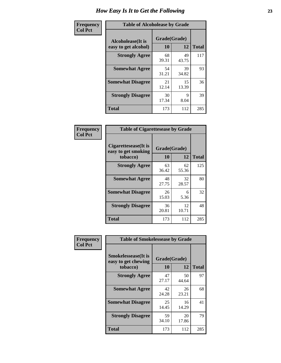| Frequency      | <b>Table of Alcoholease by Grade</b>              |                    |              |     |  |  |
|----------------|---------------------------------------------------|--------------------|--------------|-----|--|--|
| <b>Col Pct</b> | <b>Alcoholease</b> (It is<br>easy to get alcohol) | Grade(Grade)<br>10 | <b>Total</b> |     |  |  |
|                | <b>Strongly Agree</b>                             | 68<br>39.31        | 49<br>43.75  | 117 |  |  |
|                | <b>Somewhat Agree</b>                             | 54<br>31.21        | 39<br>34.82  | 93  |  |  |
|                | <b>Somewhat Disagree</b>                          | 21<br>12.14        | 15<br>13.39  | 36  |  |  |
|                | <b>Strongly Disagree</b>                          | 30<br>17.34        | 9<br>8.04    | 39  |  |  |
|                | <b>Total</b>                                      | 173                | 112          | 285 |  |  |

| <b>Frequency</b> | <b>Table of Cigarettesease by Grade</b>                 |                    |             |              |
|------------------|---------------------------------------------------------|--------------------|-------------|--------------|
| <b>Col Pct</b>   | Cigarettesease(It is<br>easy to get smoking<br>tobacco) | Grade(Grade)<br>10 | 12          | <b>Total</b> |
|                  | <b>Strongly Agree</b>                                   | 63<br>36.42        | 62<br>55.36 | 125          |
|                  | <b>Somewhat Agree</b>                                   | 48<br>27.75        | 32<br>28.57 | 80           |
|                  | <b>Somewhat Disagree</b>                                | 26<br>15.03        | 6<br>5.36   | 32           |
|                  | <b>Strongly Disagree</b>                                | 36<br>20.81        | 12<br>10.71 | 48           |
|                  | <b>Total</b>                                            | 173                | 112         | 285          |

| Frequency      | <b>Table of Smokelessease by Grade</b>             |              |             |              |  |  |
|----------------|----------------------------------------------------|--------------|-------------|--------------|--|--|
| <b>Col Pct</b> | <b>Smokelessease</b> (It is<br>easy to get chewing | Grade(Grade) |             |              |  |  |
|                | tobacco)                                           | 10           | 12          | <b>Total</b> |  |  |
|                | <b>Strongly Agree</b>                              | 47<br>27.17  | 50<br>44.64 | 97           |  |  |
|                | <b>Somewhat Agree</b>                              | 42<br>24.28  | 26<br>23.21 | 68           |  |  |
|                | <b>Somewhat Disagree</b>                           | 25<br>14.45  | 16<br>14.29 | 41           |  |  |
|                | <b>Strongly Disagree</b>                           | 59<br>34.10  | 20<br>17.86 | 79           |  |  |
|                | Total                                              | 173          | 112         | 285          |  |  |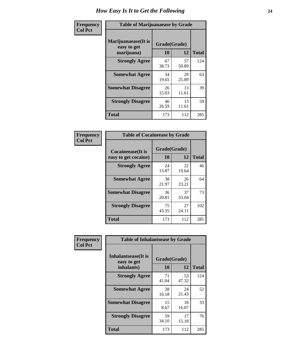| Frequency      | <b>Table of Marijuanaease by Grade</b>           |                    |             |              |  |  |
|----------------|--------------------------------------------------|--------------------|-------------|--------------|--|--|
| <b>Col Pct</b> | Marijuanaease(It is<br>easy to get<br>marijuana) | Grade(Grade)<br>10 | 12          | <b>Total</b> |  |  |
|                | <b>Strongly Agree</b>                            | 67<br>38.73        | 57<br>50.89 | 124          |  |  |
|                | <b>Somewhat Agree</b>                            | 34<br>19.65        | 29<br>25.89 | 63           |  |  |
|                | <b>Somewhat Disagree</b>                         | 26<br>15.03        | 13<br>11.61 | 39           |  |  |
|                | <b>Strongly Disagree</b>                         | 46<br>26.59        | 13<br>11.61 | 59           |  |  |
|                | <b>Total</b>                                     | 173                | 112         | 285          |  |  |

| <b>Table of Cocaineease by Grade</b>              |                    |              |     |  |  |  |  |  |  |  |
|---------------------------------------------------|--------------------|--------------|-----|--|--|--|--|--|--|--|
| <b>Cocaineease</b> (It is<br>easy to get cocaine) | Grade(Grade)<br>10 | <b>Total</b> |     |  |  |  |  |  |  |  |
| <b>Strongly Agree</b>                             | 24<br>13.87        | 22<br>19.64  | 46  |  |  |  |  |  |  |  |
| <b>Somewhat Agree</b>                             | 38<br>21.97        | 26<br>23.21  | 64  |  |  |  |  |  |  |  |
| <b>Somewhat Disagree</b>                          | 36<br>20.81        | 37<br>33.04  | 73  |  |  |  |  |  |  |  |
| <b>Strongly Disagree</b>                          | 75<br>43.35        | 27<br>24.11  | 102 |  |  |  |  |  |  |  |
| <b>Total</b>                                      | 173                | 112          | 285 |  |  |  |  |  |  |  |

| Frequency      | <b>Table of Inhalantsease by Grade</b>           |                    |             |              |
|----------------|--------------------------------------------------|--------------------|-------------|--------------|
| <b>Col Pct</b> | Inhalantsease(It is<br>easy to get<br>inhalants) | Grade(Grade)<br>10 | 12          | <b>Total</b> |
|                | <b>Strongly Agree</b>                            | 71<br>41.04        | 53<br>47.32 | 124          |
|                | <b>Somewhat Agree</b>                            | 28<br>16.18        | 24<br>21.43 | 52           |
|                | <b>Somewhat Disagree</b>                         | 15<br>8.67         | 18<br>16.07 | 33           |
|                | <b>Strongly Disagree</b>                         | 59<br>34.10        | 17<br>15.18 | 76           |
|                | <b>Total</b>                                     | 173                | 112         | 285          |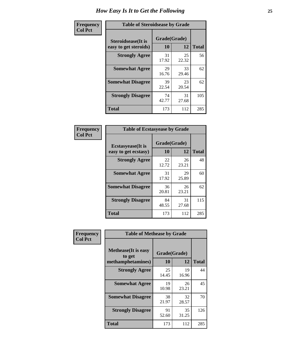| Frequency      | <b>Table of Steroidsease by Grade</b>               |                    |             |              |  |  |  |  |  |  |  |  |
|----------------|-----------------------------------------------------|--------------------|-------------|--------------|--|--|--|--|--|--|--|--|
| <b>Col Pct</b> | <b>Steroidsease</b> (It is<br>easy to get steroids) | Grade(Grade)<br>10 | 12          | <b>Total</b> |  |  |  |  |  |  |  |  |
|                | <b>Strongly Agree</b>                               | 31<br>17.92        | 25<br>22.32 | 56           |  |  |  |  |  |  |  |  |
|                | <b>Somewhat Agree</b>                               | 29<br>16.76        | 33<br>29.46 | 62           |  |  |  |  |  |  |  |  |
|                | <b>Somewhat Disagree</b>                            | 39<br>22.54        | 23<br>20.54 | 62           |  |  |  |  |  |  |  |  |
|                | <b>Strongly Disagree</b>                            | 74<br>42.77        | 31<br>27.68 | 105          |  |  |  |  |  |  |  |  |
|                | <b>Total</b>                                        | 173                | 112         | 285          |  |  |  |  |  |  |  |  |

| Frequency      | <b>Table of Ecstasyease by Grade</b>              |                           |             |              |
|----------------|---------------------------------------------------|---------------------------|-------------|--------------|
| <b>Col Pct</b> | <b>Ecstasyease</b> (It is<br>easy to get ecstasy) | Grade(Grade)<br><b>10</b> | 12          | <b>Total</b> |
|                | <b>Strongly Agree</b>                             | 22<br>12.72               | 26<br>23.21 | 48           |
|                | <b>Somewhat Agree</b>                             | 31<br>17.92               | 29<br>25.89 | 60           |
|                | <b>Somewhat Disagree</b>                          | 36<br>20.81               | 26<br>23.21 | 62           |
|                | <b>Strongly Disagree</b>                          | 84<br>48.55               | 31<br>27.68 | 115          |
|                | <b>Total</b>                                      | 173                       | 112         | 285          |

| Frequency      | <b>Table of Methease by Grade</b>     |              |             |              |
|----------------|---------------------------------------|--------------|-------------|--------------|
| <b>Col Pct</b> | <b>Methease</b> (It is easy<br>to get | Grade(Grade) |             |              |
|                | methamphetamines)                     | 10           | 12          | <b>Total</b> |
|                | <b>Strongly Agree</b>                 | 25<br>14.45  | 19<br>16.96 | 44           |
|                | <b>Somewhat Agree</b>                 | 19<br>10.98  | 26<br>23.21 | 45           |
|                | <b>Somewhat Disagree</b>              | 38<br>21.97  | 32<br>28.57 | 70           |
|                | <b>Strongly Disagree</b>              | 91<br>52.60  | 35<br>31.25 | 126          |
|                | Total                                 | 173          | 112         | 285          |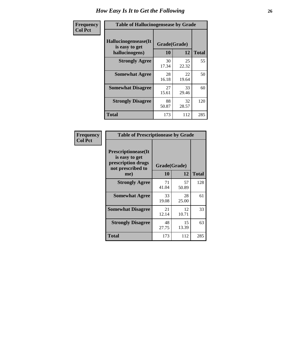| <b>Frequency</b> | <b>Table of Hallucinogensease by Grade</b>                |                    |             |              |
|------------------|-----------------------------------------------------------|--------------------|-------------|--------------|
| <b>Col Pct</b>   | Hallucinogensease(It)<br>is easy to get<br>hallucinogens) | Grade(Grade)<br>10 | 12          | <b>Total</b> |
|                  | <b>Strongly Agree</b>                                     | 30<br>17.34        | 25<br>22.32 | 55           |
|                  | <b>Somewhat Agree</b>                                     | 28<br>16.18        | 22<br>19.64 | 50           |
|                  | <b>Somewhat Disagree</b>                                  | 27<br>15.61        | 33<br>29.46 | 60           |
|                  | <b>Strongly Disagree</b>                                  | 88<br>50.87        | 32<br>28.57 | 120          |
|                  | <b>Total</b>                                              | 173                | 112         | 285          |

| Frequency<br>  Col Pct |
|------------------------|
|                        |

| <b>Table of Prescriptionease by Grade</b>                                               |             |              |              |  |  |  |  |  |  |  |
|-----------------------------------------------------------------------------------------|-------------|--------------|--------------|--|--|--|--|--|--|--|
| <b>Prescriptionease(It</b><br>is easy to get<br>prescription drugs<br>not prescribed to |             | Grade(Grade) |              |  |  |  |  |  |  |  |
| me)                                                                                     | 10          | 12           | <b>Total</b> |  |  |  |  |  |  |  |
| <b>Strongly Agree</b>                                                                   | 71<br>41.04 | 57<br>50.89  | 128          |  |  |  |  |  |  |  |
| <b>Somewhat Agree</b>                                                                   | 33<br>19.08 | 28<br>25.00  | 61           |  |  |  |  |  |  |  |
| <b>Somewhat Disagree</b>                                                                | 21<br>12.14 | 12<br>10.71  | 33           |  |  |  |  |  |  |  |
| <b>Strongly Disagree</b>                                                                | 48<br>27.75 | 15<br>13.39  | 63           |  |  |  |  |  |  |  |
| <b>Total</b>                                                                            | 173         | 112          | 285          |  |  |  |  |  |  |  |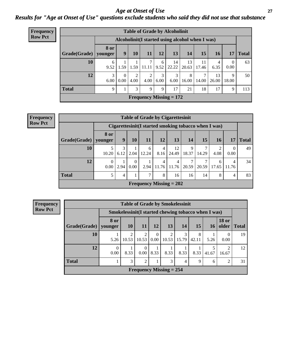### *Age at Onset of Use* **27** *Results for "Age at Onset of Use" questions exclude students who said they did not use that substance*

| <b>Frequency</b> | <b>Table of Grade by Alcoholinit</b> |             |                                                  |      |                        |           |                           |             |             |             |                        |              |  |  |
|------------------|--------------------------------------|-------------|--------------------------------------------------|------|------------------------|-----------|---------------------------|-------------|-------------|-------------|------------------------|--------------|--|--|
| <b>Row Pct</b>   |                                      |             | Alcoholinit (I started using alcohol when I was) |      |                        |           |                           |             |             |             |                        |              |  |  |
|                  | Grade(Grade)   younger               | <b>8 or</b> | 9                                                | 10   | <b>11</b>              | 12        | 13                        | 14          | 15          | <b>16</b>   | 17                     | <b>Total</b> |  |  |
|                  | 10                                   | 6<br>9.52   | 1.59                                             | 1.59 | 7<br>11.11             | 6<br>9.52 | 14<br>22.22               | 13<br>20.63 | 11<br>17.46 | 4<br>6.35   | $\overline{0}$<br>0.00 | 63           |  |  |
|                  | 12                                   | 3<br>6.00   | $\Omega$<br>0.00                                 | 4.00 | $\overline{2}$<br>4.00 | 3<br>6.00 | 3<br>6.00                 | 8<br>16.00  | 14.00       | 13<br>26.00 | 9<br>18.00             | 50           |  |  |
|                  | <b>Total</b>                         | 9           |                                                  | 3    | 9                      | 9         | 17                        | 21          | 18          | 17          | 9                      | 113          |  |  |
|                  |                                      |             |                                                  |      |                        |           | Frequency Missing $= 172$ |             |             |             |                        |              |  |  |

#### **Frequency Row Pct**

|                        | <b>Table of Grade by Cigarettesinit</b> |           |      |                                                       |                        |             |            |            |                        |                  |              |  |  |  |
|------------------------|-----------------------------------------|-----------|------|-------------------------------------------------------|------------------------|-------------|------------|------------|------------------------|------------------|--------------|--|--|--|
|                        |                                         |           |      | Cigarettesinit (I started smoking tobacco when I was) |                        |             |            |            |                        |                  |              |  |  |  |
| Grade(Grade)   younger | <b>8 or</b>                             | 9         | 10   | <b>11</b>                                             | 12                     | 13          | 14         | <b>15</b>  | <b>16</b>              | 17               | <b>Total</b> |  |  |  |
| 10                     | 10.20                                   | 3<br>6.12 | 2.04 | 6<br>12.24                                            | $\overline{4}$<br>8.16 | 12<br>24.49 | 9<br>18.37 | ┑<br>14.29 | $\overline{2}$<br>4.08 | $\Omega$<br>0.00 | 49           |  |  |  |
| 12                     | 0<br>0.00                               | 2.94      | 0.00 | 2.94                                                  | 4<br>11.76             | 4<br>11.76  | 20.59      | ⇁<br>20.59 | 6<br>17.65             | 4<br>11.76       | 34           |  |  |  |
| <b>Total</b>           | 5                                       | 4         |      | $\mathcal{I}$                                         | 8                      | 16          | 16         | 14         | 8                      | 4                | 83           |  |  |  |
|                        |                                         |           |      | Frequency Missing $= 202$                             |                        |             |            |            |                        |                  |              |  |  |  |

|                        | <b>Table of Grade by Smokelessinit</b> |                                                      |                |                  |                           |            |             |       |                       |              |  |  |  |
|------------------------|----------------------------------------|------------------------------------------------------|----------------|------------------|---------------------------|------------|-------------|-------|-----------------------|--------------|--|--|--|
|                        |                                        | Smokelessinit (I started chewing tobacco when I was) |                |                  |                           |            |             |       |                       |              |  |  |  |
| Grade(Grade)   younger | 8 or                                   | <b>10</b>                                            | 11             | <b>12</b>        | 13                        | 14         | 15          | 16    | <b>18 or</b><br>older | <b>Total</b> |  |  |  |
| 10                     | 5.26                                   | $\mathfrak{D}$<br>10.53                              | 2<br>10.53     | $\Omega$<br>0.00 | 10.53                     | 3<br>15.79 | 8<br>42.11  | 5.26  | 0.00                  | 19           |  |  |  |
| 12                     | 0<br>0.00                              | 8.33                                                 | 0.00           | 8.33             | 8.33                      | 8.33       | 8.33        | 41.67 | 16.67                 | 12           |  |  |  |
| <b>Total</b>           |                                        | 3                                                    | $\mathfrak{D}$ |                  | 3                         | 4          | $\mathbf Q$ | 6     | $\mathcal{D}$         | 31           |  |  |  |
|                        |                                        |                                                      |                |                  | Frequency Missing $= 254$ |            |             |       |                       |              |  |  |  |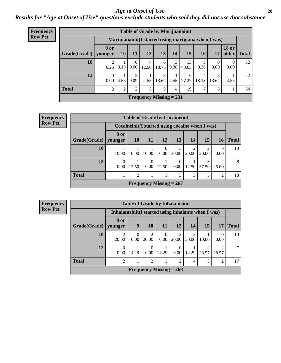#### *Age at Onset of Use* **28**

*Results for "Age at Onset of Use" questions exclude students who said they did not use that substance*

| Frequency      | <b>Table of Grade by Marijuanainit</b> |                |      |           |                           |                     |           |                                                      |            |       |                       |              |
|----------------|----------------------------------------|----------------|------|-----------|---------------------------|---------------------|-----------|------------------------------------------------------|------------|-------|-----------------------|--------------|
| <b>Row Pct</b> |                                        |                |      |           |                           |                     |           | Marijuanainit (I started using marijuana when I was) |            |       |                       |              |
|                | Grade(Grade)   younger                 | <b>8 or</b>    | 10   | 11        | 12                        | 13                  | 14        | 15 <sup>15</sup>                                     | 16         | 17    | <b>18 or</b><br>older | <b>Total</b> |
|                | 10                                     | 6.25           | 3.13 | 0<br>0.00 | 4<br>12.50                | 6<br>18.75          | 3<br>9.38 | 13<br>40.63                                          | 3<br>9.38  | 0.00  | $\Omega$<br>0.00      | 32           |
|                | 12                                     | 0<br>0.00      | 4.55 | ∍<br>9.09 |                           | 3<br>$4.55$   13.64 | 4.55      | 6<br>27.27                                           | 4<br>18.18 | 13.64 | 4.55                  | 22           |
|                | <b>Total</b>                           | $\overline{c}$ | 2    | ↑         | 5                         | 9                   | 4         | 19                                                   | ⇁          | 3     |                       | 54           |
|                |                                        |                |      |           | Frequency Missing $= 231$ |                     |           |                                                      |            |       |                       |              |

| <b>Frequency</b> |                        |                  | <b>Table of Grade by Cocaineinit</b> |           |                           |           |               |                                                  |                |              |
|------------------|------------------------|------------------|--------------------------------------|-----------|---------------------------|-----------|---------------|--------------------------------------------------|----------------|--------------|
| <b>Row Pct</b>   |                        |                  |                                      |           |                           |           |               | Cocaineinit (I started using cocaine when I was) |                |              |
|                  | Grade(Grade)   younger | 8 or             | <b>10</b>                            | <b>11</b> | 12                        | <b>13</b> | <b>14</b>     | 15                                               | 16             | <b>Total</b> |
|                  | 10                     | 10.00            | 10.00                                | 10.00     | $\theta$<br>0.00          | 30.00     | 20.00         | 2<br>20.00                                       | 0.00           | 10           |
|                  | 12                     | $\theta$<br>0.00 | 12.50                                | 0.00      | 12.50                     | 0<br>0.00 | 12.50         | 3<br>$37.50 \mid 25.00$                          | ∍              | 8            |
|                  | <b>Total</b>           |                  | 2                                    |           |                           | 3         | $\mathcal{F}$ | 5                                                | $\overline{2}$ | 18           |
|                  |                        |                  |                                      |           | Frequency Missing $= 267$ |           |               |                                                  |                |              |

| <b>Frequency</b> | <b>Table of Grade by Inhalantsinit</b> |                                                      |                  |                            |                                |                |            |            |                |              |
|------------------|----------------------------------------|------------------------------------------------------|------------------|----------------------------|--------------------------------|----------------|------------|------------|----------------|--------------|
| <b>Row Pct</b>   |                                        | Inhalantsinit (I started using inhalants when I was) |                  |                            |                                |                |            |            |                |              |
|                  | Grade(Grade)                           | 8 or<br>younger                                      | 9                | 10                         | 11                             | 12             | 14         | 15         | 17             | <b>Total</b> |
|                  | 10                                     | 2<br>20.00                                           | $\theta$<br>0.00 | $\overline{c}$<br>20.00    | $\theta$<br>0.00               | 20.00          | 3<br>30.00 | 10.00      | 0.00           | 10           |
|                  | 12                                     | $\Omega$<br>0.00                                     | 14.29            | $\Omega$<br>$0.00^{\circ}$ | 14.29                          | 0.00           | 14.29      | ↑<br>28.57 | ◠<br>28.57     | 7            |
|                  | <b>Total</b>                           | $\overline{2}$                                       |                  | $\mathfrak{D}$             |                                | $\overline{2}$ | 4          | 3          | $\overline{2}$ | 17           |
|                  |                                        |                                                      |                  |                            | <b>Frequency Missing = 268</b> |                |            |            |                |              |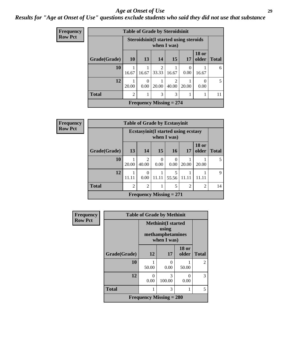#### *Age at Onset of Use* **29**

### *Results for "Age at Onset of Use" questions exclude students who said they did not use that substance*

| <b>Frequency</b> |              | <b>Table of Grade by Steroidsinit</b> |                  |            |                                                              |           |                       |              |
|------------------|--------------|---------------------------------------|------------------|------------|--------------------------------------------------------------|-----------|-----------------------|--------------|
| <b>Row Pct</b>   |              |                                       |                  |            | <b>Steroidsinit (I started using steroids</b><br>when I was) |           |                       |              |
|                  | Grade(Grade) | <b>10</b>                             | 13               | 14         | 15                                                           | 17        | <b>18 or</b><br>older | <b>Total</b> |
|                  | 10           | 16.67                                 | 16.67            | 2<br>33.33 | 16.67                                                        | 0<br>0.00 | 16.67                 | 6            |
|                  | 12           | 20.00                                 | $\theta$<br>0.00 | 20.00      | $\mathfrak{D}$<br>40.00                                      | 20.00     | $\Omega$<br>0.00      | .5           |
|                  | <b>Total</b> | $\overline{2}$                        | л                | 3          | 3                                                            |           |                       | 11           |
|                  |              |                                       |                  |            | Frequency Missing $= 274$                                    |           |                       |              |

| Frequency      |              |                             |                  | <b>Table of Grade by Ecstasyinit</b>        |                  |                |                       |              |
|----------------|--------------|-----------------------------|------------------|---------------------------------------------|------------------|----------------|-----------------------|--------------|
| <b>Row Pct</b> |              |                             |                  | <b>Ecstasyinit</b> (I started using ecstasy | when I was)      |                |                       |              |
|                | Grade(Grade) | 13                          | 14               | 15                                          | <b>16</b>        | 17             | <b>18 or</b><br>older | <b>Total</b> |
|                | 10           | 20.00                       | 2<br>40.00       | $\Omega$<br>0.00                            | $\Omega$<br>0.00 | 20.00          | 20.00                 | 5            |
|                | 12           | 11.11                       | $\Omega$<br>0.00 | 11.11                                       | 5<br>55.56       | 11.11          |                       | 9            |
|                | <b>Total</b> | $\mathcal{D}_{\mathcal{A}}$ | $\overline{2}$   | 1                                           | 5                | $\overline{2}$ | $\overline{2}$        | 14           |
|                |              |                             |                  | Frequency Missing $= 271$                   |                  |                |                       |              |

| Frequency      | <b>Table of Grade by Methinit</b> |           |                                                                       |                       |              |  |  |  |  |
|----------------|-----------------------------------|-----------|-----------------------------------------------------------------------|-----------------------|--------------|--|--|--|--|
| <b>Row Pct</b> |                                   |           | <b>Methinit(I started</b><br>using<br>methamphetamines<br>when I was) |                       |              |  |  |  |  |
|                | Grade(Grade)                      | 12        | 17                                                                    | <b>18 or</b><br>older | <b>Total</b> |  |  |  |  |
|                | 10                                | 50.00     | 0<br>0.00                                                             | 50.00                 | 2            |  |  |  |  |
|                | 12                                | 0<br>0.00 | 3<br>100.00                                                           | 0<br>0.00             | 3            |  |  |  |  |
|                | <b>Total</b>                      | 1         | 3                                                                     | 1                     | 5            |  |  |  |  |
|                | <b>Frequency Missing = 280</b>    |           |                                                                       |                       |              |  |  |  |  |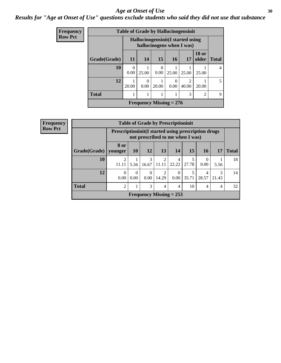#### Age at Onset of Use **30**

### *Results for "Age at Onset of Use" questions exclude students who said they did not use that substance*

| <b>Frequency</b> |                           |           |                  |                  |       | <b>Table of Grade by Hallucinogensinit</b>                      |                       |              |
|------------------|---------------------------|-----------|------------------|------------------|-------|-----------------------------------------------------------------|-----------------------|--------------|
| <b>Row Pct</b>   |                           |           |                  |                  |       | Hallucinogensinit (I started using<br>hallucinogens when I was) |                       |              |
|                  | Grade(Grade)              | 11        | 14               | 15               | 16    | 17                                                              | <b>18 or</b><br>older | <b>Total</b> |
|                  | 10                        | 0<br>0.00 | 25.00            | $\Omega$<br>0.00 | 25.00 | 25.00                                                           | 25.00                 | 4            |
|                  | 12                        | 20.00     | $\theta$<br>0.00 | 20.00            | 0.00  | っ<br>40.00                                                      | 20.00                 | 5.           |
|                  | <b>Total</b>              |           |                  |                  |       | 3                                                               | $\overline{c}$        | 9            |
|                  | Frequency Missing $= 276$ |           |                  |                  |       |                                                                 |                       |              |

| <b>Frequency</b> |              |                                                     |                  |                        |                         | <b>Table of Grade by Prescriptioninit</b> |       |                  |            |              |
|------------------|--------------|-----------------------------------------------------|------------------|------------------------|-------------------------|-------------------------------------------|-------|------------------|------------|--------------|
| <b>Row Pct</b>   |              | Prescriptioninit(I started using prescription drugs |                  |                        |                         | not prescribed to me when I was)          |       |                  |            |              |
|                  | Grade(Grade) | 8 or<br>younger                                     | <b>10</b>        | 12                     | 13                      | 14                                        | 15    | <b>16</b>        | 17         | <b>Total</b> |
|                  | 10           | 2<br>11.11                                          | 5.56             | $\mathcal{R}$<br>16.67 | $\overline{2}$<br>11.11 | 4<br>22.22                                | 27.78 | $\Omega$<br>0.00 | 5.56       | 18           |
|                  | 12           | $\Omega$<br>0.00                                    | $\Omega$<br>0.00 | $\Omega$<br>$0.00\,$   | 2<br>14.29              | $\Omega$<br>0.00                          | 35.71 | 4<br>28.57       | 3<br>21.43 | 14           |
|                  | <b>Total</b> | $\overline{2}$                                      |                  | 3                      | 4                       | 4                                         | 10    | $\overline{4}$   | 4          | 32           |
|                  |              |                                                     |                  |                        |                         | Frequency Missing $= 253$                 |       |                  |            |              |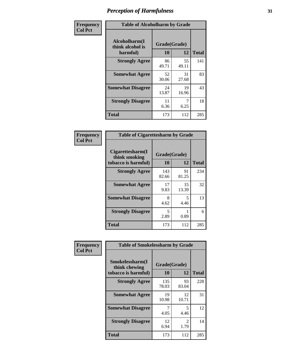| Frequency      | <b>Table of Alcoholharm by Grade</b>          |                    |             |              |  |  |  |
|----------------|-----------------------------------------------|--------------------|-------------|--------------|--|--|--|
| <b>Col Pct</b> | Alcoholharm(I<br>think alcohol is<br>harmful) | Grade(Grade)<br>10 | 12          | <b>Total</b> |  |  |  |
|                | <b>Strongly Agree</b>                         | 86<br>49.71        | 55<br>49.11 | 141          |  |  |  |
|                | <b>Somewhat Agree</b>                         | 52<br>30.06        | 31<br>27.68 | 83           |  |  |  |
|                | <b>Somewhat Disagree</b>                      | 24<br>13.87        | 19<br>16.96 | 43           |  |  |  |
|                | <b>Strongly Disagree</b>                      | 11<br>6.36         | 7<br>6.25   | 18           |  |  |  |
|                | <b>Total</b>                                  | 173                | 112         | 285          |  |  |  |

| <b>Table of Cigarettesharm by Grade</b>                  |                    |             |              |  |  |  |  |  |
|----------------------------------------------------------|--------------------|-------------|--------------|--|--|--|--|--|
| Cigarettesharm(I<br>think smoking<br>tobacco is harmful) | Grade(Grade)<br>10 | 12          | <b>Total</b> |  |  |  |  |  |
| <b>Strongly Agree</b>                                    | 143<br>82.66       | 91<br>81.25 | 234          |  |  |  |  |  |
| <b>Somewhat Agree</b>                                    | 17<br>9.83         | 15<br>13.39 | 32           |  |  |  |  |  |
| <b>Somewhat Disagree</b>                                 | 8<br>4.62          | 5<br>4.46   | 13           |  |  |  |  |  |
| <b>Strongly Disagree</b>                                 | 5<br>2.89          | 0.89        | 6            |  |  |  |  |  |
| <b>Total</b>                                             | 173                | 112         | 285          |  |  |  |  |  |

| Frequency      | <b>Table of Smokelessharm by Grade</b> |              |                        |              |
|----------------|----------------------------------------|--------------|------------------------|--------------|
| <b>Col Pct</b> | Smokelessharm(I<br>think chewing       | Grade(Grade) |                        |              |
|                | tobacco is harmful)                    | 10           | 12                     | <b>Total</b> |
|                | <b>Strongly Agree</b>                  | 135<br>78.03 | 93<br>83.04            | 228          |
|                | <b>Somewhat Agree</b>                  | 19<br>10.98  | 12<br>10.71            | 31           |
|                | <b>Somewhat Disagree</b>               | 4.05         | 5<br>4.46              | 12           |
|                | <b>Strongly Disagree</b>               | 12<br>6.94   | $\mathfrak{D}$<br>1.79 | 14           |
|                | <b>Total</b>                           | 173          | 112                    | 285          |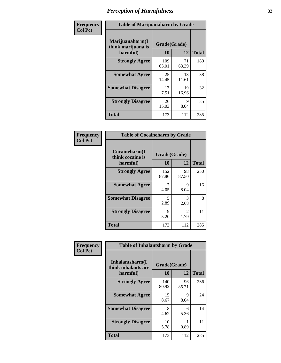| Frequency      |                                                   | <b>Table of Marijuanaharm by Grade</b> |             |              |  |  |  |  |
|----------------|---------------------------------------------------|----------------------------------------|-------------|--------------|--|--|--|--|
| <b>Col Pct</b> | Marijuanaharm(I<br>think marijuana is<br>harmful) | Grade(Grade)<br>10                     | 12          | <b>Total</b> |  |  |  |  |
|                | <b>Strongly Agree</b>                             | 109<br>63.01                           | 71<br>63.39 | 180          |  |  |  |  |
|                | <b>Somewhat Agree</b>                             | 25<br>14.45                            | 13<br>11.61 | 38           |  |  |  |  |
|                | <b>Somewhat Disagree</b>                          | 13<br>7.51                             | 19<br>16.96 | 32           |  |  |  |  |
|                | <b>Strongly Disagree</b>                          | 26<br>15.03                            | 9<br>8.04   | 35           |  |  |  |  |
|                | <b>Total</b>                                      | 173                                    | 112         | 285          |  |  |  |  |

| <b>Table of Cocaineharm by Grade</b>          |                           |                        |              |  |  |  |  |  |  |
|-----------------------------------------------|---------------------------|------------------------|--------------|--|--|--|--|--|--|
| Cocaineharm(I<br>think cocaine is<br>harmful) | Grade(Grade)<br><b>10</b> | 12                     | <b>Total</b> |  |  |  |  |  |  |
| <b>Strongly Agree</b>                         | 152<br>87.86              | 98<br>87.50            | 250          |  |  |  |  |  |  |
| <b>Somewhat Agree</b>                         | 7<br>4.05                 | 9<br>8.04              | 16           |  |  |  |  |  |  |
| <b>Somewhat Disagree</b>                      | 5<br>2.89                 | 3<br>2.68              | 8            |  |  |  |  |  |  |
| <b>Strongly Disagree</b>                      | 9<br>5.20                 | $\mathfrak{D}$<br>1.79 | 11           |  |  |  |  |  |  |
| <b>Total</b>                                  | 173                       | 112                    | 285          |  |  |  |  |  |  |

| Frequency      | <b>Table of Inhalantsharm by Grade</b>             |                           |             |              |
|----------------|----------------------------------------------------|---------------------------|-------------|--------------|
| <b>Col Pct</b> | Inhalantsharm(I<br>think inhalants are<br>harmful) | Grade(Grade)<br><b>10</b> | 12          | <b>Total</b> |
|                | <b>Strongly Agree</b>                              | 140<br>80.92              | 96<br>85.71 | 236          |
|                | <b>Somewhat Agree</b>                              | 15<br>8.67                | 9<br>8.04   | 24           |
|                | <b>Somewhat Disagree</b>                           | 8<br>4.62                 | 6<br>5.36   | 14           |
|                | <b>Strongly Disagree</b>                           | 10<br>5.78                | 0.89        | 11           |
|                | <b>Total</b>                                       | 173                       | 112         | 285          |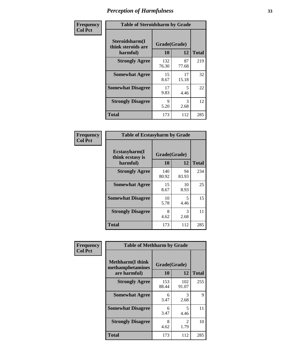| Frequency      | <b>Table of Steroidsharm by Grade</b>            |                    |             |              |
|----------------|--------------------------------------------------|--------------------|-------------|--------------|
| <b>Col Pct</b> | Steroidsharm(I<br>think steroids are<br>harmful) | Grade(Grade)<br>10 | 12          | <b>Total</b> |
|                | <b>Strongly Agree</b>                            | 132<br>76.30       | 87<br>77.68 | 219          |
|                | <b>Somewhat Agree</b>                            | 15<br>8.67         | 17<br>15.18 | 32           |
|                | <b>Somewhat Disagree</b>                         | 17<br>9.83         | 5<br>4.46   | 22           |
|                | <b>Strongly Disagree</b>                         | 9<br>5.20          | 3<br>2.68   | 12           |
|                | <b>Total</b>                                     | 173                | 112         | 285          |

| <b>Table of Ecstasyharm by Grade</b>          |                    |              |     |  |  |
|-----------------------------------------------|--------------------|--------------|-----|--|--|
| Ecstasyharm(I<br>think ecstasy is<br>harmful) | Grade(Grade)<br>10 | <b>Total</b> |     |  |  |
| <b>Strongly Agree</b>                         | 140<br>80.92       | 94<br>83.93  | 234 |  |  |
| <b>Somewhat Agree</b>                         | 15<br>8.67         | 10<br>8.93   | 25  |  |  |
| <b>Somewhat Disagree</b>                      | 10<br>5.78         | 5<br>4.46    | 15  |  |  |
| <b>Strongly Disagree</b>                      | 8<br>4.62          | 3<br>2.68    | 11  |  |  |
| <b>Total</b>                                  | 173                | 112          | 285 |  |  |

| Frequency      | <b>Table of Methharm by Grade</b>                           |                           |                        |              |
|----------------|-------------------------------------------------------------|---------------------------|------------------------|--------------|
| <b>Col Pct</b> | <b>Methharm(I think</b><br>methamphetamines<br>are harmful) | Grade(Grade)<br><b>10</b> | 12                     | <b>Total</b> |
|                | <b>Strongly Agree</b>                                       | 153<br>88.44              | 102<br>91.07           | 255          |
|                | <b>Somewhat Agree</b>                                       | 6<br>3.47                 | 3<br>2.68              | 9            |
|                | <b>Somewhat Disagree</b>                                    | 6<br>3.47                 | 5<br>4.46              | 11           |
|                | <b>Strongly Disagree</b>                                    | 8<br>4.62                 | $\mathfrak{D}$<br>1.79 | 10           |
|                | <b>Total</b>                                                | 173                       | 112                    | 285          |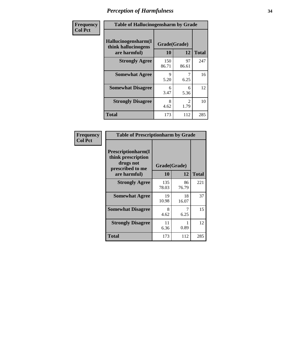| Frequency      | <b>Table of Hallucinogensharm by Grade</b>                 |                    |             |              |
|----------------|------------------------------------------------------------|--------------------|-------------|--------------|
| <b>Col Pct</b> | Hallucinogensharm(I<br>think hallucinogens<br>are harmful) | Grade(Grade)<br>10 | 12          | <b>Total</b> |
|                | <b>Strongly Agree</b>                                      | 150<br>86.71       | 97<br>86.61 | 247          |
|                | <b>Somewhat Agree</b>                                      | 9<br>5.20          | 7<br>6.25   | 16           |
|                | <b>Somewhat Disagree</b>                                   | 6<br>3.47          | 6<br>5.36   | 12           |
|                | <b>Strongly Disagree</b>                                   | 8<br>4.62          | 2<br>1.79   | 10           |
|                | <b>Total</b>                                               | 173                | 112         | 285          |

| <b>Table of Prescriptionharm by Grade</b>                                         |              |              |              |  |
|-----------------------------------------------------------------------------------|--------------|--------------|--------------|--|
| <b>Prescriptionharm</b> (I<br>think prescription<br>drugs not<br>prescribed to me |              | Grade(Grade) |              |  |
| are harmful)                                                                      | 10           | 12           | <b>Total</b> |  |
| <b>Strongly Agree</b>                                                             | 135<br>78.03 | 86<br>76.79  | 221          |  |
| <b>Somewhat Agree</b>                                                             | 19<br>10.98  | 18<br>16.07  | 37           |  |
| <b>Somewhat Disagree</b>                                                          | 8<br>4.62    | 6.25         | 15           |  |
| <b>Strongly Disagree</b>                                                          | 11<br>6.36   | 0.89         | 12           |  |
| Total                                                                             | 173          | 112          | 285          |  |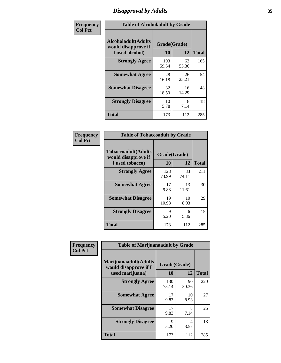# *Disapproval by Adults* **35**

| Frequency      | <b>Table of Alcoholadult by Grade</b>                                 |                    |             |              |
|----------------|-----------------------------------------------------------------------|--------------------|-------------|--------------|
| <b>Col Pct</b> | <b>Alcoholadult</b> (Adults<br>would disapprove if<br>I used alcohol) | Grade(Grade)<br>10 | 12          | <b>Total</b> |
|                | <b>Strongly Agree</b>                                                 | 103<br>59.54       | 62<br>55.36 | 165          |
|                | <b>Somewhat Agree</b>                                                 | 28<br>16.18        | 26<br>23.21 | 54           |
|                | <b>Somewhat Disagree</b>                                              | 32<br>18.50        | 16<br>14.29 | 48           |
|                | <b>Strongly Disagree</b>                                              | 10<br>5.78         | 8<br>7.14   | 18           |
|                | <b>Total</b>                                                          | 173                | 112         | 285          |

| <b>Table of Tobaccoadult by Grade</b>                         |                    |             |              |  |  |
|---------------------------------------------------------------|--------------------|-------------|--------------|--|--|
| Tobaccoadult(Adults<br>would disapprove if<br>I used tobacco) | Grade(Grade)<br>10 | 12          | <b>Total</b> |  |  |
| <b>Strongly Agree</b>                                         | 128<br>73.99       | 83<br>74.11 | 211          |  |  |
| <b>Somewhat Agree</b>                                         | 17<br>9.83         | 13<br>11.61 | 30           |  |  |
| <b>Somewhat Disagree</b>                                      | 19<br>10.98        | 10<br>8.93  | 29           |  |  |
| <b>Strongly Disagree</b>                                      | 9<br>5.20          | 6<br>5.36   | 15           |  |  |
| <b>Total</b>                                                  | 173                | 112         | 285          |  |  |

| Frequency      | <b>Table of Marijuanaadult by Grade</b>                           |                    |             |              |  |
|----------------|-------------------------------------------------------------------|--------------------|-------------|--------------|--|
| <b>Col Pct</b> | Marijuanaadult(Adults<br>would disapprove if I<br>used marijuana) | Grade(Grade)<br>10 | 12          | <b>Total</b> |  |
|                | <b>Strongly Agree</b>                                             | 130<br>75.14       | 90<br>80.36 | 220          |  |
|                | <b>Somewhat Agree</b>                                             | 17<br>9.83         | 10<br>8.93  | 27           |  |
|                | <b>Somewhat Disagree</b>                                          | 17<br>9.83         | 8<br>7.14   | 25           |  |
|                | <b>Strongly Disagree</b>                                          | 9<br>5.20          | 4<br>3.57   | 13           |  |
|                | <b>Total</b>                                                      | 173                | 112         | 285          |  |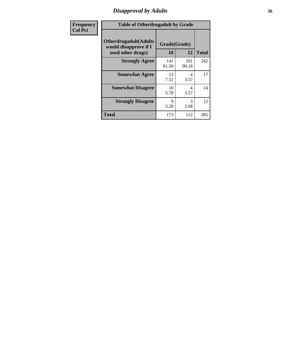# *Disapproval by Adults* **36**

| <b>Frequency</b> | <b>Table of Otherdrugadult by Grade</b>                                     |                    |              |              |
|------------------|-----------------------------------------------------------------------------|--------------------|--------------|--------------|
| <b>Col Pct</b>   | <b>Otherdrugadult</b> (Adults<br>would disapprove if I<br>used other drugs) | Grade(Grade)<br>10 | 12           | <b>Total</b> |
|                  | <b>Strongly Agree</b>                                                       | 141<br>81.50       | 101<br>90.18 | 242          |
|                  | <b>Somewhat Agree</b>                                                       | 13<br>7.51         | 4<br>3.57    | 17           |
|                  | <b>Somewhat Disagree</b>                                                    | 10<br>5.78         | 4<br>3.57    | 14           |
|                  | <b>Strongly Disagree</b>                                                    | 9<br>5.20          | 3<br>2.68    | 12           |
|                  | <b>Total</b>                                                                | 173                | 112          | 285          |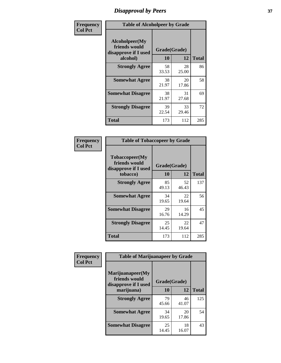## *Disapproval by Peers* **37**

| Frequency      | <b>Table of Alcoholpeer by Grade</b>                    |              |             |              |  |
|----------------|---------------------------------------------------------|--------------|-------------|--------------|--|
| <b>Col Pct</b> | Alcoholpeer(My<br>friends would<br>disapprove if I used | Grade(Grade) |             |              |  |
|                | alcohol)                                                | 10           | 12          | <b>Total</b> |  |
|                | <b>Strongly Agree</b>                                   | 58<br>33.53  | 28<br>25.00 | 86           |  |
|                | <b>Somewhat Agree</b>                                   | 38<br>21.97  | 20<br>17.86 | 58           |  |
|                | <b>Somewhat Disagree</b>                                | 38<br>21.97  | 31<br>27.68 | 69           |  |
|                | <b>Strongly Disagree</b>                                | 39<br>22.54  | 33<br>29.46 | 72           |  |
|                | Total                                                   | 173          | 112         | 285          |  |

| Frequency      | <b>Table of Tobaccopeer by Grade</b>                                |                    |             |              |  |
|----------------|---------------------------------------------------------------------|--------------------|-------------|--------------|--|
| <b>Col Pct</b> | Tobaccopeer(My<br>friends would<br>disapprove if I used<br>tobacco) | Grade(Grade)<br>10 | 12          | <b>Total</b> |  |
|                | <b>Strongly Agree</b>                                               | 85<br>49.13        | 52<br>46.43 | 137          |  |
|                | <b>Somewhat Agree</b>                                               | 34<br>19.65        | 22<br>19.64 | 56           |  |
|                | <b>Somewhat Disagree</b>                                            | 29<br>16.76        | 16<br>14.29 | 45           |  |
|                | <b>Strongly Disagree</b>                                            | 25<br>14.45        | 22<br>19.64 | 47           |  |
|                | Total                                                               | 173                | 112         | 285          |  |

| Frequency<br><b>Col Pct</b> | <b>Table of Marijuanapeer by Grade</b> |              |             |              |
|-----------------------------|----------------------------------------|--------------|-------------|--------------|
|                             | Marijuanapeer(My<br>friends would      | Grade(Grade) |             |              |
|                             | disapprove if I used<br>marijuana)     | 10           | 12          | <b>Total</b> |
|                             | <b>Strongly Agree</b>                  | 79<br>45.66  | 46<br>41.07 | 125          |
|                             | <b>Somewhat Agree</b>                  | 34<br>19.65  | 20<br>17.86 | 54           |
|                             | <b>Somewhat Disagree</b>               | 25<br>14.45  | 18<br>16.07 | 43           |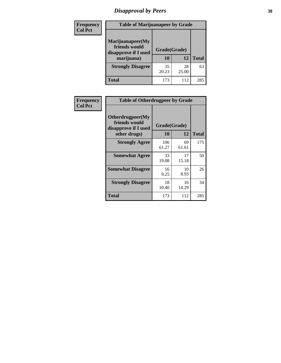# *Disapproval by Peers* **38**

| <b>Frequency</b> | <b>Table of Marijuanapeer by Grade</b>                                  |                    |             |              |  |
|------------------|-------------------------------------------------------------------------|--------------------|-------------|--------------|--|
| <b>Col Pct</b>   | Marijuanapeer(My<br>friends would<br>disapprove if I used<br>marijuana) | Grade(Grade)<br>10 | 12          | <b>Total</b> |  |
|                  | <b>Strongly Disagree</b>                                                | 35<br>20.23        | 28<br>25.00 | 63           |  |
|                  | <b>Total</b>                                                            | 173                | 112         | 285          |  |

| Frequency      | <b>Table of Otherdrugpeer by Grade</b>                                    |                    |             |              |
|----------------|---------------------------------------------------------------------------|--------------------|-------------|--------------|
| <b>Col Pct</b> | Otherdrugpeer(My<br>friends would<br>disapprove if I used<br>other drugs) | Grade(Grade)<br>10 | 12          | <b>Total</b> |
|                | <b>Strongly Agree</b>                                                     | 106<br>61.27       | 69<br>61.61 | 175          |
|                | <b>Somewhat Agree</b>                                                     | 33<br>19.08        | 17<br>15.18 | 50           |
|                | <b>Somewhat Disagree</b>                                                  | 16<br>9.25         | 10<br>8.93  | 26           |
|                | <b>Strongly Disagree</b>                                                  | 18<br>10.40        | 16<br>14.29 | 34           |
|                | <b>Total</b>                                                              | 173                | 112         | 285          |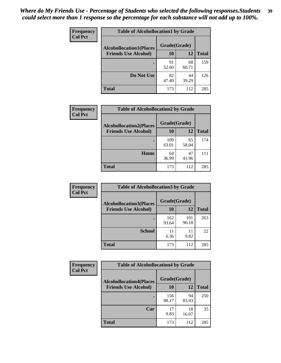| Frequency      | <b>Table of Alcohollocation1 by Grade</b> |              |             |              |
|----------------|-------------------------------------------|--------------|-------------|--------------|
| <b>Col Pct</b> | <b>Alcohollocation1(Places</b>            | Grade(Grade) |             |              |
|                | <b>Friends Use Alcohol)</b>               | 10           | 12          | <b>Total</b> |
|                |                                           | 91<br>52.60  | 68<br>60.71 | 159          |
|                | Do Not Use                                | 82<br>47.40  | 44<br>39.29 | 126          |
|                | <b>Total</b>                              | 173          | 112         | 285          |

| <b>Frequency</b> | <b>Table of Alcohollocation2 by Grade</b>                     |                    |             |              |
|------------------|---------------------------------------------------------------|--------------------|-------------|--------------|
| <b>Col Pct</b>   | <b>Alcohollocation2(Places</b><br><b>Friends Use Alcohol)</b> | Grade(Grade)<br>10 | <b>12</b>   | <b>Total</b> |
|                  |                                                               | 109<br>63.01       | 65<br>58.04 | 174          |
|                  | Home                                                          | 64<br>36.99        | 47<br>41.96 | 111          |
|                  | <b>Total</b>                                                  | 173                | 112         | 285          |

| Frequency      | <b>Table of Alcohollocation 3 by Grade</b> |              |              |              |
|----------------|--------------------------------------------|--------------|--------------|--------------|
| <b>Col Pct</b> | <b>Alcohollocation3(Places</b>             | Grade(Grade) |              |              |
|                | <b>Friends Use Alcohol)</b>                | 10           | 12           | <b>Total</b> |
|                |                                            | 162<br>93.64 | 101<br>90.18 | 263          |
|                | <b>School</b>                              | 11<br>6.36   | 11<br>9.82   | 22           |
|                | <b>Total</b>                               | 173          | 112          | 285          |

| <b>Frequency</b> | <b>Table of Alcohollocation4 by Grade</b> |              |             |              |
|------------------|-------------------------------------------|--------------|-------------|--------------|
| <b>Col Pct</b>   | <b>Alcohollocation4(Places</b>            | Grade(Grade) |             |              |
|                  | <b>Friends Use Alcohol)</b>               | <b>10</b>    | 12          | <b>Total</b> |
|                  |                                           | 156<br>90.17 | 94<br>83.93 | 250          |
|                  | Car                                       | 17<br>9.83   | 18<br>16.07 | 35           |
|                  | <b>Total</b>                              | 173          | 112         | 285          |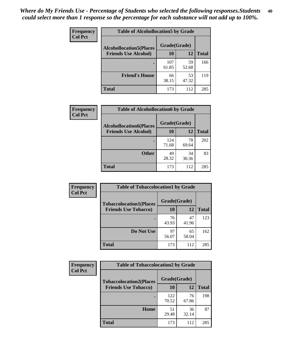| Frequency<br><b>Col Pct</b> | <b>Table of Alcohollocation5 by Grade</b> |              |             |              |
|-----------------------------|-------------------------------------------|--------------|-------------|--------------|
|                             | <b>Alcohollocation5(Places</b>            | Grade(Grade) |             |              |
|                             | <b>Friends Use Alcohol)</b>               | 10           | 12          | <b>Total</b> |
|                             |                                           | 107<br>61.85 | 59<br>52.68 | 166          |
|                             | <b>Friend's House</b>                     | 66<br>38.15  | 53<br>47.32 | 119          |
|                             | <b>Total</b>                              | 173          | 112         | 285          |

| <b>Frequency</b> | <b>Table of Alcohollocation6 by Grade</b>                     |                           |             |              |
|------------------|---------------------------------------------------------------|---------------------------|-------------|--------------|
| <b>Col Pct</b>   | <b>Alcohollocation6(Places</b><br><b>Friends Use Alcohol)</b> | Grade(Grade)<br><b>10</b> | 12          | <b>Total</b> |
|                  |                                                               | 124<br>71.68              | 78<br>69.64 | 202          |
|                  | <b>Other</b>                                                  | 49<br>28.32               | 34<br>30.36 | 83           |
|                  | <b>Total</b>                                                  | 173                       | 112         | 285          |

| Frequency      | <b>Table of Tobaccolocation1 by Grade</b> |              |             |              |
|----------------|-------------------------------------------|--------------|-------------|--------------|
| <b>Col Pct</b> | <b>Tobaccolocation1(Places</b>            | Grade(Grade) |             |              |
|                | <b>Friends Use Tobacco)</b>               | 10           | 12          | <b>Total</b> |
|                |                                           | 76<br>43.93  | 47<br>41.96 | 123          |
|                | Do Not Use                                | 97<br>56.07  | 65<br>58.04 | 162          |
|                | <b>Total</b>                              | 173          | 112         | 285          |

| <b>Frequency</b> | <b>Table of Tobaccolocation2 by Grade</b> |              |             |              |
|------------------|-------------------------------------------|--------------|-------------|--------------|
| <b>Col Pct</b>   | <b>Tobaccolocation2(Places</b>            | Grade(Grade) |             |              |
|                  | <b>Friends Use Tobacco)</b>               | 10           | 12          | <b>Total</b> |
|                  |                                           | 122<br>70.52 | 76<br>67.86 | 198          |
|                  | Home                                      | 51<br>29.48  | 36<br>32.14 | 87           |
|                  | <b>Total</b>                              | 173          | 112         | 285          |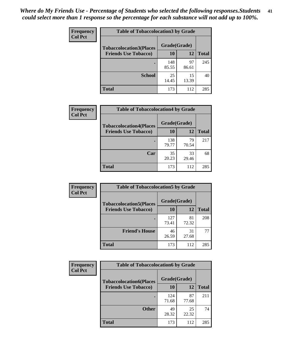| Frequency      | <b>Table of Tobaccolocation 3 by Grade</b> |              |             |              |
|----------------|--------------------------------------------|--------------|-------------|--------------|
| <b>Col Pct</b> | <b>Tobaccolocation3(Places</b>             | Grade(Grade) |             |              |
|                | <b>Friends Use Tobacco)</b>                | 10           | 12          | <b>Total</b> |
|                |                                            | 148<br>85.55 | 97<br>86.61 | 245          |
|                | <b>School</b>                              | 25<br>14.45  | 15<br>13.39 | 40           |
|                | <b>Total</b>                               | 173          | 112         | 285          |

| Frequency      | <b>Table of Tobaccolocation4 by Grade</b>                     |                           |             |              |
|----------------|---------------------------------------------------------------|---------------------------|-------------|--------------|
| <b>Col Pct</b> | <b>Tobaccolocation4(Places</b><br><b>Friends Use Tobacco)</b> | Grade(Grade)<br><b>10</b> | 12          | <b>Total</b> |
|                |                                                               | 138<br>79.77              | 79<br>70.54 | 217          |
|                | Car                                                           | 35<br>20.23               | 33<br>29.46 | 68           |
|                | <b>Total</b>                                                  | 173                       | 112         | 285          |

| Frequency      | <b>Table of Tobaccolocation5 by Grade</b> |              |             |              |
|----------------|-------------------------------------------|--------------|-------------|--------------|
| <b>Col Pct</b> | <b>Tobaccolocation5(Places</b>            | Grade(Grade) |             |              |
|                | <b>Friends Use Tobacco)</b>               | 10           | 12          | <b>Total</b> |
|                |                                           | 127<br>73.41 | 81<br>72.32 | 208          |
|                | <b>Friend's House</b>                     | 46<br>26.59  | 31<br>27.68 | 77           |
|                | <b>Total</b>                              | 173          | 112         | 285          |

| <b>Frequency</b> | <b>Table of Tobaccolocation6 by Grade</b> |              |             |              |  |
|------------------|-------------------------------------------|--------------|-------------|--------------|--|
| <b>Col Pct</b>   | <b>Tobaccolocation6(Places</b>            | Grade(Grade) |             |              |  |
|                  | <b>Friends Use Tobacco)</b>               | 10           | 12          | <b>Total</b> |  |
|                  |                                           | 124<br>71.68 | 87<br>77.68 | 211          |  |
|                  | <b>Other</b>                              | 49<br>28.32  | 25<br>22.32 | 74           |  |
|                  | <b>Total</b>                              | 173          | 112         | 285          |  |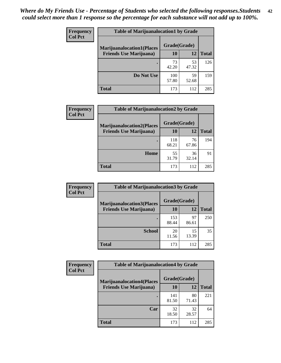| <b>Frequency</b> | <b>Table of Marijuanalocation1 by Grade</b> |              |             |              |  |  |
|------------------|---------------------------------------------|--------------|-------------|--------------|--|--|
| <b>Col Pct</b>   | <b>Marijuanalocation1(Places</b>            | Grade(Grade) |             |              |  |  |
|                  | <b>Friends Use Marijuana</b> )              | 10           | 12          | <b>Total</b> |  |  |
|                  |                                             | 73<br>42.20  | 53<br>47.32 | 126          |  |  |
|                  | Do Not Use                                  | 100<br>57.80 | 59<br>52.68 | 159          |  |  |
|                  | <b>Total</b>                                | 173          | 112         | 285          |  |  |

| <b>Frequency</b> | <b>Table of Marijuanalocation2 by Grade</b> |              |             |              |
|------------------|---------------------------------------------|--------------|-------------|--------------|
| <b>Col Pct</b>   | <b>Marijuanalocation2(Places</b>            | Grade(Grade) |             |              |
|                  | <b>Friends Use Marijuana</b> )              | 10           | 12          | <b>Total</b> |
|                  |                                             | 118<br>68.21 | 76<br>67.86 | 194          |
|                  | Home                                        | 55<br>31.79  | 36<br>32.14 | 91           |
|                  | <b>Total</b>                                | 173          | 112         | 285          |

| <b>Frequency</b> | <b>Table of Marijuanalocation3 by Grade</b> |              |             |              |  |
|------------------|---------------------------------------------|--------------|-------------|--------------|--|
| <b>Col Pct</b>   | <b>Marijuanalocation3</b> (Places           | Grade(Grade) |             |              |  |
|                  | <b>Friends Use Marijuana</b> )              | 10           | 12          | <b>Total</b> |  |
|                  |                                             | 153<br>88.44 | 97<br>86.61 | 250          |  |
|                  | <b>School</b>                               | 20<br>11.56  | 15<br>13.39 | 35           |  |
|                  | <b>Total</b>                                | 173          | 112         | 285          |  |

| <b>Frequency</b> | <b>Table of Marijuanalocation4 by Grade</b> |              |             |              |
|------------------|---------------------------------------------|--------------|-------------|--------------|
| <b>Col Pct</b>   | <b>Marijuanalocation4(Places</b>            | Grade(Grade) |             |              |
|                  | <b>Friends Use Marijuana</b> )              | <b>10</b>    | 12          | <b>Total</b> |
|                  |                                             | 141<br>81.50 | 80<br>71.43 | 221          |
|                  | Car                                         | 32<br>18.50  | 32<br>28.57 | 64           |
|                  | <b>Total</b>                                | 173          | 112         | 285          |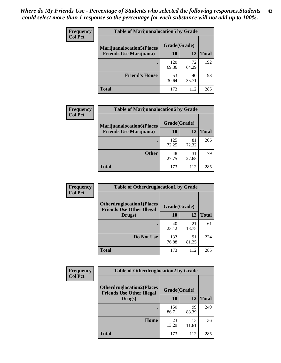| <b>Frequency</b> | <b>Table of Marijuanalocation5 by Grade</b> |              |             |              |
|------------------|---------------------------------------------|--------------|-------------|--------------|
| <b>Col Pct</b>   | <b>Marijuanalocation5</b> (Places           | Grade(Grade) |             |              |
|                  | <b>Friends Use Marijuana</b> )              | 10           | 12          | <b>Total</b> |
|                  |                                             | 120<br>69.36 | 72<br>64.29 | 192          |
|                  | <b>Friend's House</b>                       | 53<br>30.64  | 40<br>35.71 | 93           |
|                  | <b>Total</b>                                | 173          | 112         | 285          |

| <b>Frequency</b> | <b>Table of Marijuanalocation6 by Grade</b>                        |                    |             |              |
|------------------|--------------------------------------------------------------------|--------------------|-------------|--------------|
| <b>Col Pct</b>   | <b>Marijuanalocation6(Places</b><br><b>Friends Use Marijuana</b> ) | Grade(Grade)<br>10 | 12          | <b>Total</b> |
|                  |                                                                    | 125<br>72.25       | 81<br>72.32 | 206          |
|                  | <b>Other</b>                                                       | 48<br>27.75        | 31<br>27.68 | 79           |
|                  | <b>Total</b>                                                       | 173                | 112         | 285          |

| <b>Frequency</b> | <b>Table of Otherdruglocation1 by Grade</b>                          |              |             |              |
|------------------|----------------------------------------------------------------------|--------------|-------------|--------------|
| <b>Col Pct</b>   | <b>Otherdruglocation1(Places</b><br><b>Friends Use Other Illegal</b> | Grade(Grade) |             |              |
|                  | Drugs)                                                               | 10           | 12          | <b>Total</b> |
|                  |                                                                      | 40<br>23.12  | 21<br>18.75 | 61           |
|                  | Do Not Use                                                           | 133<br>76.88 | 91<br>81.25 | 224          |
|                  | <b>Total</b>                                                         | 173          | 112         | 285          |

| <b>Frequency</b> | <b>Table of Otherdruglocation2 by Grade</b>                           |              |             |              |
|------------------|-----------------------------------------------------------------------|--------------|-------------|--------------|
| <b>Col Pct</b>   | <b>Otherdruglocation2(Places)</b><br><b>Friends Use Other Illegal</b> | Grade(Grade) |             |              |
|                  | Drugs)                                                                | 10           | 12          | <b>Total</b> |
|                  |                                                                       | 150<br>86.71 | 99<br>88.39 | 249          |
|                  | <b>Home</b>                                                           | 23<br>13.29  | 13<br>11.61 | 36           |
|                  | <b>Total</b>                                                          | 173          | 112         | 285          |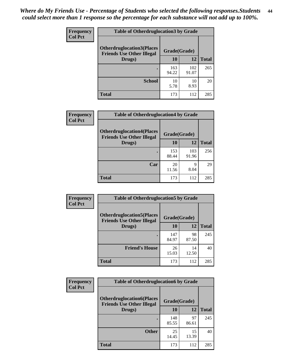| <b>Frequency</b> | <b>Table of Otherdruglocation3 by Grade</b> |              |              |              |
|------------------|---------------------------------------------|--------------|--------------|--------------|
| <b>Col Pct</b>   | <b>Otherdruglocation3(Places</b>            | Grade(Grade) |              |              |
|                  | <b>Friends Use Other Illegal</b><br>Drugs)  | 10           | 12           | <b>Total</b> |
|                  |                                             | 163<br>94.22 | 102<br>91.07 | 265          |
|                  | <b>School</b>                               | 10<br>5.78   | 10<br>8.93   | 20           |
|                  | <b>Total</b>                                | 173          | 112          | 285          |

| <b>Frequency</b> | <b>Table of Otherdruglocation4 by Grade</b>                          |              |              |              |  |
|------------------|----------------------------------------------------------------------|--------------|--------------|--------------|--|
| <b>Col Pct</b>   | <b>Otherdruglocation4(Places</b><br><b>Friends Use Other Illegal</b> | Grade(Grade) |              |              |  |
|                  | Drugs)                                                               | 10           | 12           | <b>Total</b> |  |
|                  |                                                                      | 153<br>88.44 | 103<br>91.96 | 256          |  |
|                  | Car                                                                  | 20<br>11.56  | 9<br>8.04    | 29           |  |
|                  | <b>Total</b>                                                         | 173          | 112          | 285          |  |

| Frequency      | <b>Table of Otherdruglocation5 by Grade</b>                          |              |             |              |
|----------------|----------------------------------------------------------------------|--------------|-------------|--------------|
| <b>Col Pct</b> | <b>Otherdruglocation5(Places</b><br><b>Friends Use Other Illegal</b> | Grade(Grade) |             |              |
|                | Drugs)                                                               | 10           | 12          | <b>Total</b> |
|                |                                                                      | 147<br>84.97 | 98<br>87.50 | 245          |
|                | <b>Friend's House</b>                                                | 26<br>15.03  | 14<br>12.50 | 40           |
|                | <b>Total</b>                                                         | 173          | 112         | 285          |

| <b>Frequency</b> | <b>Table of Otherdruglocation6 by Grade</b>                          |              |             |              |
|------------------|----------------------------------------------------------------------|--------------|-------------|--------------|
| <b>Col Pct</b>   | <b>Otherdruglocation6(Places</b><br><b>Friends Use Other Illegal</b> | Grade(Grade) |             |              |
|                  | Drugs)                                                               | <b>10</b>    | 12          | <b>Total</b> |
|                  |                                                                      | 148<br>85.55 | 97<br>86.61 | 245          |
|                  | <b>Other</b>                                                         | 25<br>14.45  | 15<br>13.39 | 40           |
|                  | <b>Total</b>                                                         | 173          | 112         | 285          |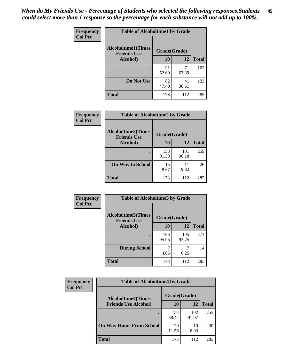| Frequency      | <b>Table of Alcoholtime1 by Grade</b> |              |             |              |
|----------------|---------------------------------------|--------------|-------------|--------------|
| <b>Col Pct</b> | <b>Alcoholtime1(Times</b>             | Grade(Grade) |             |              |
|                | <b>Friends Use</b><br>Alcohol)        | 10           | 12          | <b>Total</b> |
|                |                                       | 91<br>52.60  | 71<br>63.39 | 162          |
|                | Do Not Use                            | 82<br>47.40  | 41<br>36.61 | 123          |
|                | <b>Total</b>                          | 173          | 112         | 285          |

| Frequency      | <b>Table of Alcoholtime2 by Grade</b>           |              |              |              |
|----------------|-------------------------------------------------|--------------|--------------|--------------|
| <b>Col Pct</b> | <b>Alcoholtime2(Times</b><br><b>Friends Use</b> | Grade(Grade) |              |              |
|                | Alcohol)                                        | 10           | 12           | <b>Total</b> |
|                |                                                 | 158<br>91.33 | 101<br>90.18 | 259          |
|                | <b>On Way to School</b>                         | 15<br>8.67   | 11<br>9.82   | 26           |
|                | <b>Total</b>                                    | 173          | 112          | 285          |

| Frequency<br><b>Col Pct</b> | <b>Table of Alcoholtime3 by Grade</b>                           |              |              |              |
|-----------------------------|-----------------------------------------------------------------|--------------|--------------|--------------|
|                             | <b>Alcoholtime3(Times</b><br>Grade(Grade)<br><b>Friends Use</b> |              |              |              |
|                             | Alcohol)                                                        | 10           | 12           | <b>Total</b> |
|                             |                                                                 | 166<br>95.95 | 105<br>93.75 | 271          |
|                             | <b>During School</b>                                            | 7<br>4.05    | 6.25         | 14           |
|                             | <b>Total</b>                                                    | 173          | 112          | 285          |

| <b>Frequency</b> | <b>Table of Alcoholtime4 by Grade</b> |              |              |              |  |
|------------------|---------------------------------------|--------------|--------------|--------------|--|
| <b>Col Pct</b>   | <b>Alcoholtime4(Times</b>             | Grade(Grade) |              |              |  |
|                  | <b>Friends Use Alcohol)</b>           | 10           | 12           | <b>Total</b> |  |
|                  | ٠                                     | 153<br>88.44 | 102<br>91.07 | 255          |  |
|                  | <b>On Way Home From School</b>        | 20<br>11.56  | 10<br>8.93   | 30           |  |
|                  | <b>Total</b>                          | 173          | 112          | 285          |  |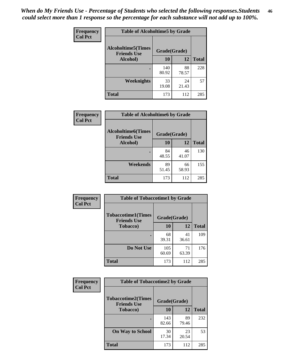*When do My Friends Use - Percentage of Students who selected the following responses.Students could select more than 1 response so the percentage for each substance will not add up to 100%.* **46**

| <b>Frequency</b> | <b>Table of Alcoholtime5 by Grade</b>           |              |             |              |
|------------------|-------------------------------------------------|--------------|-------------|--------------|
| <b>Col Pct</b>   | <b>Alcoholtime5(Times</b><br><b>Friends Use</b> | Grade(Grade) |             |              |
|                  | Alcohol)                                        | 10           | 12          | <b>Total</b> |
|                  |                                                 | 140<br>80.92 | 88<br>78.57 | 228          |
|                  | Weeknights                                      | 33<br>19.08  | 24<br>21.43 | 57           |
|                  | <b>Total</b>                                    | 173          | 112         | 285          |

| Frequency      | <b>Table of Alcoholtime6 by Grade</b>           |              |             |              |
|----------------|-------------------------------------------------|--------------|-------------|--------------|
| <b>Col Pct</b> | <b>Alcoholtime6(Times</b><br><b>Friends Use</b> | Grade(Grade) |             |              |
|                | Alcohol)                                        | 10           | 12          | <b>Total</b> |
|                |                                                 | 84<br>48.55  | 46<br>41.07 | 130          |
|                | Weekends                                        | 89<br>51.45  | 66<br>58.93 | 155          |
|                | <b>Total</b>                                    | 173          | 112         | 285          |

| Frequency<br><b>Col Pct</b>                     | <b>Table of Tobaccotime1 by Grade</b> |              |             |              |
|-------------------------------------------------|---------------------------------------|--------------|-------------|--------------|
| <b>Tobaccotime1(Times</b><br><b>Friends Use</b> |                                       | Grade(Grade) |             |              |
|                                                 | <b>Tobacco</b> )                      | 10           | 12          | <b>Total</b> |
|                                                 |                                       | 68<br>39.31  | 41<br>36.61 | 109          |
|                                                 | Do Not Use                            | 105<br>60.69 | 71<br>63.39 | 176          |
|                                                 | <b>Total</b>                          | 173          | 112         | 285          |

| <b>Frequency</b> | <b>Table of Tobaccotime2 by Grade</b>           |              |             |              |
|------------------|-------------------------------------------------|--------------|-------------|--------------|
| <b>Col Pct</b>   | <b>Tobaccotime2(Times</b><br><b>Friends Use</b> | Grade(Grade) |             |              |
|                  | <b>Tobacco</b> )                                | 10           | 12          | <b>Total</b> |
|                  |                                                 | 143<br>82.66 | 89<br>79.46 | 232          |
|                  | <b>On Way to School</b>                         | 30<br>17.34  | 23<br>20.54 | 53           |
|                  | <b>Total</b>                                    | 173          | 112         | 285          |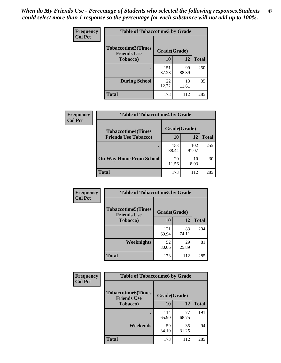*When do My Friends Use - Percentage of Students who selected the following responses.Students could select more than 1 response so the percentage for each substance will not add up to 100%.* **47**

| <b>Frequency</b> | <b>Table of Tobaccotime3 by Grade</b>           |              |             |              |  |
|------------------|-------------------------------------------------|--------------|-------------|--------------|--|
| <b>Col Pct</b>   | <b>Tobaccotime3(Times</b><br><b>Friends Use</b> | Grade(Grade) |             |              |  |
|                  | <b>Tobacco</b> )                                | 10           | 12          | <b>Total</b> |  |
|                  |                                                 | 151<br>87.28 | 99<br>88.39 | 250          |  |
|                  | <b>During School</b>                            | 22<br>12.72  | 13<br>11.61 | 35           |  |
|                  | <b>Total</b>                                    | 173          | 112         | 285          |  |

| Frequency<br><b>Col Pct</b> | <b>Table of Tobaccotime4 by Grade</b> |              |              |              |
|-----------------------------|---------------------------------------|--------------|--------------|--------------|
|                             | <b>Tobaccotime4(Times</b>             | Grade(Grade) |              |              |
|                             | <b>Friends Use Tobacco)</b>           | 10           | 12           | <b>Total</b> |
|                             |                                       | 153<br>88.44 | 102<br>91.07 | 255          |
|                             | <b>On Way Home From School</b>        | 20<br>11.56  | 10<br>8.93   | 30           |
|                             | <b>Total</b>                          | 173          | 112          | 285          |

| <b>Frequency</b> | <b>Table of Tobaccotime5 by Grade</b>           |              |             |              |
|------------------|-------------------------------------------------|--------------|-------------|--------------|
| <b>Col Pct</b>   | <b>Tobaccotime5(Times</b><br><b>Friends Use</b> | Grade(Grade) |             |              |
|                  | <b>Tobacco</b> )                                | 10           | 12          | <b>Total</b> |
|                  |                                                 | 121<br>69.94 | 83<br>74.11 | 204          |
|                  | Weeknights                                      | 52<br>30.06  | 29<br>25.89 | 81           |
|                  | <b>Total</b>                                    | 173          | 112         | 285          |

| Frequency      | <b>Table of Tobaccotime6 by Grade</b>                           |              |             |              |
|----------------|-----------------------------------------------------------------|--------------|-------------|--------------|
| <b>Col Pct</b> | <b>Tobaccotime6(Times</b><br>Grade(Grade)<br><b>Friends Use</b> |              |             |              |
|                | <b>Tobacco</b> )                                                | 10           | 12          | <b>Total</b> |
|                |                                                                 | 114<br>65.90 | 77<br>68.75 | 191          |
|                | Weekends                                                        | 59<br>34.10  | 35<br>31.25 | 94           |
|                | <b>Total</b>                                                    | 173          | 112         | 285          |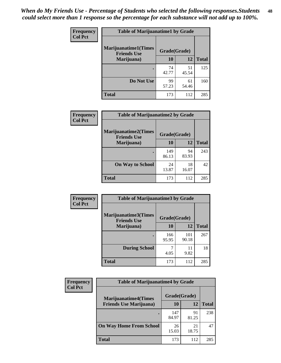| Frequency      | <b>Table of Marijuanatime1 by Grade</b>           |              |             |              |
|----------------|---------------------------------------------------|--------------|-------------|--------------|
| <b>Col Pct</b> | <b>Marijuanatime1(Times</b><br><b>Friends Use</b> | Grade(Grade) |             |              |
|                | Marijuana)                                        | 10           | 12          | <b>Total</b> |
|                |                                                   | 74<br>42.77  | 51<br>45.54 | 125          |
|                | Do Not Use                                        | 99<br>57.23  | 61<br>54.46 | 160          |
|                | <b>Total</b>                                      | 173          | 112         | 285          |

| <b>Frequency</b> | <b>Table of Marijuanatime2 by Grade</b>           |              |             |              |
|------------------|---------------------------------------------------|--------------|-------------|--------------|
| <b>Col Pct</b>   | <b>Marijuanatime2(Times</b><br><b>Friends Use</b> | Grade(Grade) |             |              |
|                  | Marijuana)                                        | 10           | 12          | <b>Total</b> |
|                  |                                                   | 149<br>86.13 | 94<br>83.93 | 243          |
|                  | <b>On Way to School</b>                           | 24<br>13.87  | 18<br>16.07 | 42           |
|                  | <b>Total</b>                                      | 173          | 112         | 285          |

| Frequency      | <b>Table of Marijuanatime3 by Grade</b>    |              |              |              |  |
|----------------|--------------------------------------------|--------------|--------------|--------------|--|
| <b>Col Pct</b> | Marijuanatime3(Times<br><b>Friends Use</b> | Grade(Grade) |              |              |  |
|                | Marijuana)                                 | 10           | 12           | <b>Total</b> |  |
|                |                                            | 166<br>95.95 | 101<br>90.18 | 267          |  |
|                | <b>During School</b>                       | 4.05         | 11<br>9.82   | 18           |  |
|                | Total                                      | 173          | 112          | 285          |  |

| <b>Frequency</b><br><b>Col Pct</b> | <b>Table of Marijuanatime4 by Grade</b> |              |             |              |
|------------------------------------|-----------------------------------------|--------------|-------------|--------------|
|                                    | <b>Marijuanatime4</b> (Times            | Grade(Grade) |             |              |
|                                    | <b>Friends Use Marijuana</b> )          | 10           | 12          | <b>Total</b> |
|                                    |                                         | 147<br>84.97 | 91<br>81.25 | 238          |
|                                    | <b>On Way Home From School</b>          | 26<br>15.03  | 21<br>18.75 | 47           |
|                                    | Total                                   | 173          | 112         | 285          |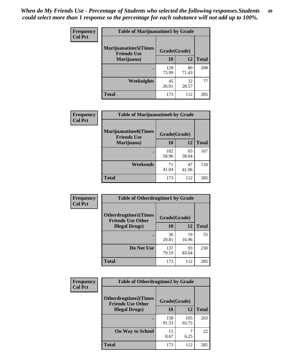| Frequency      | <b>Table of Marijuanatime5 by Grade</b>            |              |             |              |
|----------------|----------------------------------------------------|--------------|-------------|--------------|
| <b>Col Pct</b> | <b>Marijuanatime5</b> (Times<br><b>Friends Use</b> | Grade(Grade) |             |              |
|                | Marijuana)                                         | 10           | 12          | <b>Total</b> |
|                |                                                    | 128<br>73.99 | 80<br>71.43 | 208          |
|                | Weeknights                                         | 45<br>26.01  | 32<br>28.57 | 77           |
|                | <b>Total</b>                                       | 173          | 112         | 285          |

| Frequency      | <b>Table of Marijuanatime6 by Grade</b>    |              |             |              |
|----------------|--------------------------------------------|--------------|-------------|--------------|
| <b>Col Pct</b> | Marijuanatime6(Times<br><b>Friends Use</b> | Grade(Grade) |             |              |
|                | Marijuana)                                 | 10           | 12          | <b>Total</b> |
|                |                                            | 102<br>58.96 | 65<br>58.04 | 167          |
|                | Weekends                                   | 71<br>41.04  | 47<br>41.96 | 118          |
|                | <b>Total</b>                               | 173          | 112         | 285          |

| Frequency      | <b>Table of Otherdrugtime1 by Grade</b>                 |              |             |              |  |
|----------------|---------------------------------------------------------|--------------|-------------|--------------|--|
| <b>Col Pct</b> | <b>Otherdrugtime1(Times</b><br><b>Friends Use Other</b> | Grade(Grade) |             |              |  |
|                | <b>Illegal Drugs)</b>                                   | 10           | 12          | <b>Total</b> |  |
|                |                                                         | 36<br>20.81  | 19<br>16.96 | 55           |  |
|                | Do Not Use                                              | 137<br>79.19 | 93<br>83.04 | 230          |  |
|                | Total                                                   | 173          | 112         | 285          |  |

| <b>Frequency</b> | <b>Table of Otherdrugtime2 by Grade</b>                 |              |              |              |  |  |  |
|------------------|---------------------------------------------------------|--------------|--------------|--------------|--|--|--|
| <b>Col Pct</b>   | <b>Otherdrugtime2(Times</b><br><b>Friends Use Other</b> | Grade(Grade) |              |              |  |  |  |
|                  | <b>Illegal Drugs</b> )                                  | 10           | 12           | <b>Total</b> |  |  |  |
|                  |                                                         | 158<br>91.33 | 105<br>93.75 | 263          |  |  |  |
|                  | <b>On Way to School</b>                                 | 15<br>8.67   | 6.25         | 22           |  |  |  |
|                  | Total                                                   | 173          | 112          | 285          |  |  |  |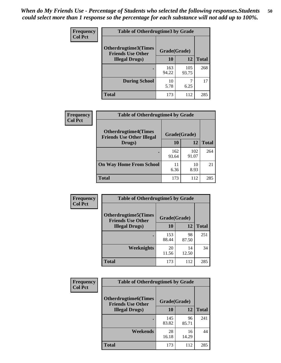| <b>Frequency</b> | <b>Table of Otherdrugtime3 by Grade</b>          |              |              |              |  |  |
|------------------|--------------------------------------------------|--------------|--------------|--------------|--|--|
| <b>Col Pct</b>   | Otherdrugtime3(Times<br><b>Friends Use Other</b> | Grade(Grade) |              |              |  |  |
|                  | <b>Illegal Drugs)</b>                            | 10           | 12           | <b>Total</b> |  |  |
|                  |                                                  | 163<br>94.22 | 105<br>93.75 | 268          |  |  |
|                  | <b>During School</b>                             | 10<br>5.78   | 6.25         | 17           |  |  |
|                  | <b>Total</b>                                     | 173          | 112          | 285          |  |  |

| <b>Frequency</b> | <b>Table of Otherdrugtime4 by Grade</b>                         |              |              |              |  |  |
|------------------|-----------------------------------------------------------------|--------------|--------------|--------------|--|--|
| <b>Col Pct</b>   | <b>Otherdrugtime4(Times</b><br><b>Friends Use Other Illegal</b> | Grade(Grade) |              |              |  |  |
|                  | Drugs)                                                          | 10           | 12           | <b>Total</b> |  |  |
|                  | $\bullet$                                                       | 162<br>93.64 | 102<br>91.07 | 264          |  |  |
|                  | <b>On Way Home From School</b>                                  | 11<br>6.36   | 10<br>8.93   | 21           |  |  |
|                  | <b>Total</b>                                                    | 173          | 112          | 285          |  |  |

| <b>Frequency</b> | <b>Table of Otherdrugtime5 by Grade</b>                  |              |             |              |  |  |
|------------------|----------------------------------------------------------|--------------|-------------|--------------|--|--|
| <b>Col Pct</b>   | <b>Otherdrugtime5</b> (Times<br><b>Friends Use Other</b> | Grade(Grade) |             |              |  |  |
|                  | <b>Illegal Drugs</b> )                                   | 10           | 12          | <b>Total</b> |  |  |
|                  |                                                          | 153<br>88.44 | 98<br>87.50 | 251          |  |  |
|                  | Weeknights                                               | 20<br>11.56  | 14<br>12.50 | 34           |  |  |
|                  | Total                                                    | 173          | 112         | 285          |  |  |

| Frequency      | <b>Table of Otherdrugtime6 by Grade</b>                 |              |             |              |  |  |  |
|----------------|---------------------------------------------------------|--------------|-------------|--------------|--|--|--|
| <b>Col Pct</b> | <b>Otherdrugtime6(Times</b><br><b>Friends Use Other</b> | Grade(Grade) |             |              |  |  |  |
|                | <b>Illegal Drugs</b> )                                  | 10           | 12          | <b>Total</b> |  |  |  |
|                |                                                         | 145<br>83.82 | 96<br>85.71 | 241          |  |  |  |
|                | Weekends                                                | 28<br>16.18  | 16<br>14.29 | 44           |  |  |  |
|                | <b>Total</b>                                            | 173          | 112         | 285          |  |  |  |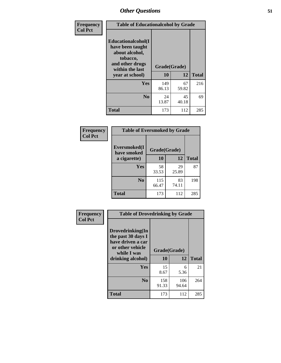| Frequency      | <b>Table of Educationalcohol by Grade</b>                                                                  |              |             |              |  |  |
|----------------|------------------------------------------------------------------------------------------------------------|--------------|-------------|--------------|--|--|
| <b>Col Pct</b> | Educationalcohol(I<br>have been taught<br>about alcohol,<br>tobacco,<br>and other drugs<br>within the last | Grade(Grade) |             |              |  |  |
|                | year at school)                                                                                            | 10           | 12          | <b>Total</b> |  |  |
|                | <b>Yes</b>                                                                                                 | 149<br>86.13 | 67<br>59.82 | 216          |  |  |
|                | N <sub>0</sub>                                                                                             | 24<br>13.87  | 45<br>40.18 | 69           |  |  |
|                | <b>Total</b>                                                                                               | 173          | 112         | 285          |  |  |

| Frequency      | <b>Table of Eversmoked by Grade</b> |              |             |              |  |  |  |
|----------------|-------------------------------------|--------------|-------------|--------------|--|--|--|
| <b>Col Pct</b> | Eversmoked(I<br>have smoked         |              |             |              |  |  |  |
|                | a cigarette)                        | 10           | 12          | <b>Total</b> |  |  |  |
|                | <b>Yes</b>                          | 58<br>33.53  | 29<br>25.89 | 87           |  |  |  |
|                | N <sub>0</sub>                      | 115<br>66.47 | 83<br>74.11 | 198          |  |  |  |
|                | <b>Total</b>                        | 173          | 112         | 285          |  |  |  |

| Frequency      | <b>Table of Drovedrinking by Grade</b>                                                                              |                    |              |              |  |  |
|----------------|---------------------------------------------------------------------------------------------------------------------|--------------------|--------------|--------------|--|--|
| <b>Col Pct</b> | Drovedrinking(In<br>the past 30 days I<br>have driven a car<br>or other vehicle<br>while I was<br>drinking alcohol) | Grade(Grade)<br>10 | 12           | <b>Total</b> |  |  |
|                | <b>Yes</b>                                                                                                          | 15<br>8.67         | 6<br>5.36    | 21           |  |  |
|                | N <sub>0</sub>                                                                                                      | 158<br>91.33       | 106<br>94.64 | 264          |  |  |
|                | <b>Total</b>                                                                                                        | 173                | 112          | 285          |  |  |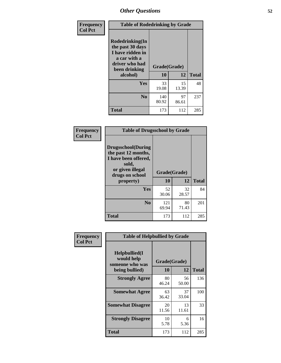| Frequency<br><b>Col Pct</b> | <b>Table of Rodedrinking by Grade</b>                                                                      |              |             |              |  |  |  |
|-----------------------------|------------------------------------------------------------------------------------------------------------|--------------|-------------|--------------|--|--|--|
|                             | Rodedrinking(In<br>the past 30 days<br>I have ridden in<br>a car with a<br>driver who had<br>been drinking | Grade(Grade) |             |              |  |  |  |
|                             | alcohol)                                                                                                   | 10           | 12          | <b>Total</b> |  |  |  |
|                             | <b>Yes</b>                                                                                                 | 33<br>19.08  | 15<br>13.39 | 48           |  |  |  |
|                             | N <sub>0</sub>                                                                                             | 140<br>80.92 | 97<br>86.61 | 237          |  |  |  |
|                             | <b>Total</b>                                                                                               | 173          | 112         | 285          |  |  |  |

#### **Frequency Col Pct**

| <b>Table of Drugsschool by Grade</b>                                                                                      |              |             |              |  |  |  |  |
|---------------------------------------------------------------------------------------------------------------------------|--------------|-------------|--------------|--|--|--|--|
| <b>Drugsschool</b> (During<br>the past 12 months,<br>I have been offered,<br>sold,<br>or given illegal<br>drugs on school | Grade(Grade) |             |              |  |  |  |  |
| property)                                                                                                                 | 10           | 12          | <b>Total</b> |  |  |  |  |
| Yes                                                                                                                       | 52<br>30.06  | 32<br>28.57 | 84           |  |  |  |  |
| $\bf No$                                                                                                                  | 121<br>69.94 | 80<br>71.43 | 201          |  |  |  |  |
| Total                                                                                                                     | 173          | 112         | 285          |  |  |  |  |

| Frequency      | <b>Table of Helpbullied by Grade</b>                                                               |             |             |              |  |  |  |
|----------------|----------------------------------------------------------------------------------------------------|-------------|-------------|--------------|--|--|--|
| <b>Col Pct</b> | $Helpb$ ullied $(I$<br>would help<br>Grade(Grade)<br>someone who was<br>10<br>12<br>being bullied) |             |             | <b>Total</b> |  |  |  |
|                | <b>Strongly Agree</b>                                                                              | 80          | 56          | 136          |  |  |  |
|                |                                                                                                    | 46.24       | 50.00       |              |  |  |  |
|                | <b>Somewhat Agree</b>                                                                              | 63<br>36.42 | 37<br>33.04 | 100          |  |  |  |
|                | <b>Somewhat Disagree</b>                                                                           | 20<br>11.56 | 13<br>11.61 | 33           |  |  |  |
|                | <b>Strongly Disagree</b>                                                                           | 10<br>5.78  | 6<br>5.36   | 16           |  |  |  |
|                | <b>Total</b>                                                                                       | 173         | 112         | 285          |  |  |  |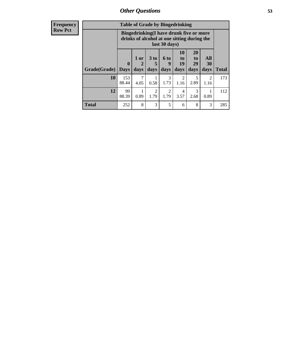| <b>Frequency</b> | <b>Table of Grade by Bingedrinking</b> |                             |                |                              |                              |                                                                                        |                               |                   |              |
|------------------|----------------------------------------|-----------------------------|----------------|------------------------------|------------------------------|----------------------------------------------------------------------------------------|-------------------------------|-------------------|--------------|
| <b>Row Pct</b>   |                                        |                             |                |                              | last 30 days)                | Bingedrinking(I have drunk five or more<br>drinks of alcohol at one sitting during the |                               |                   |              |
|                  | Grade(Grade)                           | $\mathbf{0}$<br><b>Days</b> | $1$ or<br>days | 3 <sub>to</sub><br>5<br>days | $6 \text{ to }$<br>9<br>days | 10<br>$\mathbf{to}$<br>19<br>days                                                      | <b>20</b><br>to<br>29<br>days | All<br>30<br>days | <b>Total</b> |
|                  | 10                                     | 153<br>88.44                | 7<br>4.05      | 0.58                         | 3<br>1.73                    | $\overline{2}$<br>1.16                                                                 | 5<br>2.89                     | 2<br>1.16         | 173          |
|                  | 12                                     | 99<br>88.39                 | 0.89           | 2<br>1.79                    | $\overline{2}$<br>1.79       | $\overline{4}$<br>3.57                                                                 | 3<br>2.68                     | 0.89              | 112          |
|                  | <b>Total</b>                           | 252                         | 8              | 3                            | 5                            | 6                                                                                      | 8                             | 3                 | 285          |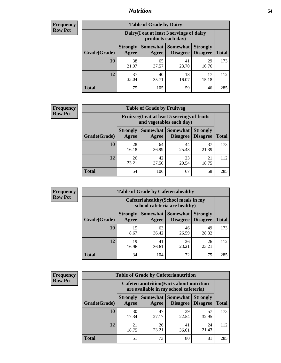## *Nutrition* **54**

| <b>Frequency</b> |
|------------------|
| <b>Row Pct</b>   |

| <b>Table of Grade by Dairy</b> |                          |                                                                 |                             |                                    |              |  |  |  |
|--------------------------------|--------------------------|-----------------------------------------------------------------|-----------------------------|------------------------------------|--------------|--|--|--|
|                                |                          | Dairy (I eat at least 3 servings of dairy<br>products each day) |                             |                                    |              |  |  |  |
| Grade(Grade)                   | <b>Strongly</b><br>Agree | Somewhat  <br>Agree                                             | <b>Somewhat</b><br>Disagree | <b>Strongly</b><br><b>Disagree</b> | <b>Total</b> |  |  |  |
| 10                             | 38<br>21.97              | 65<br>37.57                                                     | 41<br>23.70                 | 29<br>16.76                        | 173          |  |  |  |
| 12                             | 37<br>33.04              | 40<br>35.71                                                     | 18<br>16.07                 | 17<br>15.18                        | 112          |  |  |  |
| <b>Total</b>                   | 75                       | 105                                                             | 59                          | 46                                 | 285          |  |  |  |

| <b>Frequency</b> |  |
|------------------|--|
| <b>Row Pct</b>   |  |

| <b>Table of Grade by Fruitveg</b>                                        |                          |             |                            |                                             |              |  |  |  |
|--------------------------------------------------------------------------|--------------------------|-------------|----------------------------|---------------------------------------------|--------------|--|--|--|
| Fruitveg(I eat at least 5 servings of fruits<br>and vegetables each day) |                          |             |                            |                                             |              |  |  |  |
| Grade(Grade)                                                             | <b>Strongly</b><br>Agree | Agree       | <b>Somewhat   Somewhat</b> | <b>Strongly</b><br><b>Disagree</b> Disagree | <b>Total</b> |  |  |  |
| 10                                                                       | 28<br>16.18              | 64<br>36.99 | 44<br>25.43                | 37<br>21.39                                 | 173          |  |  |  |
| 12                                                                       | 26<br>23.21              | 42<br>37.50 | 23<br>20.54                | 21<br>18.75                                 | 112          |  |  |  |
| <b>Total</b>                                                             | 54                       | 106         | 67                         | 58                                          | 285          |  |  |  |

| <b>Frequency</b> | <b>Table of Grade by Cafeteriahealthy</b> |                                                                       |                          |                                    |                                    |              |  |  |
|------------------|-------------------------------------------|-----------------------------------------------------------------------|--------------------------|------------------------------------|------------------------------------|--------------|--|--|
| <b>Row Pct</b>   |                                           | Cafeteriahealthy (School meals in my<br>school cafeteria are healthy) |                          |                                    |                                    |              |  |  |
|                  | Grade(Grade)                              | <b>Strongly</b><br>Agree                                              | <b>Somewhat</b><br>Agree | <b>Somewhat</b><br><b>Disagree</b> | <b>Strongly</b><br><b>Disagree</b> | <b>Total</b> |  |  |
|                  | 10                                        | 15<br>8.67                                                            | 63<br>36.42              | 46<br>26.59                        | 49<br>28.32                        | 173          |  |  |
|                  | 12                                        | 19<br>16.96                                                           | 41<br>36.61              | 26<br>23.21                        | 26<br>23.21                        | 112          |  |  |
|                  | <b>Total</b>                              | 34                                                                    | 104                      | 72                                 | 75                                 | 285          |  |  |

| <b>Frequency</b> |
|------------------|
| <b>Row Pct</b>   |

| <b>Table of Grade by Cafeterianutrition</b> |                                                                                           |             |                                               |                                    |              |  |  |
|---------------------------------------------|-------------------------------------------------------------------------------------------|-------------|-----------------------------------------------|------------------------------------|--------------|--|--|
|                                             | <b>Cafeterianutrition</b> (Facts about nutrition<br>are available in my school cafeteria) |             |                                               |                                    |              |  |  |
| Grade(Grade)                                | <b>Strongly</b><br>Agree                                                                  | Agree       | <b>Somewhat   Somewhat</b><br><b>Disagree</b> | <b>Strongly</b><br><b>Disagree</b> | <b>Total</b> |  |  |
| 10                                          | 30<br>17.34                                                                               | 47<br>27.17 | 39<br>22.54                                   | 57<br>32.95                        | 173          |  |  |
| 12                                          | 21<br>18.75                                                                               | 26<br>23.21 | 41<br>36.61                                   | 24<br>21.43                        | 112          |  |  |
| <b>Total</b>                                | 51                                                                                        | 73          | 80                                            | 81                                 | 285          |  |  |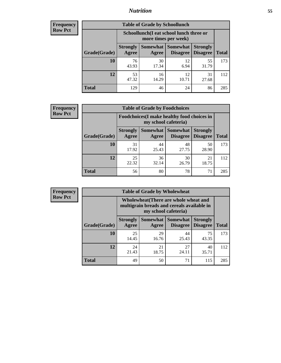## *Nutrition* **55**

| Frequency |
|-----------|
| Row Pct   |

| <b>Table of Grade by Schoollunch</b> |                                                                                                            |                                                                 |             |             |     |  |  |  |
|--------------------------------------|------------------------------------------------------------------------------------------------------------|-----------------------------------------------------------------|-------------|-------------|-----|--|--|--|
|                                      |                                                                                                            | Schoollunch(I eat school lunch three or<br>more times per week) |             |             |     |  |  |  |
| Grade(Grade)                         | Somewhat   Somewhat<br><b>Strongly</b><br><b>Strongly</b><br><b>Disagree</b><br>Disagree<br>Agree<br>Agree |                                                                 |             |             |     |  |  |  |
| 10                                   | 76<br>43.93                                                                                                | 30<br>17.34                                                     | 12<br>6.94  | 55<br>31.79 | 173 |  |  |  |
| 12                                   | 53<br>47.32                                                                                                | 16<br>14.29                                                     | 12<br>10.71 | 31<br>27.68 | 112 |  |  |  |
| <b>Total</b>                         | 129                                                                                                        | 46                                                              | 24          | 86          | 285 |  |  |  |

| <b>Frequency</b> |  |
|------------------|--|
| <b>Row Pct</b>   |  |

| <b>Table of Grade by Foodchoices</b>                                |                          |             |                                        |                                    |              |  |  |
|---------------------------------------------------------------------|--------------------------|-------------|----------------------------------------|------------------------------------|--------------|--|--|
| Foodchoices (I make healthy food choices in<br>my school cafeteria) |                          |             |                                        |                                    |              |  |  |
| Grade(Grade)                                                        | <b>Strongly</b><br>Agree | Agree       | <b>Somewhat   Somewhat</b><br>Disagree | <b>Strongly</b><br><b>Disagree</b> | <b>Total</b> |  |  |
| 10                                                                  | 31<br>17.92              | 44<br>25.43 | 48<br>27.75                            | 50<br>28.90                        | 173          |  |  |
| 12                                                                  | 25<br>22.32              | 36<br>32.14 | 30<br>26.79                            | 21<br>18.75                        | 112          |  |  |
| <b>Total</b>                                                        | 56                       | 80          | 78                                     | 71                                 | 285          |  |  |

| Frequency      | <b>Table of Grade by Wholewheat</b> |                          |                      |                                                                                     |                                    |              |  |  |
|----------------|-------------------------------------|--------------------------|----------------------|-------------------------------------------------------------------------------------|------------------------------------|--------------|--|--|
| <b>Row Pct</b> |                                     |                          | my school cafeteria) | Wholewheat (There are whole wheat and<br>multigrain breads and cereals available in |                                    |              |  |  |
|                | Grade(Grade)                        | <b>Strongly</b><br>Agree | Agree                | Somewhat   Somewhat  <br><b>Disagree</b>                                            | <b>Strongly</b><br><b>Disagree</b> | <b>Total</b> |  |  |
|                | 10                                  | 25<br>14.45              | 29<br>16.76          | 44<br>25.43                                                                         | 75<br>43.35                        | 173          |  |  |
|                | 12                                  | 24<br>21.43              | 21<br>18.75          | 27<br>24.11                                                                         | 40<br>35.71                        | 112          |  |  |
|                | <b>Total</b>                        | 49                       | 50                   | 71                                                                                  | 115                                | 285          |  |  |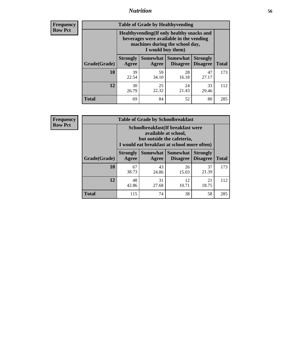## *Nutrition* **56**

**Frequency Row Pct**

| <b>Table of Grade by Healthyvending</b> |                                                                                                                                               |                          |                                    |                                    |              |  |
|-----------------------------------------|-----------------------------------------------------------------------------------------------------------------------------------------------|--------------------------|------------------------------------|------------------------------------|--------------|--|
|                                         | Healthyvending (If only healthy snacks and<br>beverages were available in the vending<br>machines during the school day,<br>I would buy them) |                          |                                    |                                    |              |  |
| Grade(Grade)                            | <b>Strongly</b><br>Agree                                                                                                                      | <b>Somewhat</b><br>Agree | <b>Somewhat</b><br><b>Disagree</b> | <b>Strongly</b><br><b>Disagree</b> | <b>Total</b> |  |
| 10                                      | 39<br>22.54                                                                                                                                   | 59<br>34.10              | 28<br>16.18                        | 47<br>27.17                        | 173          |  |
| 12                                      | 30<br>26.79                                                                                                                                   | 25<br>22.32              | 24<br>21.43                        | 33<br>29.46                        | 112          |  |
| <b>Total</b>                            | 69                                                                                                                                            | 84                       | 52                                 | 80                                 | 285          |  |

**Frequency Row Pct**

| <b>Table of Grade by Schoolbreakfast</b> |                                                                                                                                        |             |             |             |     |  |
|------------------------------------------|----------------------------------------------------------------------------------------------------------------------------------------|-------------|-------------|-------------|-----|--|
|                                          | Schoolbreakfast(If breakfast were<br>available at school,<br>but outside the cafeteria,<br>I would eat breakfast at school more often) |             |             |             |     |  |
| Grade(Grade)                             | Somewhat   Somewhat<br><b>Strongly</b><br><b>Strongly</b><br><b>Disagree</b><br><b>Agree</b><br><b>Total</b><br>Disagree<br>Agree      |             |             |             |     |  |
| 10                                       | 67<br>38.73                                                                                                                            | 43<br>24.86 | 26<br>15.03 | 37<br>21.39 | 173 |  |
| 12                                       | 48<br>31<br>12<br>21<br>10.71<br>18.75<br>27.68<br>42.86                                                                               |             |             |             |     |  |
| <b>Total</b>                             | 115                                                                                                                                    | 74          | 38          | 58          | 285 |  |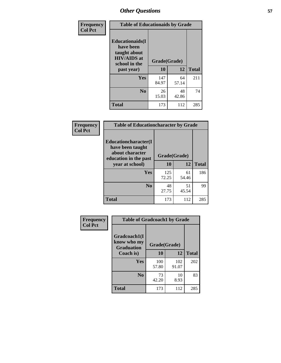| Frequency<br><b>Col Pct</b> | <b>Table of Educationaids by Grade</b>                                                                    |                    |             |              |
|-----------------------------|-----------------------------------------------------------------------------------------------------------|--------------------|-------------|--------------|
|                             | <b>Educationaids</b> (I<br>have been<br>taught about<br><b>HIV/AIDS</b> at<br>school in the<br>past year) | Grade(Grade)<br>10 | 12          | <b>Total</b> |
|                             | Yes                                                                                                       | 147<br>84.97       | 64<br>57.14 | 211          |
|                             | N <sub>0</sub>                                                                                            | 26<br>15.03        | 48<br>42.86 | 74           |
|                             | <b>Total</b>                                                                                              | 173                | 112         | 285          |

| Frequency<br><b>Col Pct</b> | <b>Table of Educationcharacter by Grade</b>                                                  |              |             |              |  |
|-----------------------------|----------------------------------------------------------------------------------------------|--------------|-------------|--------------|--|
|                             | <b>Educationcharacter(I)</b><br>have been taught<br>about character<br>education in the past | Grade(Grade) |             |              |  |
|                             | year at school)                                                                              | 10           | 12          | <b>Total</b> |  |
|                             | Yes                                                                                          | 125<br>72.25 | 61<br>54.46 | 186          |  |
|                             | N <sub>0</sub>                                                                               | 48<br>27.75  | 51<br>45.54 | 99           |  |
|                             | <b>Total</b>                                                                                 | 173          | 112         | 285          |  |

| <b>Frequency</b><br><b>Col Pct</b> | <b>Table of Gradcoach1 by Grade</b>              |              |              |              |
|------------------------------------|--------------------------------------------------|--------------|--------------|--------------|
|                                    | Gradcoach1(I<br>know who my<br><b>Graduation</b> | Grade(Grade) |              |              |
|                                    | Coach is)                                        | 10           | 12           | <b>Total</b> |
|                                    | Yes                                              | 100<br>57.80 | 102<br>91.07 | 202          |
|                                    | N <sub>0</sub>                                   | 73<br>42.20  | 10<br>8.93   | 83           |
|                                    | <b>Total</b>                                     | 173          | 112          | 285          |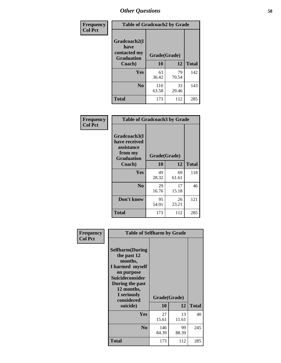| Frequency      | <b>Table of Gradcoach2 by Grade</b> |              |             |              |  |  |
|----------------|-------------------------------------|--------------|-------------|--------------|--|--|
| <b>Col Pct</b> |                                     |              |             |              |  |  |
|                | Gradcoach2(I<br>have                |              |             |              |  |  |
|                | contacted my<br><b>Graduation</b>   | Grade(Grade) |             |              |  |  |
|                | Coach)                              | 10           | 12          | <b>Total</b> |  |  |
|                | Yes                                 | 63<br>36.42  | 79<br>70.54 | 142          |  |  |
|                | N <sub>0</sub>                      | 110<br>63.58 | 33<br>29.46 | 143          |  |  |
|                | <b>Total</b>                        | 173          | 112         | 285          |  |  |

| Frequency<br><b>Col Pct</b> | <b>Table of Gradcoach3 by Grade</b>                                         |              |             |              |
|-----------------------------|-----------------------------------------------------------------------------|--------------|-------------|--------------|
|                             | Gradcoach3(I<br>have received<br>assistance<br>from my<br><b>Graduation</b> | Grade(Grade) |             |              |
|                             | Coach)                                                                      | 10           | 12          | <b>Total</b> |
|                             | Yes                                                                         | 49<br>28.32  | 69<br>61.61 | 118          |
|                             | N <sub>0</sub>                                                              | 29<br>16.76  | 17<br>15.18 | 46           |
|                             | Don't know                                                                  | 95<br>54.91  | 26<br>23.21 | 121          |
|                             | <b>Total</b>                                                                | 173          | 112         | 285          |

|                             | <b>Table of Selfharm by Grade</b>                                                                                                             |              |             |              |
|-----------------------------|-----------------------------------------------------------------------------------------------------------------------------------------------|--------------|-------------|--------------|
| Frequency<br><b>Col Pct</b> | <b>Selfharm</b> (During<br>the past 12<br>months,<br>I harmed myself<br>on purpose<br><b>Suicideconsider</b><br>During the past<br>12 months, |              |             |              |
|                             | I seriously<br>considered                                                                                                                     | Grade(Grade) |             |              |
|                             | suicide)                                                                                                                                      | 10           | 12          | <b>Total</b> |
|                             | Yes                                                                                                                                           | 27<br>15.61  | 13<br>11.61 | 40           |
|                             | N <sub>0</sub>                                                                                                                                | 146<br>84.39 | 99<br>88.39 | 245          |
|                             | Total                                                                                                                                         | 173          | 112         | 285          |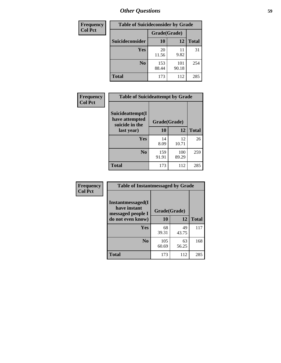| <b>Frequency</b> | <b>Table of Suicideconsider by Grade</b> |              |              |              |
|------------------|------------------------------------------|--------------|--------------|--------------|
| <b>Col Pct</b>   |                                          | Grade(Grade) |              |              |
|                  | <b>Suicideconsider</b>                   | <b>10</b>    | 12           | <b>Total</b> |
|                  | Yes                                      | 20<br>11.56  | 11<br>9.82   | 31           |
|                  | N <sub>0</sub>                           | 153<br>88.44 | 101<br>90.18 | 254          |
|                  | Total                                    | 173          | 112          | 285          |

| Frequency      | <b>Table of Suicideattempt by Grade</b>              |              |              |              |
|----------------|------------------------------------------------------|--------------|--------------|--------------|
| <b>Col Pct</b> | Suicideattempt(I<br>have attempted<br>suicide in the | Grade(Grade) |              |              |
|                | last year)                                           | 10           | 12           | <b>Total</b> |
|                | Yes                                                  | 14<br>8.09   | 12<br>10.71  | 26           |
|                | $\bf No$                                             | 159<br>91.91 | 100<br>89.29 | 259          |
|                | <b>Total</b>                                         | 173          | 112          | 285          |

| Frequency      | <b>Table of Instantmessaged by Grade</b>               |              |             |              |
|----------------|--------------------------------------------------------|--------------|-------------|--------------|
| <b>Col Pct</b> | Instantmessaged(I<br>have instant<br>messaged people I | Grade(Grade) |             |              |
|                | do not even know)                                      | 10           | 12          | <b>Total</b> |
|                | Yes                                                    | 68<br>39.31  | 49<br>43.75 | 117          |
|                | N <sub>0</sub>                                         | 105<br>60.69 | 63<br>56.25 | 168          |
|                | <b>Total</b>                                           | 173          | 112         | 285          |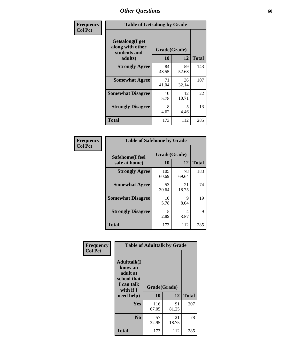| Frequency      | <b>Table of Getsalong by Grade</b>                                     |                    |             |              |
|----------------|------------------------------------------------------------------------|--------------------|-------------|--------------|
| <b>Col Pct</b> | <b>Getsalong</b> (I get<br>along with other<br>students and<br>adults) | Grade(Grade)<br>10 | 12          | <b>Total</b> |
|                | <b>Strongly Agree</b>                                                  | 84<br>48.55        | 59<br>52.68 | 143          |
|                | <b>Somewhat Agree</b>                                                  | 71<br>41.04        | 36<br>32.14 | 107          |
|                | <b>Somewhat Disagree</b>                                               | 10<br>5.78         | 12<br>10.71 | 22           |
|                | <b>Strongly Disagree</b>                                               | 8<br>4.62          | 5<br>4.46   | 13           |
|                | Total                                                                  | 173                | 112         | 285          |

| Frequency      | <b>Table of Safehome by Grade</b> |              |             |              |  |  |
|----------------|-----------------------------------|--------------|-------------|--------------|--|--|
| <b>Col Pct</b> | Safehome(I feel                   | Grade(Grade) |             |              |  |  |
|                | safe at home)                     | <b>10</b>    | 12          | <b>Total</b> |  |  |
|                | <b>Strongly Agree</b>             | 105<br>60.69 | 78<br>69.64 | 183          |  |  |
|                | <b>Somewhat Agree</b>             | 53<br>30.64  | 21<br>18.75 | 74           |  |  |
|                | <b>Somewhat Disagree</b>          | 10<br>5.78   | 9<br>8.04   | 19           |  |  |
|                | <b>Strongly Disagree</b>          | 5<br>2.89    | 4<br>3.57   | 9            |  |  |
|                | <b>Total</b>                      | 173          | 112         | 285          |  |  |

| Frequency      |                                                                                     | <b>Table of Adulttalk by Grade</b> |             |              |
|----------------|-------------------------------------------------------------------------------------|------------------------------------|-------------|--------------|
| <b>Col Pct</b> | <b>Adulttalk(I</b><br>know an<br>adult at<br>school that<br>I can talk<br>with if I | Grade(Grade)                       |             |              |
|                | need help)                                                                          | 10                                 | 12          | <b>Total</b> |
|                | <b>Yes</b>                                                                          | 116<br>67.05                       | 91<br>81.25 | 207          |
|                | N <sub>0</sub>                                                                      | 57<br>32.95                        | 21<br>18.75 | 78           |
|                | <b>Total</b>                                                                        | 173                                | 112         | 285          |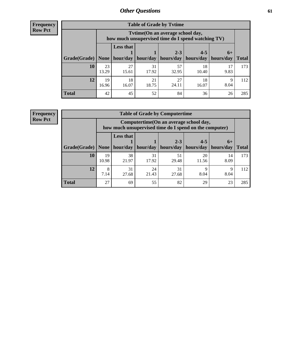**Frequency Row Pct**

| <b>Table of Grade by Tytime</b> |             |                                                                                                                                                                                                                         |             |             |             |           |     |  |  |
|---------------------------------|-------------|-------------------------------------------------------------------------------------------------------------------------------------------------------------------------------------------------------------------------|-------------|-------------|-------------|-----------|-----|--|--|
|                                 |             | Tytime (On an average school day,<br>how much unsupervised time do I spend watching TV)<br><b>Less that</b><br>$2 - 3$<br>$4 - 5$<br>$6+$<br>hour/day   hour/day   hours/day<br>  hours/day   hours/day<br><b>Total</b> |             |             |             |           |     |  |  |
| Grade(Grade)   None             |             |                                                                                                                                                                                                                         |             |             |             |           |     |  |  |
| 10                              | 23<br>13.29 | 27<br>15.61                                                                                                                                                                                                             | 31<br>17.92 | 57<br>32.95 | 18<br>10.40 | 9.83      | 173 |  |  |
| 12                              | 19<br>16.96 | 18<br>16.07                                                                                                                                                                                                             | 21<br>18.75 | 27<br>24.11 | 18<br>16.07 | Q<br>8.04 | 112 |  |  |
| <b>Total</b>                    | 42          | 45                                                                                                                                                                                                                      | 52          | 84          | 36          | 26        | 285 |  |  |

**Frequency Row Pct**

| <b>Table of Grade by Computertime</b> |             |                                                                                                   |                     |                      |                      |                   |              |  |  |
|---------------------------------------|-------------|---------------------------------------------------------------------------------------------------|---------------------|----------------------|----------------------|-------------------|--------------|--|--|
|                                       |             | Computertime (On an average school day,<br>how much unsupervised time do I spend on the computer) |                     |                      |                      |                   |              |  |  |
| Grade(Grade)                          | None        | <b>Less that</b>                                                                                  | hour/day   hour/day | $2 - 3$<br>hours/day | $4 - 5$<br>hours/day | $6+$<br>hours/day | <b>Total</b> |  |  |
| 10                                    | 19<br>10.98 | 38<br>21.97                                                                                       | 31<br>17.92         | 51<br>29.48          | 20<br>11.56          | 14<br>8.09        | 173          |  |  |
| 12                                    | 8<br>7.14   | 31<br>31<br>24<br>Q<br>Q<br>8.04<br>21.43<br>8.04<br>27.68<br>27.68                               |                     |                      |                      |                   |              |  |  |
| <b>Total</b>                          | 27          | 69                                                                                                | 55                  | 82                   | 29                   | 23                | 285          |  |  |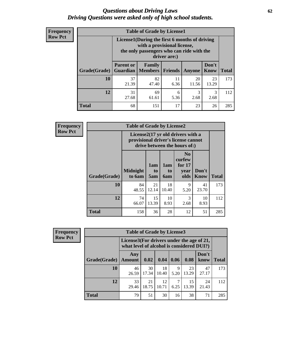#### *Questions about Driving Laws* **62** *Driving Questions were asked only of high school students.*

| <b>Frequency</b> |
|------------------|
| <b>Row Pct</b>   |

| <b>Table of Grade by License1</b> |                                                                   |                                                                                                                                           |                |               |               |              |  |  |  |
|-----------------------------------|-------------------------------------------------------------------|-------------------------------------------------------------------------------------------------------------------------------------------|----------------|---------------|---------------|--------------|--|--|--|
|                                   |                                                                   | License1(During the first 6 months of driving<br>with a provisional license,<br>the only passengers who can ride with the<br>driver are:) |                |               |               |              |  |  |  |
| Grade(Grade)                      | <b>Parent or</b><br><b>Guardian</b>                               | Family<br><b>Members</b>                                                                                                                  | <b>Friends</b> | <b>Anyone</b> | Don't<br>Know | <b>Total</b> |  |  |  |
| 10                                | 37<br>21.39                                                       | 82<br>47.40                                                                                                                               | 11<br>6.36     | 20<br>11.56   | 23<br>13.29   | 173          |  |  |  |
| 12                                | 69<br>3<br>3<br>31<br>6<br>2.68<br>27.68<br>5.36<br>61.61<br>2.68 |                                                                                                                                           |                |               |               |              |  |  |  |
| <b>Total</b>                      | 68                                                                | 151                                                                                                                                       | 17             | 23            | 26            | 285          |  |  |  |

| <b>Frequency</b> |              | <b>Table of Grade by License2</b>                                                                        |                  |                              |                                                      |                      |              |  |  |
|------------------|--------------|----------------------------------------------------------------------------------------------------------|------------------|------------------------------|------------------------------------------------------|----------------------|--------------|--|--|
| <b>Row Pct</b>   |              | License2(17 yr old drivers with a<br>provisional driver's license cannot<br>drive between the hours of:) |                  |                              |                                                      |                      |              |  |  |
|                  | Grade(Grade) | <b>Midnight</b><br>to 6am                                                                                | 1am<br>to<br>5am | 1am<br>t <sub>0</sub><br>6am | N <sub>0</sub><br>curfew<br>for $17$<br>year<br>olds | Don't<br><b>Know</b> | <b>Total</b> |  |  |
|                  | 10           | 84<br>48.55                                                                                              | 21<br>12.14      | 18<br>10.40                  | 9<br>5.20                                            | 41<br>23.70          | 173          |  |  |
|                  | 12           | 74<br>66.07                                                                                              | 15<br>13.39      | 10<br>8.93                   | 3<br>2.68                                            | 10<br>8.93           | 112          |  |  |
|                  | <b>Total</b> | 158                                                                                                      | 36               | 28                           | 12                                                   | 51                   | 285          |  |  |

| <b>Frequency</b> |              | <b>Table of Grade by License3</b> |                                                                                        |             |           |             |               |              |
|------------------|--------------|-----------------------------------|----------------------------------------------------------------------------------------|-------------|-----------|-------------|---------------|--------------|
| <b>Row Pct</b>   |              |                                   | License3(For drivers under the age of 21,<br>what level of alcohol is considered DUI?) |             |           |             |               |              |
|                  | Grade(Grade) | Any<br><b>Amount</b>              | 0.02                                                                                   | 0.04        | 0.06      | 0.08        | Don't<br>know | <b>Total</b> |
|                  | 10           | 46<br>26.59                       | 30<br>17.34                                                                            | 18<br>10.40 | 9<br>5.20 | 23<br>13.29 | 47<br>27.17   | 173          |
|                  | 12           | 33<br>29.46                       | 21<br>18.75                                                                            | 12<br>10.71 | 6.25      | 15<br>13.39 | 24<br>21.43   | 112          |
|                  | <b>Total</b> | 79                                | 51                                                                                     | 30          | 16        | 38          | 71            | 285          |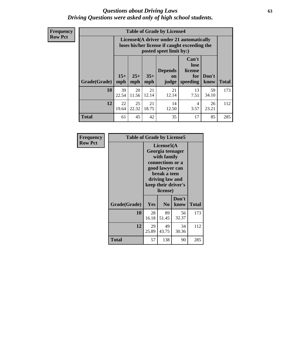#### *Questions about Driving Laws* **63** *Driving Questions were asked only of high school students.*

**Frequency Row Pct**

| <b>Table of Grade by License4</b> |             |                                                                                                                                                                                                                                                                                       |             |             |            |             |     |  |  |
|-----------------------------------|-------------|---------------------------------------------------------------------------------------------------------------------------------------------------------------------------------------------------------------------------------------------------------------------------------------|-------------|-------------|------------|-------------|-----|--|--|
|                                   |             | License4(A driver under 21 automatically<br>loses his/her license if caught exceeding the<br>posted speet limit by:)<br>Can't<br>lose<br><b>Depends</b><br>license<br>$15+$<br>$25+$<br>$35+$<br>Don't<br>for<br><b>on</b><br>speeding<br><b>Total</b><br>mph<br>know<br>mph<br>judge |             |             |            |             |     |  |  |
| Grade(Grade)                      | mph         |                                                                                                                                                                                                                                                                                       |             |             |            |             |     |  |  |
| 10                                | 39<br>22.54 | 20<br>11.56                                                                                                                                                                                                                                                                           | 21<br>12.14 | 21<br>12.14 | 13<br>7.51 | 59<br>34.10 | 173 |  |  |
| 12                                | 22<br>19.64 | 25<br>22.32                                                                                                                                                                                                                                                                           | 21<br>18.75 | 14<br>12.50 | 4<br>3.57  | 26<br>23.21 | 112 |  |  |
| <b>Total</b>                      | 61          | 45                                                                                                                                                                                                                                                                                    | 42          | 35          | 17         | 85          | 285 |  |  |

| Frequency      | <b>Table of Grade by License5</b> |                                                                                                                                                             |                |               |       |
|----------------|-----------------------------------|-------------------------------------------------------------------------------------------------------------------------------------------------------------|----------------|---------------|-------|
| <b>Row Pct</b> |                                   | License5(A)<br>Georgia teenager<br>with family<br>connections or a<br>good lawyer can<br>break a teen<br>driving law and<br>keep their driver's<br>license) |                |               |       |
|                | Grade(Grade)                      | <b>Yes</b>                                                                                                                                                  | N <sub>0</sub> | Don't<br>know | Total |
|                | 10                                | 28<br>16.18                                                                                                                                                 | 89<br>51.45    | 56<br>32.37   | 173   |
|                | 12                                | 29<br>25.89                                                                                                                                                 | 49<br>43.75    | 34<br>30.36   | 112   |
|                | <b>Total</b>                      | 57                                                                                                                                                          | 138            | 90            | 285   |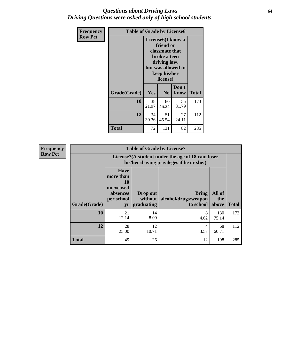#### *Questions about Driving Laws* **64** *Driving Questions were asked only of high school students.*

| <b>Frequency</b><br><b>Row Pct</b> | <b>Table of Grade by License6</b> |             |                                                                                                                           |                    |              |  |  |
|------------------------------------|-----------------------------------|-------------|---------------------------------------------------------------------------------------------------------------------------|--------------------|--------------|--|--|
|                                    |                                   |             | License <sub>6</sub> (I know a<br>friend or<br>classmate that<br>broke a teen<br>driving law,<br>keep his/her<br>license) | but was allowed to |              |  |  |
|                                    | Grade(Grade)                      | Yes         | N <sub>0</sub>                                                                                                            | Don't<br>know      | <b>Total</b> |  |  |
|                                    | 10                                | 38<br>21.97 | 80<br>46.24                                                                                                               | 55<br>31.79        | 173          |  |  |
|                                    | 12                                | 34<br>30.36 | 51<br>45.54                                                                                                               | 27<br>24.11        | 112          |  |  |
|                                    | <b>Total</b>                      | 72          | 131                                                                                                                       | 82                 | 285          |  |  |

| <b>Frequency</b> | <b>Table of Grade by License7</b> |                                                                             |                                     |                                                                                               |                        |              |  |  |
|------------------|-----------------------------------|-----------------------------------------------------------------------------|-------------------------------------|-----------------------------------------------------------------------------------------------|------------------------|--------------|--|--|
| <b>Row Pct</b>   |                                   |                                                                             |                                     | License7(A student under the age of 18 cam loser<br>his/her driving privileges if he or she:) |                        |              |  |  |
|                  | Grade(Grade)                      | <b>Have</b><br>more than<br>10<br>unexcused<br>absences<br>per school<br>yr | Drop out<br>without  <br>graduating | <b>Bring</b><br>alcohol/drugs/weapon<br>to school                                             | All of<br>the<br>above | <b>Total</b> |  |  |
|                  | 10                                | 21<br>12.14                                                                 | 14<br>8.09                          | 8<br>4.62                                                                                     | 130<br>75.14           | 173          |  |  |
|                  | 12                                | 28<br>25.00                                                                 | 12<br>10.71                         | 4<br>3.57                                                                                     | 68<br>60.71            | 112          |  |  |
|                  | <b>Total</b>                      | 49                                                                          | 26                                  | 12                                                                                            | 198                    | 285          |  |  |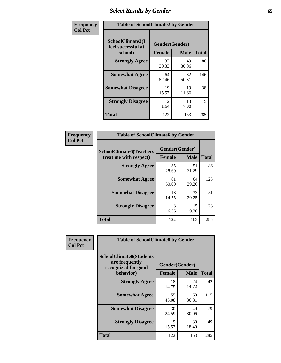## *Select Results by Gender* **65**

| Frequency      | <b>Table of SchoolClimate2 by Gender</b>          |                                 |             |              |  |
|----------------|---------------------------------------------------|---------------------------------|-------------|--------------|--|
| <b>Col Pct</b> | SchoolClimate2(I<br>feel successful at<br>school) | Gender(Gender)<br><b>Female</b> | <b>Male</b> | <b>Total</b> |  |
|                | <b>Strongly Agree</b>                             | 37<br>30.33                     | 49<br>30.06 | 86           |  |
|                | <b>Somewhat Agree</b>                             | 64<br>52.46                     | 82<br>50.31 | 146          |  |
|                | <b>Somewhat Disagree</b>                          | 19<br>15.57                     | 19<br>11.66 | 38           |  |
|                | <b>Strongly Disagree</b>                          | $\mathfrak{D}$<br>1.64          | 13<br>7.98  | 15           |  |
|                | <b>Total</b>                                      | 122                             | 163         | 285          |  |

| <b>Frequency</b> | <b>Table of SchoolClimate6 by Gender</b>                 |               |                               |              |
|------------------|----------------------------------------------------------|---------------|-------------------------------|--------------|
| <b>Col Pct</b>   | <b>SchoolClimate6(Teachers</b><br>treat me with respect) | <b>Female</b> | Gender(Gender)<br><b>Male</b> | <b>Total</b> |
|                  | <b>Strongly Agree</b>                                    | 35<br>28.69   | 51<br>31.29                   | 86           |
|                  | <b>Somewhat Agree</b>                                    | 61<br>50.00   | 64<br>39.26                   | 125          |
|                  | <b>Somewhat Disagree</b>                                 | 18<br>14.75   | 33<br>20.25                   | 51           |
|                  | <b>Strongly Disagree</b>                                 | 8<br>6.56     | 15<br>9.20                    | 23           |
|                  | <b>Total</b>                                             | 122           | 163                           | 285          |

| <b>Frequency</b> | <b>Table of SchoolClimate8 by Gender</b>                                             |                                 |             |              |
|------------------|--------------------------------------------------------------------------------------|---------------------------------|-------------|--------------|
| <b>Col Pct</b>   | <b>SchoolClimate8(Students</b><br>are frequently<br>recognized for good<br>behavior) | Gender(Gender)<br><b>Female</b> | <b>Male</b> | <b>Total</b> |
|                  | <b>Strongly Agree</b>                                                                | 18<br>14.75                     | 24<br>14.72 | 42           |
|                  | <b>Somewhat Agree</b>                                                                | 55<br>45.08                     | 60<br>36.81 | 115          |
|                  | <b>Somewhat Disagree</b>                                                             | 30<br>24.59                     | 49<br>30.06 | 79           |
|                  | <b>Strongly Disagree</b>                                                             | 19<br>15.57                     | 30<br>18.40 | 49           |
|                  | <b>Total</b>                                                                         | 122                             | 163         | 285          |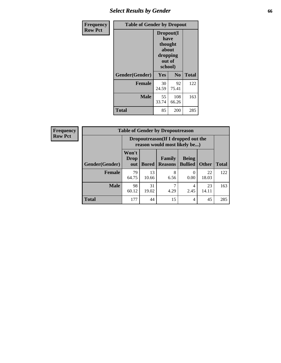## *Select Results by Gender* **66**

| Frequency      | <b>Table of Gender by Dropout</b> |                                                                        |                |              |
|----------------|-----------------------------------|------------------------------------------------------------------------|----------------|--------------|
| <b>Row Pct</b> |                                   | Dropout(I<br>have<br>thought<br>about<br>dropping<br>out of<br>school) |                |              |
|                | Gender(Gender)                    | Yes                                                                    | N <sub>0</sub> | <b>Total</b> |
|                | <b>Female</b>                     | 30<br>24.59                                                            | 92<br>75.41    | 122          |
|                | <b>Male</b>                       | 55<br>33.74                                                            | 108<br>66.26   | 163          |
|                | <b>Total</b>                      | 85                                                                     | 200            | 285          |

| <b>Frequency</b> | <b>Table of Gender by Dropoutreason</b> |                                                                    |              |                          |                                |              |              |
|------------------|-----------------------------------------|--------------------------------------------------------------------|--------------|--------------------------|--------------------------------|--------------|--------------|
| <b>Row Pct</b>   |                                         | Dropoutreason(If I dropped out the<br>reason would most likely be) |              |                          |                                |              |              |
|                  | Gender(Gender)                          | Won't<br>Drop<br>out                                               | <b>Bored</b> | Family<br><b>Reasons</b> | <b>Being</b><br><b>Bullied</b> | <b>Other</b> | <b>Total</b> |
|                  | <b>Female</b>                           | 79<br>64.75                                                        | 13<br>10.66  | 8<br>6.56                | 0.00                           | 22<br>18.03  | 122          |
|                  | <b>Male</b>                             | 98<br>60.12                                                        | 31<br>19.02  | 4.29                     | 4<br>2.45                      | 23<br>14.11  | 163          |
|                  | <b>Total</b>                            | 177                                                                | 44           | 15                       | 4                              | 45           | 285          |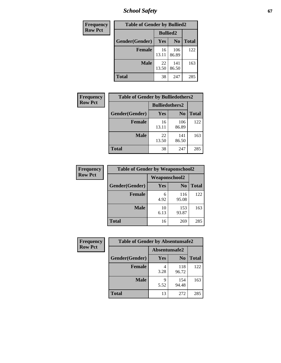*School Safety* **67**

| Frequency      | <b>Table of Gender by Bullied2</b> |                 |                |              |
|----------------|------------------------------------|-----------------|----------------|--------------|
| <b>Row Pct</b> |                                    | <b>Bullied2</b> |                |              |
|                | Gender(Gender)                     | <b>Yes</b>      | N <sub>0</sub> | <b>Total</b> |
|                | <b>Female</b>                      | 16<br>13.11     | 106<br>86.89   | 122          |
|                | <b>Male</b>                        | 22<br>13.50     | 141<br>86.50   | 163          |
|                | <b>Total</b>                       | 38              | 247            | 285          |

| <b>Frequency</b> | <b>Table of Gender by Bulliedothers2</b> |                       |                |              |
|------------------|------------------------------------------|-----------------------|----------------|--------------|
| <b>Row Pct</b>   |                                          | <b>Bulliedothers2</b> |                |              |
|                  | Gender(Gender)                           | <b>Yes</b>            | N <sub>0</sub> | <b>Total</b> |
|                  | <b>Female</b>                            | 16<br>13.11           | 106<br>86.89   | 122          |
|                  | <b>Male</b>                              | 22<br>13.50           | 141<br>86.50   | 163          |
|                  | <b>Total</b>                             | 38                    | 247            | 285          |

| Frequency      | <b>Table of Gender by Weaponschool2</b> |                      |                |              |
|----------------|-----------------------------------------|----------------------|----------------|--------------|
| <b>Row Pct</b> |                                         | <b>Weaponschool2</b> |                |              |
|                | Gender(Gender)                          | <b>Yes</b>           | N <sub>0</sub> | <b>Total</b> |
|                | <b>Female</b>                           | 6<br>4.92            | 116<br>95.08   | 122          |
|                | <b>Male</b>                             | 10<br>6.13           | 153<br>93.87   | 163          |
|                | <b>Total</b>                            | 16                   | 269            | 285          |

| Frequency      | <b>Table of Gender by Absentunsafe2</b> |               |                |              |  |
|----------------|-----------------------------------------|---------------|----------------|--------------|--|
| <b>Row Pct</b> |                                         | Absentunsafe2 |                |              |  |
|                | Gender(Gender)                          | Yes           | N <sub>0</sub> | <b>Total</b> |  |
|                | <b>Female</b>                           | 3.28          | 118<br>96.72   | 122          |  |
|                | <b>Male</b>                             | 5.52          | 154<br>94.48   | 163          |  |
|                | <b>Total</b>                            | 13            | 272            | 285          |  |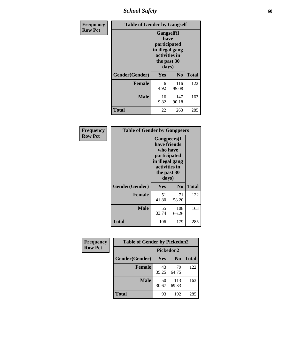*School Safety* **68**

| Frequency      | <b>Table of Gender by Gangself</b> |                                                                                                        |              |              |
|----------------|------------------------------------|--------------------------------------------------------------------------------------------------------|--------------|--------------|
| <b>Row Pct</b> |                                    | <b>Gangself</b> (I<br>have<br>participated<br>in illegal gang<br>activities in<br>the past 30<br>days) |              |              |
|                | Gender(Gender)                     | Yes                                                                                                    | No           | <b>Total</b> |
|                | <b>Female</b>                      | 6<br>4.92                                                                                              | 116<br>95.08 | 122          |
|                | <b>Male</b>                        | 16<br>9.82                                                                                             | 147<br>90.18 | 163          |
|                | <b>Total</b>                       | 22                                                                                                     | 263          | 285          |

| Frequency      | <b>Table of Gender by Gangpeers</b> |                                                                                                                             |                |              |
|----------------|-------------------------------------|-----------------------------------------------------------------------------------------------------------------------------|----------------|--------------|
| <b>Row Pct</b> |                                     | <b>Gangpeers</b> (I<br>have friends<br>who have<br>participated<br>in illegal gang<br>activities in<br>the past 30<br>days) |                |              |
|                | Gender(Gender)                      | Yes                                                                                                                         | N <sub>0</sub> | <b>Total</b> |
|                | <b>Female</b>                       | 51<br>41.80                                                                                                                 | 71<br>58.20    | 122          |
|                | <b>Male</b>                         | 55<br>33.74                                                                                                                 | 108<br>66.26   | 163          |
|                | <b>Total</b>                        | 106                                                                                                                         | 179            | 285          |

| Frequency      | <b>Table of Gender by Pickedon2</b> |                  |                |              |
|----------------|-------------------------------------|------------------|----------------|--------------|
| <b>Row Pct</b> |                                     | <b>Pickedon2</b> |                |              |
|                | Gender(Gender)                      | Yes              | N <sub>0</sub> | <b>Total</b> |
|                | <b>Female</b>                       | 43<br>35.25      | 79<br>64.75    | 122          |
|                | <b>Male</b>                         | 50<br>30.67      | 113<br>69.33   | 163          |
|                | <b>Total</b>                        | 93               | 192            | 285          |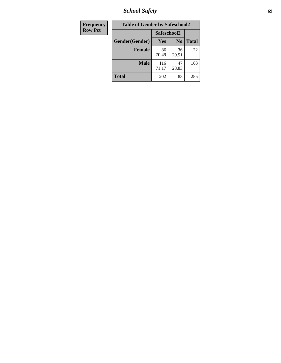*School Safety* **69**

| Frequency      | <b>Table of Gender by Safeschool2</b> |              |                |              |  |  |
|----------------|---------------------------------------|--------------|----------------|--------------|--|--|
| <b>Row Pct</b> |                                       | Safeschool2  |                |              |  |  |
|                | Gender(Gender)                        | Yes          | N <sub>0</sub> | <b>Total</b> |  |  |
|                | <b>Female</b>                         | 86<br>70.49  | 36<br>29.51    | 122          |  |  |
|                | <b>Male</b>                           | 116<br>71.17 | 47<br>28.83    | 163          |  |  |
|                | <b>Total</b>                          | 202          | 83             | 285          |  |  |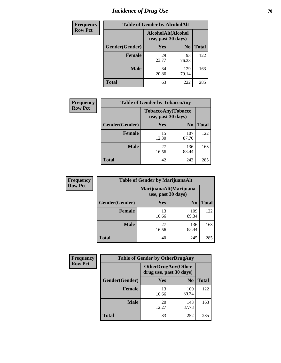# *Incidence of Drug Use* **70**

| <b>Frequency</b> | <b>Table of Gender by AlcoholAlt</b> |                                          |                |              |  |
|------------------|--------------------------------------|------------------------------------------|----------------|--------------|--|
| <b>Row Pct</b>   |                                      | AlcoholAlt(Alcohol<br>use, past 30 days) |                |              |  |
|                  | Gender(Gender)                       | Yes                                      | N <sub>0</sub> | <b>Total</b> |  |
|                  | <b>Female</b>                        | 29<br>23.77                              | 93<br>76.23    | 122          |  |
|                  | <b>Male</b>                          | 34<br>20.86                              | 129<br>79.14   | 163          |  |
|                  | <b>Total</b>                         | 63                                       | 222            | 285          |  |

| Frequency      | <b>Table of Gender by TobaccoAny</b> |                    |                    |              |  |
|----------------|--------------------------------------|--------------------|--------------------|--------------|--|
| <b>Row Pct</b> |                                      | use, past 30 days) | TobaccoAny(Tobacco |              |  |
|                | Gender(Gender)                       | Yes                | N <sub>0</sub>     | <b>Total</b> |  |
|                | <b>Female</b>                        | 15<br>12.30        | 107<br>87.70       | 122          |  |
|                | <b>Male</b>                          | 27<br>16.56        | 136<br>83.44       | 163          |  |
|                | <b>Total</b>                         | 42                 | 243                | 285          |  |

| <b>Frequency</b> | <b>Table of Gender by MarijuanaAlt</b> |                    |                        |              |
|------------------|----------------------------------------|--------------------|------------------------|--------------|
| <b>Row Pct</b>   |                                        | use, past 30 days) | MarijuanaAlt(Marijuana |              |
|                  | Gender(Gender)                         | <b>Yes</b>         | N <sub>0</sub>         | <b>Total</b> |
|                  | <b>Female</b>                          | 13<br>10.66        | 109<br>89.34           | 122          |
|                  | <b>Male</b>                            | 27<br>16.56        | 136<br>83.44           | 163          |
|                  | <b>Total</b>                           | 40                 | 245                    | 285          |

| <b>Frequency</b> | <b>Table of Gender by OtherDrugAny</b> |                                                       |                |              |  |
|------------------|----------------------------------------|-------------------------------------------------------|----------------|--------------|--|
| <b>Row Pct</b>   |                                        | <b>OtherDrugAny</b> (Other<br>drug use, past 30 days) |                |              |  |
|                  | Gender(Gender)                         | <b>Yes</b>                                            | N <sub>0</sub> | <b>Total</b> |  |
|                  | <b>Female</b>                          | 13<br>10.66                                           | 109<br>89.34   | 122          |  |
|                  | <b>Male</b>                            | 20<br>12.27                                           | 143<br>87.73   | 163          |  |
|                  | <b>Total</b>                           | 33                                                    | 252            | 285          |  |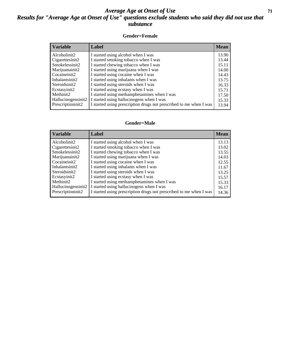### *Average Age at Onset of Use* **71** *Results for "Average Age at Onset of Use" questions exclude students who said they did not use that substance*

#### **Gender=Female**

| Variable           | <b>Label</b>                                                       | <b>Mean</b> |
|--------------------|--------------------------------------------------------------------|-------------|
| Alcoholinit2       | I started using alcohol when I was                                 | 13.90       |
| Cigarettesinit2    | I started smoking tobacco when I was                               | 13.44       |
| Smokelessinit2     | I started chewing tobacco when I was                               | 15.11       |
| Marijuanainit2     | I started using marijuana when I was                               | 14.00       |
| Cocaineinit2       | I started using cocaine when I was                                 | 14.43       |
| Inhalantsinit2     | I started using inhalants when I was                               | 13.75       |
| Steroidsinit2      | I started using steroids when I was                                | 16.33       |
| Ecstasyinit2       | I started using ecstasy when I was                                 | 15.71       |
| Methinit2          | I started using methamphetamines when I was                        | 17.50       |
| Hallucinogensinit2 | I started using hallucinogens when I was                           | 15.33       |
| Prescription in t2 | I started using prescription drugs not prescribed to me when I was | 13.94       |

#### **Gender=Male**

| <b>Variable</b>    | Label                                                              | <b>Mean</b> |
|--------------------|--------------------------------------------------------------------|-------------|
| Alcoholinit2       | I started using alcohol when I was                                 | 13.13       |
| Cigarettesinit2    | I started smoking tobacco when I was                               | 13.02       |
| Smokelessinit2     | I started chewing tobacco when I was                               | 13.55       |
| Marijuanainit2     | I started using marijuana when I was                               | 14.03       |
| Cocaineinit2       | I started using cocaine when I was                                 | 12.55       |
| Inhalantsinit2     | I started using inhalants when I was                               | 11.67       |
| Steroidsinit2      | I started using steroids when I was                                | 13.25       |
| Ecstasyinit2       | I started using ecstasy when I was                                 | 15.57       |
| Methinit2          | I started using methamphetamines when I was                        | 15.33       |
| Hallucinogensinit2 | I started using hallucinogens when I was                           | 16.17       |
| Prescriptioninit2  | I started using prescription drugs not prescribed to me when I was | 14.36       |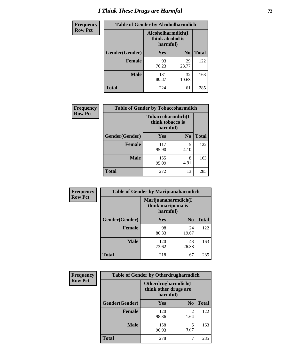# *I Think These Drugs are Harmful* **72**

| <b>Frequency</b> | <b>Table of Gender by Alcoholharmdich</b> |                  |                               |              |
|------------------|-------------------------------------------|------------------|-------------------------------|--------------|
| <b>Row Pct</b>   |                                           | think alcohol is | Alcoholharmdich(I<br>harmful) |              |
|                  | Gender(Gender)                            | Yes              | N <sub>0</sub>                | <b>Total</b> |
|                  | <b>Female</b>                             | 93<br>76.23      | 29<br>23.77                   | 122          |
|                  | <b>Male</b>                               | 131<br>80.37     | 32<br>19.63                   | 163          |
|                  | <b>Total</b>                              | 224              | 61                            | 285          |

| Frequency      | <b>Table of Gender by Tobaccoharmdich</b> |                  |                                       |              |  |
|----------------|-------------------------------------------|------------------|---------------------------------------|--------------|--|
| <b>Row Pct</b> |                                           | think tobacco is | <b>Tobaccoharmdich</b> (I<br>harmful) |              |  |
|                | Gender(Gender)                            | Yes              | N <sub>0</sub>                        | <b>Total</b> |  |
|                | <b>Female</b>                             | 117<br>95.90     | 5<br>4.10                             | 122          |  |
|                | <b>Male</b>                               | 155<br>95.09     | 8<br>4.91                             | 163          |  |
|                | <b>Total</b>                              | 272              | 13                                    | 285          |  |

| Frequency      | <b>Table of Gender by Marijuanaharmdich</b> |                                                       |                |              |  |
|----------------|---------------------------------------------|-------------------------------------------------------|----------------|--------------|--|
| <b>Row Pct</b> |                                             | Marijuanaharmdich(I<br>think marijuana is<br>harmful) |                |              |  |
|                | Gender(Gender)                              | <b>Yes</b>                                            | N <sub>0</sub> | <b>Total</b> |  |
|                | <b>Female</b>                               | 98<br>80.33                                           | 24<br>19.67    | 122          |  |
|                | <b>Male</b>                                 | 120<br>73.62                                          | 43<br>26.38    | 163          |  |
|                | <b>Total</b>                                | 218                                                   | 67             | 285          |  |

| Frequency      | <b>Table of Gender by Otherdrugharmdich</b> |                                                          |                        |              |  |
|----------------|---------------------------------------------|----------------------------------------------------------|------------------------|--------------|--|
| <b>Row Pct</b> |                                             | Otherdrugharmdich(I<br>think other drugs are<br>harmful) |                        |              |  |
|                | Gender(Gender)                              | <b>Yes</b>                                               | N <sub>0</sub>         | <b>Total</b> |  |
|                | <b>Female</b>                               | 120<br>98.36                                             | $\overline{c}$<br>1.64 | 122          |  |
|                | <b>Male</b>                                 | 158<br>96.93                                             | 5<br>3.07              | 163          |  |
|                | <b>Total</b>                                | 278                                                      | 7                      | 285          |  |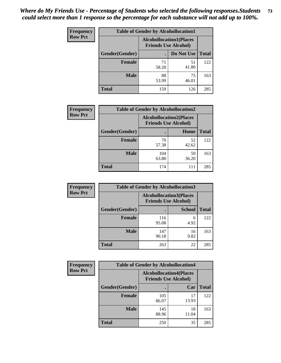| <b>Frequency</b> | <b>Table of Gender by Alcohollocation1</b> |                                                               |             |              |
|------------------|--------------------------------------------|---------------------------------------------------------------|-------------|--------------|
| <b>Row Pct</b>   |                                            | <b>Alcohollocation1(Places</b><br><b>Friends Use Alcohol)</b> |             |              |
|                  | Gender(Gender)                             |                                                               | Do Not Use  | <b>Total</b> |
|                  | <b>Female</b>                              | 71<br>58.20                                                   | 51<br>41.80 | 122          |
|                  | <b>Male</b>                                | 88<br>53.99                                                   | 75<br>46.01 | 163          |
|                  | <b>Total</b>                               | 159                                                           | 126         | 285          |

| <b>Frequency</b> | <b>Table of Gender by Alcohollocation2</b> |                                                               |             |              |
|------------------|--------------------------------------------|---------------------------------------------------------------|-------------|--------------|
| <b>Row Pct</b>   |                                            | <b>Alcohollocation2(Places</b><br><b>Friends Use Alcohol)</b> |             |              |
|                  | Gender(Gender)                             |                                                               | Home        | <b>Total</b> |
|                  | <b>Female</b>                              | 70<br>57.38                                                   | 52<br>42.62 | 122          |
|                  | <b>Male</b>                                | 104<br>63.80                                                  | 59<br>36.20 | 163          |
|                  | <b>Total</b>                               | 174                                                           | 111         | 285          |

| Frequency      | <b>Table of Gender by Alcohollocation3</b> |                                                               |               |              |
|----------------|--------------------------------------------|---------------------------------------------------------------|---------------|--------------|
| <b>Row Pct</b> |                                            | <b>Alcohollocation3(Places</b><br><b>Friends Use Alcohol)</b> |               |              |
|                | Gender(Gender)                             |                                                               | <b>School</b> | <b>Total</b> |
|                | <b>Female</b>                              | 116<br>95.08                                                  | 6<br>4.92     | 122          |
|                | <b>Male</b>                                | 147<br>90.18                                                  | 16<br>9.82    | 163          |
|                | <b>Total</b>                               | 263                                                           | 22            | 285          |

| Frequency      | <b>Table of Gender by Alcohollocation4</b> |              |                                                               |              |  |
|----------------|--------------------------------------------|--------------|---------------------------------------------------------------|--------------|--|
| <b>Row Pct</b> |                                            |              | <b>Alcohollocation4(Places</b><br><b>Friends Use Alcohol)</b> |              |  |
|                | Gender(Gender)                             |              | Car                                                           | <b>Total</b> |  |
|                | <b>Female</b>                              | 105<br>86.07 | 17<br>13.93                                                   | 122          |  |
|                | <b>Male</b>                                | 145<br>88.96 | 18<br>11.04                                                   | 163          |  |
|                | <b>Total</b>                               | 250          | 35                                                            | 285          |  |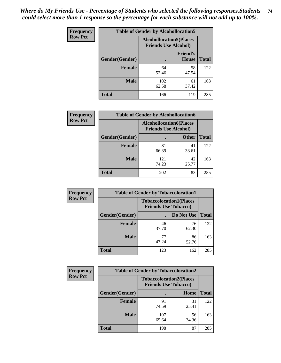| <b>Frequency</b> | <b>Table of Gender by Alcohollocation5</b> |                                                                |                          |              |
|------------------|--------------------------------------------|----------------------------------------------------------------|--------------------------|--------------|
| <b>Row Pct</b>   |                                            | <b>Alcohollocation5</b> (Places<br><b>Friends Use Alcohol)</b> |                          |              |
|                  | Gender(Gender)                             |                                                                | <b>Friend's</b><br>House | <b>Total</b> |
|                  | <b>Female</b>                              | 64<br>52.46                                                    | 58<br>47.54              | 122          |
|                  | <b>Male</b>                                | 102<br>62.58                                                   | 61<br>37.42              | 163          |
|                  | <b>Total</b>                               | 166                                                            | 119                      | 285          |

| Frequency      | <b>Table of Gender by Alcohollocation6</b> |                                                               |              |              |  |
|----------------|--------------------------------------------|---------------------------------------------------------------|--------------|--------------|--|
| <b>Row Pct</b> |                                            | <b>Alcohollocation6(Places</b><br><b>Friends Use Alcohol)</b> |              |              |  |
|                | <b>Gender</b> (Gender)                     |                                                               | <b>Other</b> | <b>Total</b> |  |
|                | Female                                     | 81<br>66.39                                                   | 41<br>33.61  | 122          |  |
|                | <b>Male</b>                                | 121<br>74.23                                                  | 42<br>25.77  | 163          |  |
|                | <b>Total</b>                               | 202                                                           | 83           | 285          |  |

| Frequency      | <b>Table of Gender by Tobaccolocation1</b> |                                                               |             |              |  |
|----------------|--------------------------------------------|---------------------------------------------------------------|-------------|--------------|--|
| <b>Row Pct</b> |                                            | <b>Tobaccolocation1(Places</b><br><b>Friends Use Tobacco)</b> |             |              |  |
|                | Gender(Gender)                             |                                                               | Do Not Use  | <b>Total</b> |  |
|                | Female                                     | 46<br>37.70                                                   | 76<br>62.30 | 122          |  |
|                | <b>Male</b>                                | 77<br>47.24                                                   | 86<br>52.76 | 163          |  |
|                | <b>Total</b>                               | 123                                                           | 162         | 285          |  |

| <b>Frequency</b> | <b>Table of Gender by Tobaccolocation2</b> |                                                               |             |              |  |
|------------------|--------------------------------------------|---------------------------------------------------------------|-------------|--------------|--|
| <b>Row Pct</b>   |                                            | <b>Tobaccolocation2(Places</b><br><b>Friends Use Tobacco)</b> |             |              |  |
|                  | Gender(Gender)                             |                                                               | Home        | <b>Total</b> |  |
|                  | Female                                     | 91<br>74.59                                                   | 31<br>25.41 | 122          |  |
|                  | <b>Male</b>                                | 107<br>65.64                                                  | 56<br>34.36 | 163          |  |
|                  | <b>Total</b>                               | 198                                                           | 87          | 285          |  |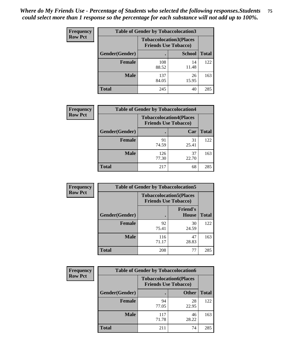| <b>Frequency</b> | <b>Table of Gender by Tobaccolocation3</b> |              |                                                               |              |  |
|------------------|--------------------------------------------|--------------|---------------------------------------------------------------|--------------|--|
| <b>Row Pct</b>   |                                            |              | <b>Tobaccolocation3(Places</b><br><b>Friends Use Tobacco)</b> |              |  |
|                  | Gender(Gender)                             |              | <b>School</b>                                                 | <b>Total</b> |  |
|                  | <b>Female</b>                              | 108<br>88.52 | 14<br>11.48                                                   | 122          |  |
|                  | <b>Male</b>                                | 137<br>84.05 | 26<br>15.95                                                   | 163          |  |
|                  | <b>Total</b>                               | 245          | 40                                                            | 285          |  |

| <b>Frequency</b> | <b>Table of Gender by Tobaccolocation4</b> |                                                               |             |              |
|------------------|--------------------------------------------|---------------------------------------------------------------|-------------|--------------|
| <b>Row Pct</b>   |                                            | <b>Tobaccolocation4(Places</b><br><b>Friends Use Tobacco)</b> |             |              |
|                  | Gender(Gender)                             |                                                               | Car         | <b>Total</b> |
|                  | <b>Female</b>                              | 91<br>74.59                                                   | 31<br>25.41 | 122          |
|                  | <b>Male</b>                                | 126<br>77.30                                                  | 37<br>22.70 | 163          |
|                  | <b>Total</b>                               | 217                                                           | 68          | 285          |

| <b>Frequency</b> | <b>Table of Gender by Tobaccolocation5</b> |                                                               |                          |              |
|------------------|--------------------------------------------|---------------------------------------------------------------|--------------------------|--------------|
| <b>Row Pct</b>   |                                            | <b>Tobaccolocation5(Places</b><br><b>Friends Use Tobacco)</b> |                          |              |
|                  | Gender(Gender)                             |                                                               | <b>Friend's</b><br>House | <b>Total</b> |
|                  | Female                                     | 92<br>75.41                                                   | 30<br>24.59              | 122          |
|                  | <b>Male</b>                                | 116<br>71.17                                                  | 47<br>28.83              | 163          |
|                  | <b>Total</b>                               | 208                                                           | 77                       | 285          |

| <b>Frequency</b> | <b>Table of Gender by Tobaccolocation6</b> |                             |                                |              |  |
|------------------|--------------------------------------------|-----------------------------|--------------------------------|--------------|--|
| <b>Row Pct</b>   |                                            | <b>Friends Use Tobacco)</b> | <b>Tobaccolocation6(Places</b> |              |  |
|                  | Gender(Gender)                             |                             | <b>Other</b>                   | <b>Total</b> |  |
|                  | Female                                     | 94<br>77.05                 | 28<br>22.95                    | 122          |  |
|                  | <b>Male</b>                                | 117<br>71.78                | 46<br>28.22                    | 163          |  |
|                  | <b>Total</b>                               | 211                         | 74                             | 285          |  |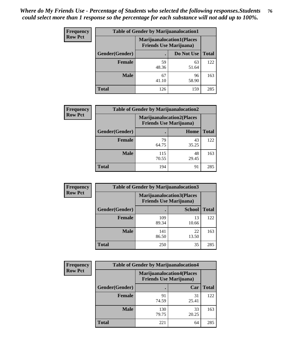| <b>Frequency</b> | <b>Table of Gender by Marijuanalocation1</b> |                                                                    |             |              |  |
|------------------|----------------------------------------------|--------------------------------------------------------------------|-------------|--------------|--|
| <b>Row Pct</b>   |                                              | <b>Marijuanalocation1(Places</b><br><b>Friends Use Marijuana</b> ) |             |              |  |
|                  | Gender(Gender)                               |                                                                    | Do Not Use  | <b>Total</b> |  |
|                  | <b>Female</b>                                | 59<br>48.36                                                        | 63<br>51.64 | 122          |  |
|                  | <b>Male</b>                                  | 67<br>41.10                                                        | 96<br>58.90 | 163          |  |
|                  | <b>Total</b>                                 | 126                                                                | 159         | 285          |  |

| <b>Frequency</b> | <b>Table of Gender by Marijuanalocation2</b> |                                                                    |             |              |
|------------------|----------------------------------------------|--------------------------------------------------------------------|-------------|--------------|
| <b>Row Pct</b>   |                                              | <b>Marijuanalocation2(Places</b><br><b>Friends Use Marijuana</b> ) |             |              |
|                  | Gender(Gender)                               |                                                                    | Home        | <b>Total</b> |
|                  | <b>Female</b>                                | 79<br>64.75                                                        | 43<br>35.25 | 122          |
|                  | <b>Male</b>                                  | 115<br>70.55                                                       | 48<br>29.45 | 163          |
|                  | <b>Total</b>                                 | 194                                                                | 91          | 285          |

| Frequency      | <b>Table of Gender by Marijuanalocation3</b> |                                                                    |               |              |
|----------------|----------------------------------------------|--------------------------------------------------------------------|---------------|--------------|
| <b>Row Pct</b> |                                              | <b>Marijuanalocation3(Places</b><br><b>Friends Use Marijuana</b> ) |               |              |
|                | Gender(Gender)                               |                                                                    | <b>School</b> | <b>Total</b> |
|                | Female                                       | 109<br>89.34                                                       | 13<br>10.66   | 122          |
|                | <b>Male</b>                                  | 141<br>86.50                                                       | 22<br>13.50   | 163          |
|                | <b>Total</b>                                 | 250                                                                | 35            | 285          |

| <b>Frequency</b> | <b>Table of Gender by Marijuanalocation4</b> |                                                                    |             |              |  |
|------------------|----------------------------------------------|--------------------------------------------------------------------|-------------|--------------|--|
| <b>Row Pct</b>   |                                              | <b>Marijuanalocation4(Places</b><br><b>Friends Use Marijuana</b> ) |             |              |  |
|                  | Gender(Gender)                               |                                                                    | Car         | <b>Total</b> |  |
|                  | <b>Female</b>                                | 91<br>74.59                                                        | 31<br>25.41 | 122          |  |
|                  | <b>Male</b>                                  | 130<br>79.75                                                       | 33<br>20.25 | 163          |  |
|                  | <b>Total</b>                                 | 221                                                                | 64          | 285          |  |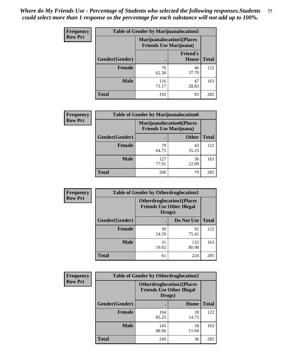| <b>Frequency</b> | <b>Table of Gender by Marijuanalocation5</b> |                                                                    |                          |              |
|------------------|----------------------------------------------|--------------------------------------------------------------------|--------------------------|--------------|
| <b>Row Pct</b>   |                                              | <b>Marijuanalocation5(Places</b><br><b>Friends Use Marijuana</b> ) |                          |              |
|                  | Gender(Gender)                               |                                                                    | <b>Friend's</b><br>House | <b>Total</b> |
|                  | <b>Female</b>                                | 76<br>62.30                                                        | 46<br>37.70              | 122          |
|                  | <b>Male</b>                                  | 116<br>71.17                                                       | 47<br>28.83              | 163          |
|                  | <b>Total</b>                                 | 192                                                                | 93                       | 285          |

| <b>Frequency</b> | <b>Table of Gender by Marijuanalocation6</b> |                                                                    |              |              |
|------------------|----------------------------------------------|--------------------------------------------------------------------|--------------|--------------|
| <b>Row Pct</b>   |                                              | <b>Marijuanalocation6(Places</b><br><b>Friends Use Marijuana</b> ) |              |              |
|                  | <b>Gender</b> (Gender)                       |                                                                    | <b>Other</b> | <b>Total</b> |
|                  | <b>Female</b>                                | 79<br>64.75                                                        | 43<br>35.25  | 122          |
|                  | <b>Male</b>                                  | 127<br>77.91                                                       | 36<br>22.09  | 163          |
|                  | <b>Total</b>                                 | 206                                                                | 79           | 285          |

| <b>Frequency</b> | <b>Table of Gender by Otherdruglocation1</b> |                                                                                |              |              |
|------------------|----------------------------------------------|--------------------------------------------------------------------------------|--------------|--------------|
| <b>Row Pct</b>   |                                              | <b>Otherdruglocation1(Places</b><br><b>Friends Use Other Illegal</b><br>Drugs) |              |              |
|                  | Gender(Gender)                               |                                                                                | Do Not Use   | <b>Total</b> |
|                  | <b>Female</b>                                | 30<br>24.59                                                                    | 92<br>75.41  | 122          |
|                  | <b>Male</b>                                  | 31<br>19.02                                                                    | 132<br>80.98 | 163          |
|                  | <b>Total</b>                                 | 61                                                                             | 224          | 285          |

| Frequency      | <b>Table of Gender by Otherdruglocation2</b> |                                                                                |             |              |
|----------------|----------------------------------------------|--------------------------------------------------------------------------------|-------------|--------------|
| <b>Row Pct</b> |                                              | <b>Otherdruglocation2(Places</b><br><b>Friends Use Other Illegal</b><br>Drugs) |             |              |
|                | Gender(Gender)                               |                                                                                | Home        | <b>Total</b> |
|                | <b>Female</b>                                | 104<br>85.25                                                                   | 18<br>14.75 | 122          |
|                | <b>Male</b>                                  | 145<br>88.96                                                                   | 18<br>11.04 | 163          |
|                | <b>Total</b>                                 | 249                                                                            | 36          | 285          |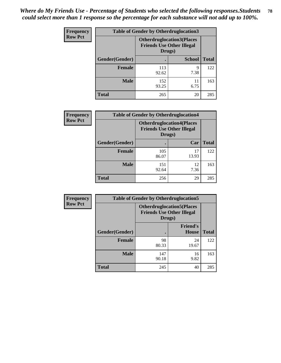| <b>Frequency</b> | <b>Table of Gender by Otherdruglocation3</b> |                                                                                |               |              |
|------------------|----------------------------------------------|--------------------------------------------------------------------------------|---------------|--------------|
| <b>Row Pct</b>   |                                              | <b>Otherdruglocation3(Places</b><br><b>Friends Use Other Illegal</b><br>Drugs) |               |              |
|                  | Gender(Gender)                               |                                                                                | <b>School</b> | <b>Total</b> |
|                  | <b>Female</b>                                | 113<br>92.62                                                                   | q<br>7.38     | 122          |
|                  | <b>Male</b>                                  | 152<br>93.25                                                                   | 11<br>6.75    | 163          |
|                  | <b>Total</b>                                 | 265                                                                            | 20            | 285          |

| <b>Frequency</b> | <b>Table of Gender by Otherdruglocation4</b>                                   |              |             |              |
|------------------|--------------------------------------------------------------------------------|--------------|-------------|--------------|
| <b>Row Pct</b>   | <b>Otherdruglocation4(Places</b><br><b>Friends Use Other Illegal</b><br>Drugs) |              |             |              |
|                  | Gender(Gender)                                                                 |              | Car         | <b>Total</b> |
|                  | <b>Female</b>                                                                  | 105<br>86.07 | 17<br>13.93 | 122          |
|                  | <b>Male</b>                                                                    | 151<br>92.64 | 12<br>7.36  | 163          |
|                  | <b>Total</b>                                                                   | 256          | 29          | 285          |

| Frequency      | <b>Table of Gender by Otherdruglocation5</b> |                                            |                                  |              |
|----------------|----------------------------------------------|--------------------------------------------|----------------------------------|--------------|
| <b>Row Pct</b> |                                              | <b>Friends Use Other Illegal</b><br>Drugs) | <b>Otherdruglocation5(Places</b> |              |
|                | Gender(Gender)                               |                                            | <b>Friend's</b><br><b>House</b>  | <b>Total</b> |
|                | <b>Female</b>                                | 98<br>80.33                                | 24<br>19.67                      | 122          |
|                | <b>Male</b>                                  | 147<br>90.18                               | 16<br>9.82                       | 163          |
|                | <b>Total</b>                                 | 245                                        | 40                               | 285          |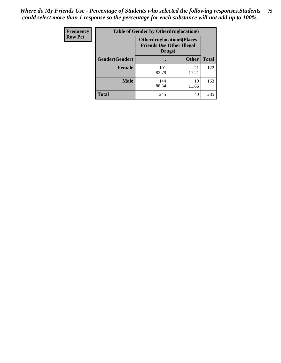| Frequency      | <b>Table of Gender by Otherdruglocation6</b> |                                                                                |              |              |
|----------------|----------------------------------------------|--------------------------------------------------------------------------------|--------------|--------------|
| <b>Row Pct</b> |                                              | <b>Otherdruglocation6(Places</b><br><b>Friends Use Other Illegal</b><br>Drugs) |              |              |
|                | Gender(Gender)                               |                                                                                | <b>Other</b> | <b>Total</b> |
|                | <b>Female</b>                                | 101<br>82.79                                                                   | 21<br>17.21  | 122          |
|                | <b>Male</b>                                  | 144<br>88.34                                                                   | 19<br>11.66  | 163          |
|                | <b>Total</b>                                 | 245                                                                            | 40           | 285          |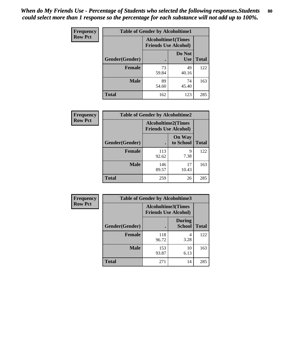| <b>Frequency</b> | <b>Table of Gender by Alcoholtime1</b> |                                                          |                      |              |
|------------------|----------------------------------------|----------------------------------------------------------|----------------------|--------------|
| <b>Row Pct</b>   |                                        | <b>Alcoholtime1(Times</b><br><b>Friends Use Alcohol)</b> |                      |              |
|                  | Gender(Gender)                         | $\bullet$                                                | Do Not<br><b>Use</b> | <b>Total</b> |
|                  | <b>Female</b>                          | 73<br>59.84                                              | 49<br>40.16          | 122          |
|                  | <b>Male</b>                            | 89<br>54.60                                              | 74<br>45.40          | 163          |
|                  | <b>Total</b>                           | 162                                                      | 123                  | 285          |

| Frequency      | <b>Table of Gender by Alcoholtime2</b> |                                                          |                            |              |
|----------------|----------------------------------------|----------------------------------------------------------|----------------------------|--------------|
| <b>Row Pct</b> |                                        | <b>Alcoholtime2(Times</b><br><b>Friends Use Alcohol)</b> |                            |              |
|                | Gender(Gender)                         |                                                          | <b>On Way</b><br>to School | <b>Total</b> |
|                | Female                                 | 113<br>92.62                                             | 9<br>7.38                  | 122          |
|                | <b>Male</b>                            | 146<br>89.57                                             | 17<br>10.43                | 163          |
|                | <b>Total</b>                           | 259                                                      | 26                         | 285          |

| Frequency      | <b>Table of Gender by Alcoholtime3</b> |                                                          |                                |              |
|----------------|----------------------------------------|----------------------------------------------------------|--------------------------------|--------------|
| <b>Row Pct</b> |                                        | <b>Alcoholtime3(Times</b><br><b>Friends Use Alcohol)</b> |                                |              |
|                | Gender(Gender)                         |                                                          | <b>During</b><br><b>School</b> | <b>Total</b> |
|                | <b>Female</b>                          | 118<br>96.72                                             | 4<br>3.28                      | 122          |
|                | <b>Male</b>                            | 153<br>93.87                                             | 10<br>6.13                     | 163          |
|                | <b>Total</b>                           | 271                                                      | 14                             | 285          |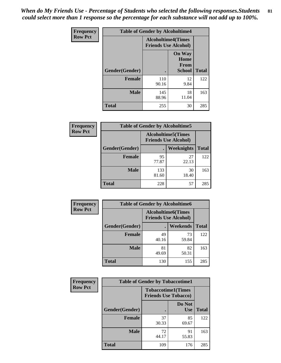*When do My Friends Use - Percentage of Students who selected the following responses.Students could select more than 1 response so the percentage for each substance will not add up to 100%.* **81**

| <b>Frequency</b> | <b>Table of Gender by Alcoholtime4</b> |                                                          |                                                |              |
|------------------|----------------------------------------|----------------------------------------------------------|------------------------------------------------|--------------|
| <b>Row Pct</b>   |                                        | <b>Alcoholtime4(Times</b><br><b>Friends Use Alcohol)</b> |                                                |              |
|                  | Gender(Gender)                         |                                                          | <b>On Way</b><br>Home<br>From<br><b>School</b> | <b>Total</b> |
|                  | <b>Female</b>                          | 110<br>90.16                                             | 12<br>9.84                                     | 122          |
|                  | <b>Male</b>                            | 145<br>88.96                                             | 18<br>11.04                                    | 163          |
|                  | <b>Total</b>                           | 255                                                      | 30                                             | 285          |

| <b>Frequency</b> | <b>Table of Gender by Alcoholtime5</b> |                                                           |             |              |
|------------------|----------------------------------------|-----------------------------------------------------------|-------------|--------------|
| <b>Row Pct</b>   |                                        | <b>Alcoholtime5</b> (Times<br><b>Friends Use Alcohol)</b> |             |              |
|                  | Gender(Gender)                         |                                                           | Weeknights  | <b>Total</b> |
|                  | <b>Female</b>                          | 95<br>77.87                                               | 27<br>22.13 | 122          |
|                  | <b>Male</b>                            | 133<br>81.60                                              | 30<br>18.40 | 163          |
|                  | <b>Total</b>                           | 228                                                       | 57          | 285          |

| <b>Frequency</b> | <b>Table of Gender by Alcoholtime6</b> |             |                                                           |              |  |
|------------------|----------------------------------------|-------------|-----------------------------------------------------------|--------------|--|
| <b>Row Pct</b>   |                                        |             | <b>Alcoholtime6</b> (Times<br><b>Friends Use Alcohol)</b> |              |  |
|                  | Gender(Gender)                         |             | <b>Weekends</b>                                           | <b>Total</b> |  |
|                  | Female                                 | 49<br>40.16 | 73<br>59.84                                               | 122          |  |
|                  | <b>Male</b>                            | 81<br>49.69 | 82<br>50.31                                               | 163          |  |
|                  | Total                                  | 130         | 155                                                       | 285          |  |

| <b>Frequency</b> | <b>Table of Gender by Tobaccotime1</b> |                                                          |                      |              |
|------------------|----------------------------------------|----------------------------------------------------------|----------------------|--------------|
| <b>Row Pct</b>   |                                        | <b>Tobaccotime1(Times</b><br><b>Friends Use Tobacco)</b> |                      |              |
|                  | Gender(Gender)                         |                                                          | Do Not<br><b>Use</b> | <b>Total</b> |
|                  | <b>Female</b>                          | 37<br>30.33                                              | 85<br>69.67          | 122          |
|                  | <b>Male</b>                            | 72<br>44.17                                              | 91<br>55.83          | 163          |
|                  | <b>Total</b>                           | 109                                                      | 176                  | 285          |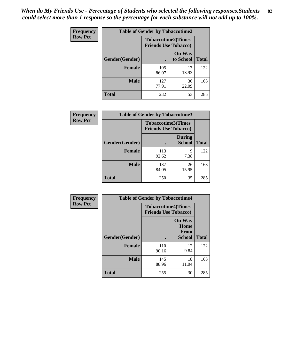*When do My Friends Use - Percentage of Students who selected the following responses.Students could select more than 1 response so the percentage for each substance will not add up to 100%.* **82**

| <b>Frequency</b> | <b>Table of Gender by Tobaccotime2</b> |                                                          |                            |              |
|------------------|----------------------------------------|----------------------------------------------------------|----------------------------|--------------|
| <b>Row Pct</b>   |                                        | <b>Tobaccotime2(Times</b><br><b>Friends Use Tobacco)</b> |                            |              |
|                  | Gender(Gender)                         | $\bullet$                                                | <b>On Way</b><br>to School | <b>Total</b> |
|                  | Female                                 | 105<br>86.07                                             | 17<br>13.93                | 122          |
|                  | <b>Male</b>                            | 127<br>77.91                                             | 36<br>22.09                | 163          |
|                  | <b>Total</b>                           | 232                                                      | 53                         | 285          |

| Frequency      | <b>Table of Gender by Tobaccotime3</b> |                                                          |                                |              |
|----------------|----------------------------------------|----------------------------------------------------------|--------------------------------|--------------|
| <b>Row Pct</b> |                                        | <b>Tobaccotime3(Times</b><br><b>Friends Use Tobacco)</b> |                                |              |
|                | Gender(Gender)                         |                                                          | <b>During</b><br><b>School</b> | <b>Total</b> |
|                | <b>Female</b>                          | 113<br>92.62                                             | 9<br>7.38                      | 122          |
|                | <b>Male</b>                            | 137<br>84.05                                             | 26<br>15.95                    | 163          |
|                | <b>Total</b>                           | 250                                                      | 35                             | 285          |

| <b>Frequency</b> | <b>Table of Gender by Tobaccotime4</b> |                                                          |                                                |              |
|------------------|----------------------------------------|----------------------------------------------------------|------------------------------------------------|--------------|
| <b>Row Pct</b>   |                                        | <b>Tobaccotime4(Times</b><br><b>Friends Use Tobacco)</b> |                                                |              |
|                  | Gender(Gender)                         |                                                          | <b>On Way</b><br>Home<br>From<br><b>School</b> | <b>Total</b> |
|                  | <b>Female</b>                          | 110<br>90.16                                             | 12<br>9.84                                     | 122          |
|                  | <b>Male</b>                            | 145<br>88.96                                             | 18<br>11.04                                    | 163          |
|                  | <b>Total</b>                           | 255                                                      | 30                                             | 285          |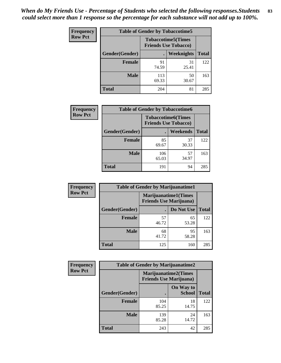| <b>Frequency</b> | <b>Table of Gender by Tobaccotime5</b> |              |                                                          |              |  |
|------------------|----------------------------------------|--------------|----------------------------------------------------------|--------------|--|
| <b>Row Pct</b>   |                                        |              | <b>Tobaccotime5(Times</b><br><b>Friends Use Tobacco)</b> |              |  |
|                  | <b>Gender</b> (Gender)                 |              | <b>Weeknights</b>                                        | <b>Total</b> |  |
|                  | <b>Female</b>                          | 91<br>74.59  | 31<br>25.41                                              | 122          |  |
|                  | <b>Male</b>                            | 113<br>69.33 | 50<br>30.67                                              | 163          |  |
|                  | <b>Total</b>                           | 204          | 81                                                       | 285          |  |

| Frequency      | <b>Table of Gender by Tobaccotime6</b> |                                                          |             |              |
|----------------|----------------------------------------|----------------------------------------------------------|-------------|--------------|
| <b>Row Pct</b> |                                        | <b>Tobaccotime6(Times</b><br><b>Friends Use Tobacco)</b> |             |              |
|                | Gender(Gender)                         |                                                          | Weekends    | <b>Total</b> |
|                | Female                                 | 85<br>69.67                                              | 37<br>30.33 | 122          |
|                | <b>Male</b>                            | 106<br>65.03                                             | 57<br>34.97 | 163          |
|                | <b>Total</b>                           | 191                                                      | 94          | 285          |

| <b>Frequency</b> | <b>Table of Gender by Marijuanatime1</b> |                                |                             |              |
|------------------|------------------------------------------|--------------------------------|-----------------------------|--------------|
| <b>Row Pct</b>   |                                          | <b>Friends Use Marijuana</b> ) | <b>Marijuanatime1(Times</b> |              |
|                  | Gender(Gender)                           |                                | Do Not Use                  | <b>Total</b> |
|                  | <b>Female</b>                            | 57<br>46.72                    | 65<br>53.28                 | 122          |
|                  | <b>Male</b>                              | 68<br>41.72                    | 95<br>58.28                 | 163          |
|                  | <b>Total</b>                             | 125                            | 160                         | 285          |

| <b>Frequency</b> | <b>Table of Gender by Marijuanatime2</b> |                                                               |                            |              |
|------------------|------------------------------------------|---------------------------------------------------------------|----------------------------|--------------|
| <b>Row Pct</b>   |                                          | <b>Marijuanatime2(Times</b><br><b>Friends Use Marijuana</b> ) |                            |              |
|                  | Gender(Gender)                           |                                                               | On Way to<br><b>School</b> | <b>Total</b> |
|                  | <b>Female</b>                            | 104<br>85.25                                                  | 18<br>14.75                | 122          |
|                  | <b>Male</b>                              | 139<br>85.28                                                  | 24<br>14.72                | 163          |
|                  | <b>Total</b>                             | 243                                                           | 42                         | 285          |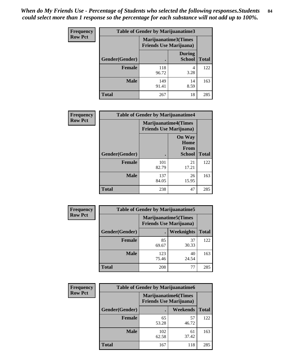*When do My Friends Use - Percentage of Students who selected the following responses.Students could select more than 1 response so the percentage for each substance will not add up to 100%.* **84**

| <b>Frequency</b> | Table of Gender by Marijuanatime3 |                                                        |                                |              |
|------------------|-----------------------------------|--------------------------------------------------------|--------------------------------|--------------|
| <b>Row Pct</b>   |                                   | Marijuanatime3(Times<br><b>Friends Use Marijuana</b> ) |                                |              |
|                  | Gender(Gender)                    |                                                        | <b>During</b><br><b>School</b> | <b>Total</b> |
|                  | <b>Female</b>                     | 118<br>96.72                                           | 4<br>3.28                      | 122          |
|                  | <b>Male</b>                       | 149<br>91.41                                           | 14<br>8.59                     | 163          |
|                  | <b>Total</b>                      | 267                                                    | 18                             | 285          |

| Frequency      | <b>Table of Gender by Marijuanatime4</b> |                                |                                                       |              |
|----------------|------------------------------------------|--------------------------------|-------------------------------------------------------|--------------|
| <b>Row Pct</b> |                                          | <b>Friends Use Marijuana</b> ) | <b>Marijuanatime4</b> (Times                          |              |
|                | Gender(Gender)                           |                                | <b>On Way</b><br>Home<br><b>From</b><br><b>School</b> | <b>Total</b> |
|                | <b>Female</b>                            | 101<br>82.79                   | 21<br>17.21                                           | 122          |
|                | <b>Male</b>                              | 137<br>84.05                   | 26<br>15.95                                           | 163          |
|                | <b>Total</b>                             | 238                            | 47                                                    | 285          |

| Frequency      | <b>Table of Gender by Marijuanatime5</b> |              |                                                                |              |
|----------------|------------------------------------------|--------------|----------------------------------------------------------------|--------------|
| <b>Row Pct</b> |                                          |              | <b>Marijuanatime5</b> (Times<br><b>Friends Use Marijuana</b> ) |              |
|                | Gender(Gender)                           |              | Weeknights                                                     | <b>Total</b> |
|                | <b>Female</b>                            | 85<br>69.67  | 37<br>30.33                                                    | 122          |
|                | <b>Male</b>                              | 123<br>75.46 | 40<br>24.54                                                    | 163          |
|                | <b>Total</b>                             | 208          | 77                                                             | 285          |

| Frequency      | <b>Table of Gender by Marijuanatime6</b> |                                                                |             |              |  |
|----------------|------------------------------------------|----------------------------------------------------------------|-------------|--------------|--|
| <b>Row Pct</b> |                                          | <b>Marijuanatime6</b> (Times<br><b>Friends Use Marijuana</b> ) |             |              |  |
|                | Gender(Gender)                           |                                                                | Weekends    | <b>Total</b> |  |
|                | <b>Female</b>                            | 65<br>53.28                                                    | 57<br>46.72 | 122          |  |
|                | <b>Male</b>                              | 102<br>62.58                                                   | 61<br>37.42 | 163          |  |
|                | <b>Total</b>                             | 167                                                            | 118         | 285          |  |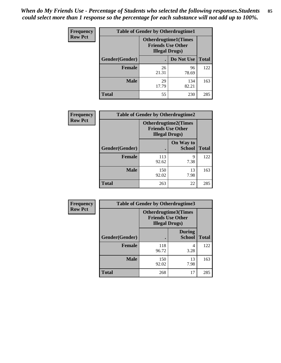*When do My Friends Use - Percentage of Students who selected the following responses.Students could select more than 1 response so the percentage for each substance will not add up to 100%.* **85**

| <b>Frequency</b> | <b>Table of Gender by Otherdrugtime1</b> |                        |                                                         |     |  |
|------------------|------------------------------------------|------------------------|---------------------------------------------------------|-----|--|
| <b>Row Pct</b>   |                                          | <b>Illegal Drugs</b> ) | <b>Otherdrugtime1(Times</b><br><b>Friends Use Other</b> |     |  |
|                  | Gender(Gender)                           |                        | Do Not Use   Total                                      |     |  |
|                  | <b>Female</b>                            | 26<br>21.31            | 96<br>78.69                                             | 122 |  |
|                  | <b>Male</b>                              | 29<br>17.79            | 134<br>82.21                                            | 163 |  |
|                  | <b>Total</b>                             | 55                     | 230                                                     | 285 |  |

| Frequency      | <b>Table of Gender by Otherdrugtime2</b> |                                                                                   |                                   |              |  |
|----------------|------------------------------------------|-----------------------------------------------------------------------------------|-----------------------------------|--------------|--|
| <b>Row Pct</b> |                                          | <b>Otherdrugtime2(Times</b><br><b>Friends Use Other</b><br><b>Illegal Drugs</b> ) |                                   |              |  |
|                | Gender(Gender)                           |                                                                                   | <b>On Way to</b><br><b>School</b> | <b>Total</b> |  |
|                | <b>Female</b>                            | 113<br>92.62                                                                      | 9<br>7.38                         | 122          |  |
|                | <b>Male</b>                              | 150<br>92.02                                                                      | 13<br>7.98                        | 163          |  |
|                | <b>Total</b>                             | 263                                                                               | 22                                | 285          |  |

| <b>Frequency</b> | <b>Table of Gender by Otherdrugtime3</b> |                        |                                                         |              |
|------------------|------------------------------------------|------------------------|---------------------------------------------------------|--------------|
| <b>Row Pct</b>   |                                          | <b>Illegal Drugs</b> ) | <b>Otherdrugtime3(Times</b><br><b>Friends Use Other</b> |              |
|                  | Gender(Gender)                           |                        | <b>During</b><br><b>School</b>                          | <b>Total</b> |
|                  | <b>Female</b>                            | 118<br>96.72           | 4<br>3.28                                               | 122          |
|                  | <b>Male</b>                              | 150<br>92.02           | 13<br>7.98                                              | 163          |
|                  | <b>Total</b>                             | 268                    | 17                                                      | 285          |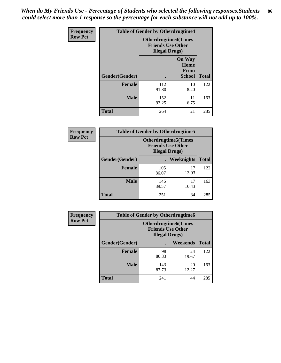*When do My Friends Use - Percentage of Students who selected the following responses.Students could select more than 1 response so the percentage for each substance will not add up to 100%.* **86**

| <b>Frequency</b> | <b>Table of Gender by Otherdrugtime4</b> |                        |                                                         |              |
|------------------|------------------------------------------|------------------------|---------------------------------------------------------|--------------|
| <b>Row Pct</b>   |                                          | <b>Illegal Drugs</b> ) | <b>Otherdrugtime4(Times</b><br><b>Friends Use Other</b> |              |
|                  | Gender(Gender)                           |                        | <b>On Way</b><br>Home<br><b>From</b><br><b>School</b>   | <b>Total</b> |
|                  | <b>Female</b>                            | 112<br>91.80           | 10<br>8.20                                              | 122          |
|                  | <b>Male</b>                              | 152<br>93.25           | 11<br>6.75                                              | 163          |
|                  | <b>Total</b>                             | 264                    | 21                                                      | 285          |

| Frequency      | <b>Table of Gender by Otherdrugtime5</b> |                                                                                    |             |              |
|----------------|------------------------------------------|------------------------------------------------------------------------------------|-------------|--------------|
| <b>Row Pct</b> |                                          | <b>Otherdrugtime5</b> (Times<br><b>Friends Use Other</b><br><b>Illegal Drugs</b> ) |             |              |
|                | Gender(Gender)                           |                                                                                    | Weeknights  | <b>Total</b> |
|                | <b>Female</b>                            | 105<br>86.07                                                                       | 17<br>13.93 | 122          |
|                | <b>Male</b>                              | 146<br>89.57                                                                       | 17<br>10.43 | 163          |
|                | <b>Total</b>                             | 251                                                                                | 34          | 285          |

| <b>Frequency</b> | <b>Table of Gender by Otherdrugtime6</b> |                                                                                   |             |              |
|------------------|------------------------------------------|-----------------------------------------------------------------------------------|-------------|--------------|
| <b>Row Pct</b>   |                                          | <b>Otherdrugtime6(Times</b><br><b>Friends Use Other</b><br><b>Illegal Drugs</b> ) |             |              |
|                  | Gender(Gender)                           |                                                                                   | Weekends    | <b>Total</b> |
|                  | <b>Female</b>                            | 98<br>80.33                                                                       | 24<br>19.67 | 122          |
|                  | <b>Male</b>                              | 143<br>87.73                                                                      | 20<br>12.27 | 163          |
|                  | <b>Total</b>                             | 241                                                                               | 44          | 285          |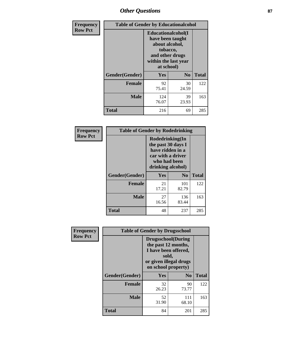## *Other Questions* **87**

| <b>Frequency</b> | <b>Table of Gender by Educationalcohol</b> |                                                                                                                                       |                |              |  |
|------------------|--------------------------------------------|---------------------------------------------------------------------------------------------------------------------------------------|----------------|--------------|--|
| <b>Row Pct</b>   |                                            | <b>Educationalcohol</b> (I<br>have been taught<br>about alcohol,<br>tobacco,<br>and other drugs<br>within the last year<br>at school) |                |              |  |
|                  | Gender(Gender)                             | Yes                                                                                                                                   | N <sub>0</sub> | <b>Total</b> |  |
|                  | <b>Female</b>                              | 92<br>75.41                                                                                                                           | 30<br>24.59    | 122          |  |
|                  | <b>Male</b>                                | 124<br>76.07                                                                                                                          | 39<br>23.93    | 163          |  |
|                  | <b>Total</b>                               | 216                                                                                                                                   | 69             | 285          |  |

| Frequency      | <b>Table of Gender by Rodedrinking</b> |                                                                                                                     |              |              |  |
|----------------|----------------------------------------|---------------------------------------------------------------------------------------------------------------------|--------------|--------------|--|
| <b>Row Pct</b> |                                        | Rodedrinking(In<br>the past 30 days I<br>have ridden in a<br>car with a driver<br>who had been<br>drinking alcohol) |              |              |  |
|                | Gender(Gender)                         | Yes                                                                                                                 | $\bf N_0$    | <b>Total</b> |  |
|                | <b>Female</b>                          | 21<br>17.21                                                                                                         | 101<br>82.79 | 122          |  |
|                | <b>Male</b>                            | 27<br>16.56                                                                                                         | 136<br>83.44 | 163          |  |
|                | <b>Total</b>                           | 48                                                                                                                  | 237          | 285          |  |

| Frequency      | <b>Table of Gender by Drugsschool</b> |                                                                                                                                     |                |              |  |
|----------------|---------------------------------------|-------------------------------------------------------------------------------------------------------------------------------------|----------------|--------------|--|
| <b>Row Pct</b> |                                       | <b>Drugsschool</b> (During<br>the past 12 months,<br>I have been offered,<br>sold,<br>or given illegal drugs<br>on school property) |                |              |  |
|                | Gender(Gender)                        | Yes                                                                                                                                 | N <sub>0</sub> | <b>Total</b> |  |
|                | <b>Female</b>                         | 32<br>26.23                                                                                                                         | 90<br>73.77    | 122          |  |
|                | <b>Male</b>                           | 52<br>31.90                                                                                                                         | 111<br>68.10   | 163          |  |
|                | <b>Total</b>                          | 84                                                                                                                                  | 201            | 285          |  |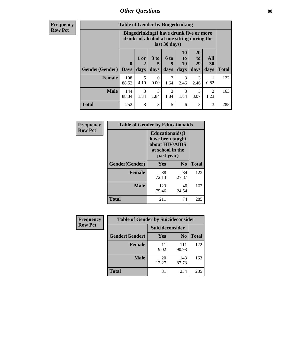### *Other Questions* **88**

**Frequency Row Pct**

| <b>Table of Gender by Bingedrinking</b> |                         |                                                                                                         |                   |                          |                        |                               |                        |              |
|-----------------------------------------|-------------------------|---------------------------------------------------------------------------------------------------------|-------------------|--------------------------|------------------------|-------------------------------|------------------------|--------------|
|                                         |                         | Bingedrinking(I have drunk five or more<br>drinks of alcohol at one sitting during the<br>last 30 days) |                   |                          |                        |                               |                        |              |
| <b>Gender</b> (Gender)                  | $\bf{0}$<br><b>Days</b> | $1$ or<br>days                                                                                          | 3 to<br>5<br>days | <b>6 to</b><br>9<br>days | 10<br>to<br>19<br>days | <b>20</b><br>to<br>29<br>days | All<br>30<br>days      | <b>Total</b> |
| <b>Female</b>                           | 108<br>88.52            | 5<br>4.10                                                                                               | $\theta$<br>0.00  | 2<br>1.64                | 3<br>2.46              | 3<br>2.46                     | 0.82                   | 122          |
| <b>Male</b>                             | 144<br>88.34            | 3<br>1.84                                                                                               | 3<br>1.84         | 3<br>1.84                | $\mathcal{F}$<br>1.84  | 5<br>3.07                     | $\mathfrak{D}$<br>1.23 | 163          |
| <b>Total</b>                            | 252                     | 8                                                                                                       | 3                 | 5                        | 6                      | 8                             | 3                      | 285          |

| Frequency      | <b>Table of Gender by Educationaids</b> |                                                                                                 |             |              |  |
|----------------|-----------------------------------------|-------------------------------------------------------------------------------------------------|-------------|--------------|--|
| <b>Row Pct</b> |                                         | <b>Educationaids</b> (I<br>have been taught<br>about HIV/AIDS<br>at school in the<br>past year) |             |              |  |
|                | Gender(Gender)                          | Yes                                                                                             | $\bf N_0$   | <b>Total</b> |  |
|                | <b>Female</b>                           | 88<br>72.13                                                                                     | 34<br>27.87 | 122          |  |
|                | <b>Male</b>                             | 123<br>75.46                                                                                    | 40<br>24.54 | 163          |  |
|                | <b>Total</b>                            | 211                                                                                             | 74          | 285          |  |

| Frequency      | <b>Table of Gender by Suicideconsider</b> |                 |                |       |
|----------------|-------------------------------------------|-----------------|----------------|-------|
| <b>Row Pct</b> |                                           | Suicideconsider |                |       |
|                | Gender(Gender)                            | Yes             | N <sub>0</sub> | Total |
|                | <b>Female</b>                             | 11<br>9.02      | 111<br>90.98   | 122   |
|                | <b>Male</b>                               | 20<br>12.27     | 143<br>87.73   | 163   |
|                | <b>Total</b>                              | 31              | 254            | 285   |